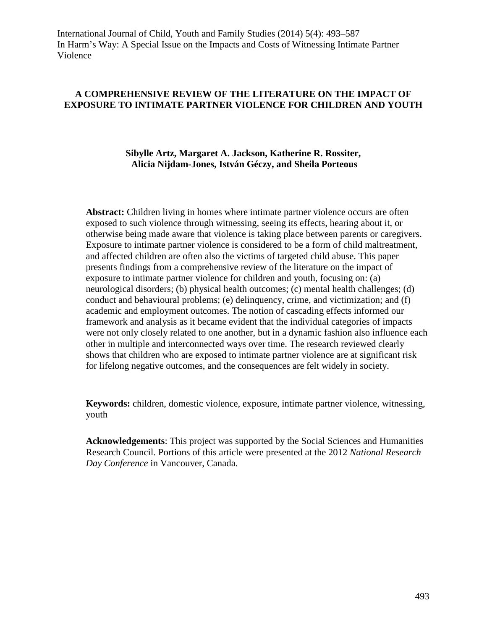## **A COMPREHENSIVE REVIEW OF THE LITERATURE ON THE IMPACT OF EXPOSURE TO INTIMATE PARTNER VIOLENCE FOR CHILDREN AND YOUTH**

## **Sibylle Artz, Margaret A. Jackson, Katherine R. Rossiter, Alicia Nijdam-Jones, István Géczy, and Sheila Porteous**

**Abstract:** Children living in homes where intimate partner violence occurs are often exposed to such violence through witnessing, seeing its effects, hearing about it, or otherwise being made aware that violence is taking place between parents or caregivers. Exposure to intimate partner violence is considered to be a form of child maltreatment, and affected children are often also the victims of targeted child abuse. This paper presents findings from a comprehensive review of the literature on the impact of exposure to intimate partner violence for children and youth, focusing on: (a) neurological disorders; (b) physical health outcomes; (c) mental health challenges; (d) conduct and behavioural problems; (e) delinquency, crime, and victimization; and (f) academic and employment outcomes. The notion of cascading effects informed our framework and analysis as it became evident that the individual categories of impacts were not only closely related to one another, but in a dynamic fashion also influence each other in multiple and interconnected ways over time. The research reviewed clearly shows that children who are exposed to intimate partner violence are at significant risk for lifelong negative outcomes, and the consequences are felt widely in society.

**Keywords:** children, domestic violence, exposure, intimate partner violence, witnessing, youth

**Acknowledgements**: This project was supported by the Social Sciences and Humanities Research Council. Portions of this article were presented at the 2012 *National Research Day Conference* in Vancouver, Canada.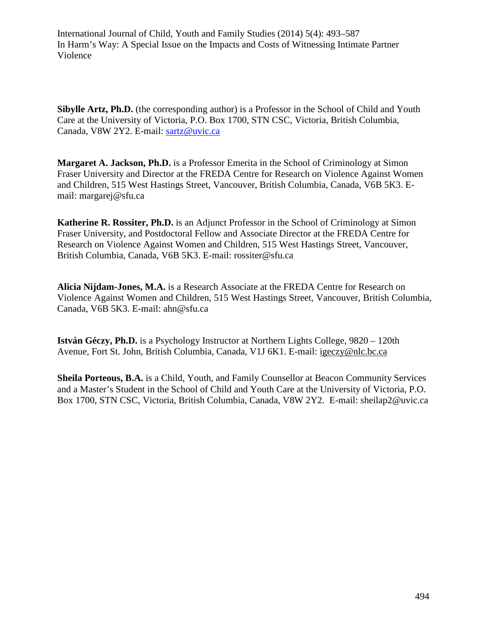**Sibylle Artz, Ph.D.** (the corresponding author) is a Professor in the School of Child and Youth Care at the University of Victoria, P.O. Box 1700, STN CSC, Victoria, British Columbia, Canada, V8W 2Y2. E-mail: [sartz@uvic.ca](mailto:sartz@uvic.ca)

**Margaret A. Jackson, Ph.D.** is a Professor Emerita in the School of Criminology at Simon Fraser University and Director at the FREDA Centre for Research on Violence Against Women and Children, 515 West Hastings Street, Vancouver, British Columbia, Canada, V6B 5K3. Email: margarej@sfu.ca

**Katherine R. Rossiter, Ph.D.** is an Adjunct Professor in the School of Criminology at Simon Fraser University, and Postdoctoral Fellow and Associate Director at the FREDA Centre for Research on Violence Against Women and Children, 515 West Hastings Street, Vancouver, British Columbia, Canada, V6B 5K3. E-mail: rossiter@sfu.ca

**Alicia Nijdam-Jones, M.A.** is a Research Associate at the FREDA Centre for Research on Violence Against Women and Children, 515 West Hastings Street, Vancouver, British Columbia, Canada, V6B 5K3. E-mail: ahn@sfu.ca

**István Géczy, Ph.D.** is a Psychology Instructor at Northern Lights College, 9820 – 120th Avenue, Fort St. John, British Columbia, Canada, V1J 6K1. E-mail: igeczy@nlc.bc.ca

**Sheila Porteous, B.A.** is a Child, Youth, and Family Counsellor at Beacon Community Services and a Master's Student in the School of Child and Youth Care at the University of Victoria, P.O. Box 1700, STN CSC, Victoria, British Columbia, Canada, V8W 2Y2. E-mail: sheilap2@uvic.ca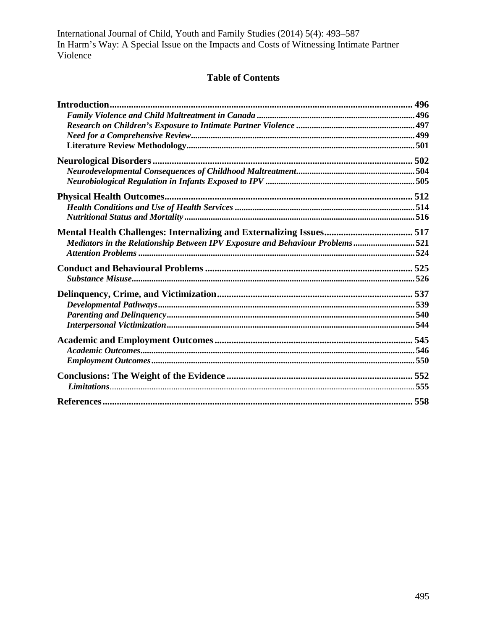# **Table of Contents**

| Mediators in the Relationship Between IPV Exposure and Behaviour Problems521 |  |
|------------------------------------------------------------------------------|--|
|                                                                              |  |
|                                                                              |  |
|                                                                              |  |
|                                                                              |  |
|                                                                              |  |
|                                                                              |  |
|                                                                              |  |
|                                                                              |  |
|                                                                              |  |
|                                                                              |  |
|                                                                              |  |
|                                                                              |  |
|                                                                              |  |
|                                                                              |  |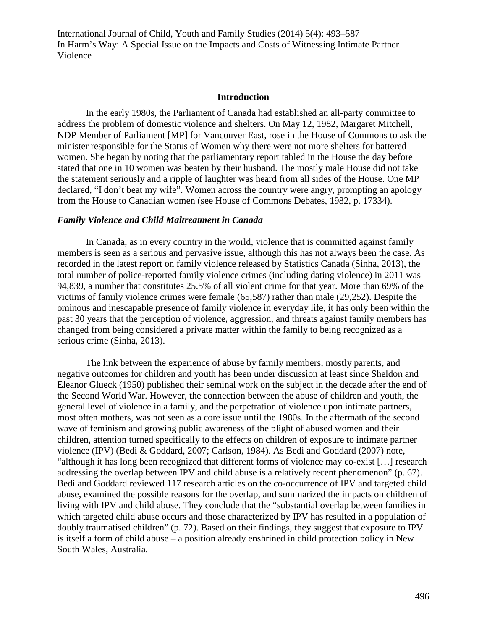#### **Introduction**

In the early 1980s, the Parliament of Canada had established an all-party committee to address the problem of domestic violence and shelters. On May 12, 1982, Margaret Mitchell, NDP Member of Parliament [MP] for Vancouver East, rose in the House of Commons to ask the minister responsible for the Status of Women why there were not more shelters for battered women. She began by noting that the parliamentary report tabled in the House the day before stated that one in 10 women was beaten by their husband. The mostly male House did not take the statement seriously and a ripple of laughter was heard from all sides of the House. One MP declared, "I don't beat my wife". Women across the country were angry, prompting an apology from the House to Canadian women (see House of Commons Debates, 1982, p. 17334).

#### *Family Violence and Child Maltreatment in Canada*

In Canada, as in every country in the world, violence that is committed against family members is seen as a serious and pervasive issue, although this has not always been the case. As recorded in the latest report on family violence released by Statistics Canada (Sinha, 2013), the total number of police-reported family violence crimes (including dating violence) in 2011 was 94,839, a number that constitutes 25.5% of all violent crime for that year. More than 69% of the victims of family violence crimes were female (65,587) rather than male (29,252). Despite the ominous and inescapable presence of family violence in everyday life, it has only been within the past 30 years that the perception of violence, aggression, and threats against family members has changed from being considered a private matter within the family to being recognized as a serious crime (Sinha, 2013).

The link between the experience of abuse by family members, mostly parents, and negative outcomes for children and youth has been under discussion at least since Sheldon and Eleanor Glueck (1950) published their seminal work on the subject in the decade after the end of the Second World War. However, the connection between the abuse of children and youth, the general level of violence in a family, and the perpetration of violence upon intimate partners, most often mothers, was not seen as a core issue until the 1980s. In the aftermath of the second wave of feminism and growing public awareness of the plight of abused women and their children, attention turned specifically to the effects on children of exposure to intimate partner violence (IPV) (Bedi & Goddard, 2007; Carlson, 1984). As Bedi and Goddard (2007) note, "although it has long been recognized that different forms of violence may co-exist […] research addressing the overlap between IPV and child abuse is a relatively recent phenomenon" (p. 67). Bedi and Goddard reviewed 117 research articles on the co-occurrence of IPV and targeted child abuse, examined the possible reasons for the overlap, and summarized the impacts on children of living with IPV and child abuse. They conclude that the "substantial overlap between families in which targeted child abuse occurs and those characterized by IPV has resulted in a population of doubly traumatised children" (p. 72). Based on their findings, they suggest that exposure to IPV is itself a form of child abuse – a position already enshrined in child protection policy in New South Wales, Australia.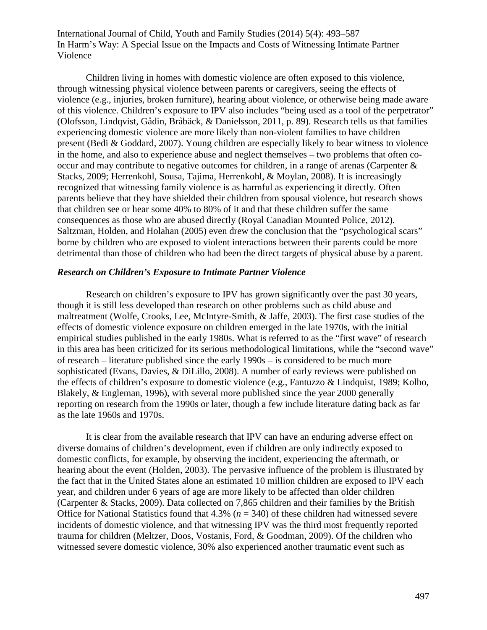Children living in homes with domestic violence are often exposed to this violence, through witnessing physical violence between parents or caregivers, seeing the effects of violence (e.g., injuries, broken furniture), hearing about violence, or otherwise being made aware of this violence. Children's exposure to IPV also includes "being used as a tool of the perpetrator" (Olofsson, Lindqvist, Gådin, Bråbäck, & Danielsson, 2011, p. 89). Research tells us that families experiencing domestic violence are more likely than non-violent families to have children present (Bedi & Goddard, 2007). Young children are especially likely to bear witness to violence in the home, and also to experience abuse and neglect themselves – two problems that often cooccur and may contribute to negative outcomes for children, in a range of arenas (Carpenter & Stacks, 2009; Herrenkohl, Sousa, Tajima, Herrenkohl, & Moylan, 2008). It is increasingly recognized that witnessing family violence is as harmful as experiencing it directly. Often parents believe that they have shielded their children from spousal violence, but research shows that children see or hear some 40% to 80% of it and that these children suffer the same consequences as those who are abused directly (Royal Canadian Mounted Police, 2012). Saltzman, Holden, and Holahan (2005) even drew the conclusion that the "psychological scars" borne by children who are exposed to violent interactions between their parents could be more detrimental than those of children who had been the direct targets of physical abuse by a parent.

#### *Research on Children's Exposure to Intimate Partner Violence*

Research on children's exposure to IPV has grown significantly over the past 30 years, though it is still less developed than research on other problems such as child abuse and maltreatment (Wolfe, Crooks, Lee, McIntyre-Smith, & Jaffe, 2003). The first case studies of the effects of domestic violence exposure on children emerged in the late 1970s, with the initial empirical studies published in the early 1980s. What is referred to as the "first wave" of research in this area has been criticized for its serious methodological limitations, while the "second wave" of research – literature published since the early 1990s – is considered to be much more sophisticated (Evans, Davies, & DiLillo, 2008). A number of early reviews were published on the effects of children's exposure to domestic violence (e.g., Fantuzzo & Lindquist, 1989; Kolbo, Blakely, & Engleman, 1996), with several more published since the year 2000 generally reporting on research from the 1990s or later, though a few include literature dating back as far as the late 1960s and 1970s.

It is clear from the available research that IPV can have an enduring adverse effect on diverse domains of children's development, even if children are only indirectly exposed to domestic conflicts, for example, by observing the incident, experiencing the aftermath, or hearing about the event (Holden, 2003). The pervasive influence of the problem is illustrated by the fact that in the United States alone an estimated 10 million children are exposed to IPV each year, and children under 6 years of age are more likely to be affected than older children (Carpenter & Stacks, 2009). Data collected on 7,865 children and their families by the British Office for National Statistics found that  $4.3\%$  ( $n = 340$ ) of these children had witnessed severe incidents of domestic violence, and that witnessing IPV was the third most frequently reported trauma for children (Meltzer, Doos, Vostanis, Ford, & Goodman, 2009). Of the children who witnessed severe domestic violence, 30% also experienced another traumatic event such as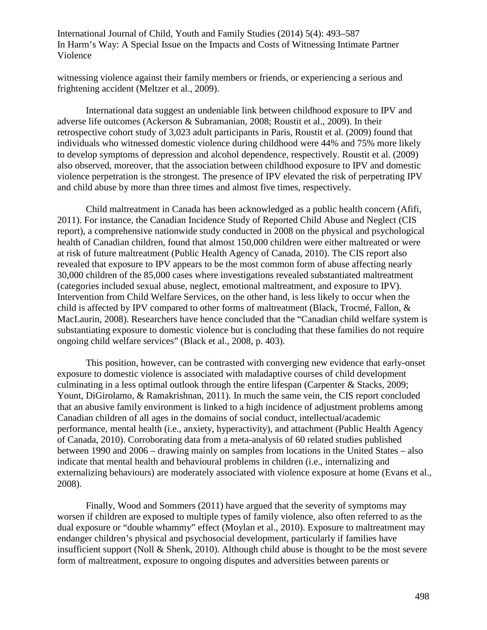witnessing violence against their family members or friends, or experiencing a serious and frightening accident (Meltzer et al., 2009).

International data suggest an undeniable link between childhood exposure to IPV and adverse life outcomes (Ackerson & Subramanian, 2008; Roustit et al., 2009). In their retrospective cohort study of 3,023 adult participants in Paris, Roustit et al. (2009) found that individuals who witnessed domestic violence during childhood were 44% and 75% more likely to develop symptoms of depression and alcohol dependence, respectively. Roustit et al. (2009) also observed, moreover, that the association between childhood exposure to IPV and domestic violence perpetration is the strongest. The presence of IPV elevated the risk of perpetrating IPV and child abuse by more than three times and almost five times, respectively.

Child maltreatment in Canada has been acknowledged as a public health concern (Afifi, 2011). For instance, the Canadian Incidence Study of Reported Child Abuse and Neglect (CIS report), a comprehensive nationwide study conducted in 2008 on the physical and psychological health of Canadian children, found that almost 150,000 children were either maltreated or were at risk of future maltreatment (Public Health Agency of Canada, 2010). The CIS report also revealed that exposure to IPV appears to be the most common form of abuse affecting nearly 30,000 children of the 85,000 cases where investigations revealed substantiated maltreatment (categories included sexual abuse, neglect, emotional maltreatment, and exposure to IPV). Intervention from Child Welfare Services, on the other hand, is less likely to occur when the child is affected by IPV compared to other forms of maltreatment (Black, Trocmé, Fallon, & MacLaurin, 2008). Researchers have hence concluded that the "Canadian child welfare system is substantiating exposure to domestic violence but is concluding that these families do not require ongoing child welfare services" (Black et al., 2008, p. 403).

This position, however, can be contrasted with converging new evidence that early-onset exposure to domestic violence is associated with maladaptive courses of child development culminating in a less optimal outlook through the entire lifespan (Carpenter & Stacks, 2009; Yount, DiGirolamo, & Ramakrishnan, 2011). In much the same vein, the CIS report concluded that an abusive family environment is linked to a high incidence of adjustment problems among Canadian children of all ages in the domains of social conduct, intellectual/academic performance, mental health (i.e., anxiety, hyperactivity), and attachment (Public Health Agency of Canada, 2010). Corroborating data from a meta-analysis of 60 related studies published between 1990 and 2006 – drawing mainly on samples from locations in the United States – also indicate that mental health and behavioural problems in children (i.e., internalizing and externalizing behaviours) are moderately associated with violence exposure at home (Evans et al., 2008).

Finally, Wood and Sommers (2011) have argued that the severity of symptoms may worsen if children are exposed to multiple types of family violence, also often referred to as the dual exposure or "double whammy" effect (Moylan et al., 2010). Exposure to maltreatment may endanger children's physical and psychosocial development, particularly if families have insufficient support (Noll & Shenk, 2010). Although child abuse is thought to be the most severe form of maltreatment, exposure to ongoing disputes and adversities between parents or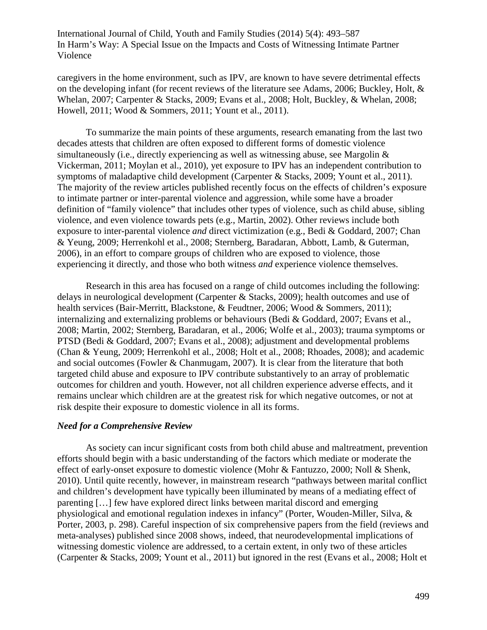caregivers in the home environment, such as IPV, are known to have severe detrimental effects on the developing infant (for recent reviews of the literature see Adams, 2006; Buckley, Holt,  $\&$ Whelan, 2007; Carpenter & Stacks, 2009; Evans et al., 2008; Holt, Buckley, & Whelan, 2008; Howell, 2011; Wood & Sommers, 2011; Yount et al., 2011).

To summarize the main points of these arguments, research emanating from the last two decades attests that children are often exposed to different forms of domestic violence simultaneously (i.e., directly experiencing as well as witnessing abuse, see Margolin & Vickerman, 2011; Moylan et al., 2010), yet exposure to IPV has an independent contribution to symptoms of maladaptive child development (Carpenter & Stacks, 2009; Yount et al., 2011). The majority of the review articles published recently focus on the effects of children's exposure to intimate partner or inter-parental violence and aggression, while some have a broader definition of "family violence" that includes other types of violence, such as child abuse, sibling violence, and even violence towards pets (e.g., Martin, 2002). Other reviews include both exposure to inter-parental violence *and* direct victimization (e.g., Bedi & Goddard, 2007; Chan & Yeung, 2009; Herrenkohl et al., 2008; Sternberg, Baradaran, Abbott, Lamb, & Guterman, 2006), in an effort to compare groups of children who are exposed to violence, those experiencing it directly, and those who both witness *and* experience violence themselves.

Research in this area has focused on a range of child outcomes including the following: delays in neurological development (Carpenter & Stacks, 2009); health outcomes and use of health services (Bair-Merritt, Blackstone, & Feudtner, 2006; Wood & Sommers, 2011); internalizing and externalizing problems or behaviours (Bedi & Goddard, 2007; Evans et al., 2008; Martin, 2002; Sternberg, Baradaran, et al., 2006; Wolfe et al., 2003); trauma symptoms or PTSD (Bedi & Goddard, 2007; Evans et al., 2008); adjustment and developmental problems (Chan & Yeung, 2009; Herrenkohl et al., 2008; Holt et al., 2008; Rhoades, 2008); and academic and social outcomes (Fowler & Chanmugam, 2007). It is clear from the literature that both targeted child abuse and exposure to IPV contribute substantively to an array of problematic outcomes for children and youth. However, not all children experience adverse effects, and it remains unclear which children are at the greatest risk for which negative outcomes, or not at risk despite their exposure to domestic violence in all its forms.

#### *Need for a Comprehensive Review*

As society can incur significant costs from both child abuse and maltreatment, prevention efforts should begin with a basic understanding of the factors which mediate or moderate the effect of early-onset exposure to domestic violence (Mohr & Fantuzzo, 2000; Noll & Shenk, 2010). Until quite recently, however, in mainstream research "pathways between marital conflict and children's development have typically been illuminated by means of a mediating effect of parenting […] few have explored direct links between marital discord and emerging physiological and emotional regulation indexes in infancy" (Porter, Wouden-Miller, Silva, & Porter, 2003, p. 298). Careful inspection of six comprehensive papers from the field (reviews and meta-analyses) published since 2008 shows, indeed, that neurodevelopmental implications of witnessing domestic violence are addressed, to a certain extent, in only two of these articles (Carpenter & Stacks, 2009; Yount et al., 2011) but ignored in the rest (Evans et al., 2008; Holt et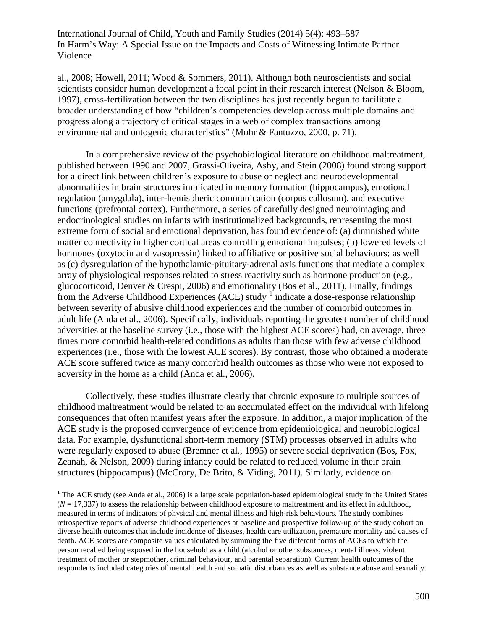al., 2008; Howell, 2011; Wood & Sommers, 2011). Although both neuroscientists and social scientists consider human development a focal point in their research interest (Nelson & Bloom, 1997), cross-fertilization between the two disciplines has just recently begun to facilitate a broader understanding of how "children's competencies develop across multiple domains and progress along a trajectory of critical stages in a web of complex transactions among environmental and ontogenic characteristics" (Mohr & Fantuzzo, 2000, p. 71).

In a comprehensive review of the psychobiological literature on childhood maltreatment, published between 1990 and 2007, Grassi-Oliveira, Ashy, and Stein (2008) found strong support for a direct link between children's exposure to abuse or neglect and neurodevelopmental abnormalities in brain structures implicated in memory formation (hippocampus), emotional regulation (amygdala), inter-hemispheric communication (corpus callosum), and executive functions (prefrontal cortex). Furthermore, a series of carefully designed neuroimaging and endocrinological studies on infants with institutionalized backgrounds, representing the most extreme form of social and emotional deprivation, has found evidence of: (a) diminished white matter connectivity in higher cortical areas controlling emotional impulses; (b) lowered levels of hormones (oxytocin and vasopressin) linked to affiliative or positive social behaviours; as well as (c) dysregulation of the hypothalamic-pituitary-adrenal axis functions that mediate a complex array of physiological responses related to stress reactivity such as hormone production (e.g., glucocorticoid, Denver & Crespi, 2006) and emotionality (Bos et al., 2011). Finally, findings from the Adverse Childhood Experiences (ACE) study  $\frac{1}{1}$  $\frac{1}{1}$  $\frac{1}{1}$  indicate a dose-response relationship between severity of abusive childhood experiences and the number of comorbid outcomes in adult life (Anda et al., 2006). Specifically, individuals reporting the greatest number of childhood adversities at the baseline survey (i.e., those with the highest ACE scores) had, on average, three times more comorbid health-related conditions as adults than those with few adverse childhood experiences (i.e., those with the lowest ACE scores). By contrast, those who obtained a moderate ACE score suffered twice as many comorbid health outcomes as those who were not exposed to adversity in the home as a child (Anda et al., 2006).

Collectively, these studies illustrate clearly that chronic exposure to multiple sources of childhood maltreatment would be related to an accumulated effect on the individual with lifelong consequences that often manifest years after the exposure. In addition, a major implication of the ACE study is the proposed convergence of evidence from epidemiological and neurobiological data. For example, dysfunctional short-term memory (STM) processes observed in adults who were regularly exposed to abuse (Bremner et al., 1995) or severe social deprivation (Bos, Fox, Zeanah, & Nelson, 2009) during infancy could be related to reduced volume in their brain structures (hippocampus) (McCrory, De Brito, & Viding, 2011). Similarly, evidence on

<span id="page-7-0"></span><sup>&</sup>lt;sup>1</sup> The ACE study (see Anda et al., 2006) is a large scale population-based epidemiological study in the United States  $(N = 17,337)$  to assess the relationship between childhood exposure to maltreatment and its effect in adulthood, measured in terms of indicators of physical and mental illness and high-risk behaviours. The study combines retrospective reports of adverse childhood experiences at baseline and prospective follow-up of the study cohort on diverse health outcomes that include incidence of diseases, health care utilization, premature mortality and causes of death. ACE scores are composite values calculated by summing the five different forms of ACEs to which the person recalled being exposed in the household as a child (alcohol or other substances, mental illness, violent treatment of mother or stepmother, criminal behaviour, and parental separation). Current health outcomes of the respondents included categories of mental health and somatic disturbances as well as substance abuse and sexuality.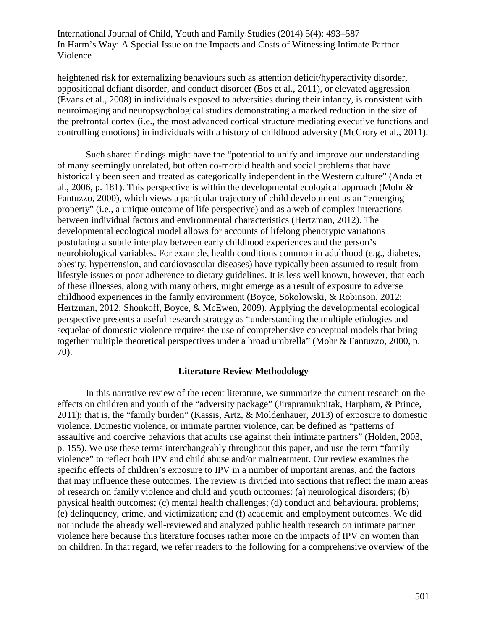heightened risk for externalizing behaviours such as attention deficit/hyperactivity disorder, oppositional defiant disorder, and conduct disorder (Bos et al., 2011), or elevated aggression (Evans et al., 2008) in individuals exposed to adversities during their infancy, is consistent with neuroimaging and neuropsychological studies demonstrating a marked reduction in the size of the prefrontal cortex (i.e., the most advanced cortical structure mediating executive functions and controlling emotions) in individuals with a history of childhood adversity (McCrory et al., 2011).

Such shared findings might have the "potential to unify and improve our understanding of many seemingly unrelated, but often co-morbid health and social problems that have historically been seen and treated as categorically independent in the Western culture" (Anda et al., 2006, p. 181). This perspective is within the developmental ecological approach (Mohr & Fantuzzo, 2000), which views a particular trajectory of child development as an "emerging property" (i.e., a unique outcome of life perspective) and as a web of complex interactions between individual factors and environmental characteristics (Hertzman, 2012). The developmental ecological model allows for accounts of lifelong phenotypic variations postulating a subtle interplay between early childhood experiences and the person's neurobiological variables. For example, health conditions common in adulthood (e.g., diabetes, obesity, hypertension, and cardiovascular diseases) have typically been assumed to result from lifestyle issues or poor adherence to dietary guidelines. It is less well known, however, that each of these illnesses, along with many others, might emerge as a result of exposure to adverse childhood experiences in the family environment (Boyce, Sokolowski, & Robinson, 2012; Hertzman, 2012; Shonkoff, Boyce, & McEwen, 2009). Applying the developmental ecological perspective presents a useful research strategy as "understanding the multiple etiologies and sequelae of domestic violence requires the use of comprehensive conceptual models that bring together multiple theoretical perspectives under a broad umbrella" (Mohr & Fantuzzo, 2000, p. 70).

## **Literature Review Methodology**

In this narrative review of the recent literature, we summarize the current research on the effects on children and youth of the "adversity package" (Jirapramukpitak, Harpham, & Prince, 2011); that is, the "family burden" (Kassis, Artz, & Moldenhauer, 2013) of exposure to domestic violence. Domestic violence, or intimate partner violence, can be defined as "patterns of assaultive and coercive behaviors that adults use against their intimate partners" (Holden, 2003, p. 155). We use these terms interchangeably throughout this paper, and use the term "family violence" to reflect both IPV and child abuse and/or maltreatment. Our review examines the specific effects of children's exposure to IPV in a number of important arenas, and the factors that may influence these outcomes. The review is divided into sections that reflect the main areas of research on family violence and child and youth outcomes: (a) neurological disorders; (b) physical health outcomes; (c) mental health challenges; (d) conduct and behavioural problems; (e) delinquency, crime, and victimization; and (f) academic and employment outcomes. We did not include the already well-reviewed and analyzed public health research on intimate partner violence here because this literature focuses rather more on the impacts of IPV on women than on children. In that regard, we refer readers to the following for a comprehensive overview of the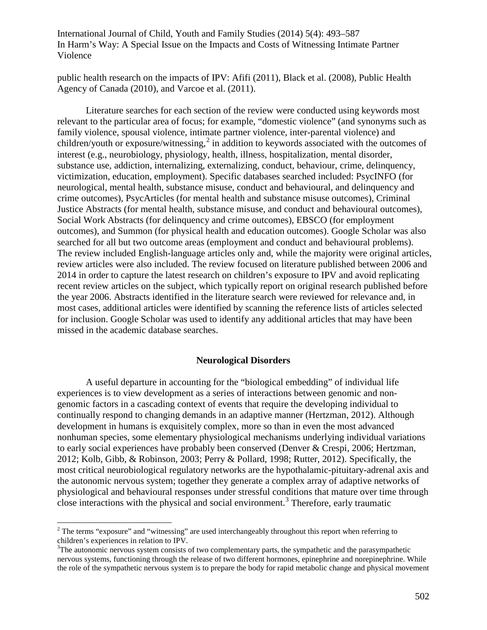public health research on the impacts of IPV: Afifi (2011), Black et al. (2008), Public Health Agency of Canada (2010), and Varcoe et al. (2011).

Literature searches for each section of the review were conducted using keywords most relevant to the particular area of focus; for example, "domestic violence" (and synonyms such as family violence, spousal violence, intimate partner violence, inter-parental violence) and children/youth or exposure/witnessing,<sup>[2](#page-9-0)</sup> in addition to keywords associated with the outcomes of interest (e.g., neurobiology, physiology, health, illness, hospitalization, mental disorder, substance use, addiction, internalizing, externalizing, conduct, behaviour, crime, delinquency, victimization, education, employment). Specific databases searched included: PsycINFO (for neurological, mental health, substance misuse, conduct and behavioural, and delinquency and crime outcomes), PsycArticles (for mental health and substance misuse outcomes), Criminal Justice Abstracts (for mental health, substance misuse, and conduct and behavioural outcomes), Social Work Abstracts (for delinquency and crime outcomes), EBSCO (for employment outcomes), and Summon (for physical health and education outcomes). Google Scholar was also searched for all but two outcome areas (employment and conduct and behavioural problems). The review included English-language articles only and, while the majority were original articles, review articles were also included. The review focused on literature published between 2006 and 2014 in order to capture the latest research on children's exposure to IPV and avoid replicating recent review articles on the subject, which typically report on original research published before the year 2006. Abstracts identified in the literature search were reviewed for relevance and, in most cases, additional articles were identified by scanning the reference lists of articles selected for inclusion. Google Scholar was used to identify any additional articles that may have been missed in the academic database searches.

#### **Neurological Disorders**

A useful departure in accounting for the "biological embedding" of individual life experiences is to view development as a series of interactions between genomic and nongenomic factors in a cascading context of events that require the developing individual to continually respond to changing demands in an adaptive manner (Hertzman, 2012). Although development in humans is exquisitely complex, more so than in even the most advanced nonhuman species, some elementary physiological mechanisms underlying individual variations to early social experiences have probably been conserved (Denver & Crespi, 2006; Hertzman, 2012; Kolb, Gibb, & Robinson, 2003; Perry & Pollard, 1998; Rutter, 2012). Specifically, the most critical neurobiological regulatory networks are the hypothalamic-pituitary-adrenal axis and the autonomic nervous system; together they generate a complex array of adaptive networks of physiological and behavioural responses under stressful conditions that mature over time through close interactions with the physical and social environment.<sup>[3](#page-9-1)</sup> Therefore, early traumatic

<span id="page-9-0"></span><sup>&</sup>lt;sup>2</sup> The terms "exposure" and "witnessing" are used interchangeably throughout this report when referring to children's experiences in relation to IPV.

<span id="page-9-1"></span> $3$ The autonomic nervous system consists of two complementary parts, the sympathetic and the parasympathetic nervous systems, functioning through the release of two different hormones, epinephrine and norepinephrine. While the role of the sympathetic nervous system is to prepare the body for rapid metabolic change and physical movement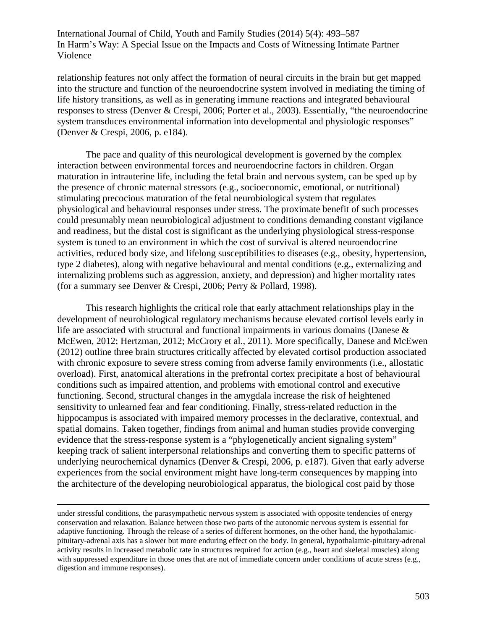relationship features not only affect the formation of neural circuits in the brain but get mapped into the structure and function of the neuroendocrine system involved in mediating the timing of life history transitions, as well as in generating immune reactions and integrated behavioural responses to stress (Denver & Crespi, 2006; Porter et al., 2003). Essentially, "the neuroendocrine system transduces environmental information into developmental and physiologic responses" (Denver & Crespi, 2006, p. e184).

The pace and quality of this neurological development is governed by the complex interaction between environmental forces and neuroendocrine factors in children. Organ maturation in intrauterine life, including the fetal brain and nervous system, can be sped up by the presence of chronic maternal stressors (e.g., socioeconomic, emotional, or nutritional) stimulating precocious maturation of the fetal neurobiological system that regulates physiological and behavioural responses under stress. The proximate benefit of such processes could presumably mean neurobiological adjustment to conditions demanding constant vigilance and readiness, but the distal cost is significant as the underlying physiological stress-response system is tuned to an environment in which the cost of survival is altered neuroendocrine activities, reduced body size, and lifelong susceptibilities to diseases (e.g., obesity, hypertension, type 2 diabetes), along with negative behavioural and mental conditions (e.g., externalizing and internalizing problems such as aggression, anxiety, and depression) and higher mortality rates (for a summary see Denver & Crespi, 2006; Perry & Pollard, 1998).

This research highlights the critical role that early attachment relationships play in the development of neurobiological regulatory mechanisms because elevated cortisol levels early in life are associated with structural and functional impairments in various domains (Danese & McEwen, 2012; Hertzman, 2012; McCrory et al., 2011). More specifically, Danese and McEwen (2012) outline three brain structures critically affected by elevated cortisol production associated with chronic exposure to severe stress coming from adverse family environments (i.e., allostatic overload). First, anatomical alterations in the prefrontal cortex precipitate a host of behavioural conditions such as impaired attention, and problems with emotional control and executive functioning. Second, structural changes in the amygdala increase the risk of heightened sensitivity to unlearned fear and fear conditioning. Finally, stress-related reduction in the hippocampus is associated with impaired memory processes in the declarative, contextual, and spatial domains. Taken together, findings from animal and human studies provide converging evidence that the stress-response system is a "phylogenetically ancient signaling system" keeping track of salient interpersonal relationships and converting them to specific patterns of underlying neurochemical dynamics (Denver & Crespi, 2006, p. e187). Given that early adverse experiences from the social environment might have long-term consequences by mapping into the architecture of the developing neurobiological apparatus, the biological cost paid by those

under stressful conditions, the parasympathetic nervous system is associated with opposite tendencies of energy conservation and relaxation. Balance between those two parts of the autonomic nervous system is essential for adaptive functioning. Through the release of a series of different hormones, on the other hand, the hypothalamicpituitary-adrenal axis has a slower but more enduring effect on the body. In general, hypothalamic-pituitary-adrenal activity results in increased metabolic rate in structures required for action (e.g., heart and skeletal muscles) along with suppressed expenditure in those ones that are not of immediate concern under conditions of acute stress (e.g., digestion and immune responses).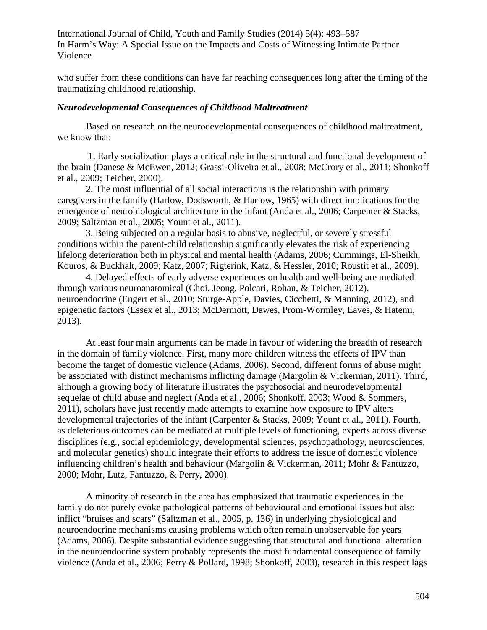who suffer from these conditions can have far reaching consequences long after the timing of the traumatizing childhood relationship.

#### *Neurodevelopmental Consequences of Childhood Maltreatment*

Based on research on the neurodevelopmental consequences of childhood maltreatment, we know that:

1. Early socialization plays a critical role in the structural and functional development of the brain (Danese & McEwen, 2012; Grassi-Oliveira et al., 2008; McCrory et al., 2011; Shonkoff et al., 2009; Teicher, 2000).

2. The most influential of all social interactions is the relationship with primary caregivers in the family (Harlow, Dodsworth, & Harlow, 1965) with direct implications for the emergence of neurobiological architecture in the infant (Anda et al., 2006; Carpenter & Stacks, 2009; Saltzman et al., 2005; Yount et al., 2011).

3. Being subjected on a regular basis to abusive, neglectful, or severely stressful conditions within the parent-child relationship significantly elevates the risk of experiencing lifelong deterioration both in physical and mental health (Adams, 2006; Cummings, El-Sheikh, Kouros, & Buckhalt, 2009; Katz, 2007; Rigterink, Katz, & Hessler, 2010; Roustit et al., 2009).

4. Delayed effects of early adverse experiences on health and well-being are mediated through various neuroanatomical (Choi, Jeong, Polcari, Rohan, & Teicher, 2012), neuroendocrine (Engert et al., 2010; Sturge-Apple, Davies, Cicchetti, & Manning, 2012), and epigenetic factors (Essex et al., 2013; McDermott, Dawes, Prom-Wormley, Eaves, & Hatemi, 2013).

At least four main arguments can be made in favour of widening the breadth of research in the domain of family violence. First, many more children witness the effects of IPV than become the target of domestic violence (Adams, 2006). Second, different forms of abuse might be associated with distinct mechanisms inflicting damage (Margolin & Vickerman, 2011). Third, although a growing body of literature illustrates the psychosocial and neurodevelopmental sequelae of child abuse and neglect (Anda et al., 2006; Shonkoff, 2003; Wood & Sommers, 2011), scholars have just recently made attempts to examine how exposure to IPV alters developmental trajectories of the infant (Carpenter & Stacks, 2009; Yount et al., 2011). Fourth, as deleterious outcomes can be mediated at multiple levels of functioning, experts across diverse disciplines (e.g., social epidemiology, developmental sciences, psychopathology, neurosciences, and molecular genetics) should integrate their efforts to address the issue of domestic violence influencing children's health and behaviour (Margolin & Vickerman, 2011; Mohr & Fantuzzo, 2000; Mohr, Lutz, Fantuzzo, & Perry, 2000).

A minority of research in the area has emphasized that traumatic experiences in the family do not purely evoke pathological patterns of behavioural and emotional issues but also inflict "bruises and scars" (Saltzman et al., 2005, p. 136) in underlying physiological and neuroendocrine mechanisms causing problems which often remain unobservable for years (Adams, 2006). Despite substantial evidence suggesting that structural and functional alteration in the neuroendocrine system probably represents the most fundamental consequence of family violence (Anda et al., 2006; Perry & Pollard, 1998; Shonkoff, 2003), research in this respect lags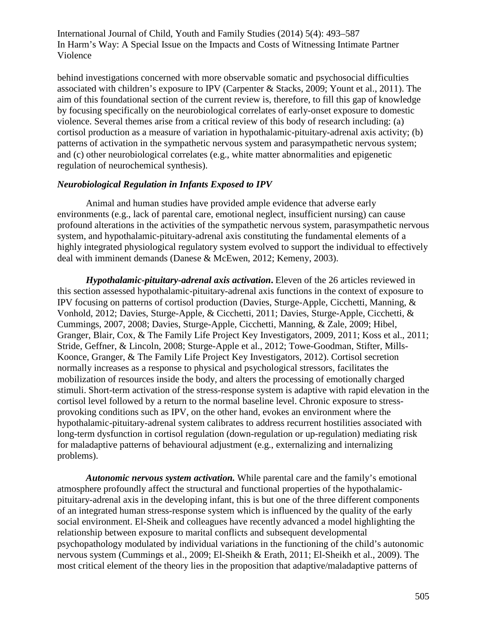behind investigations concerned with more observable somatic and psychosocial difficulties associated with children's exposure to IPV (Carpenter & Stacks, 2009; Yount et al., 2011). The aim of this foundational section of the current review is, therefore, to fill this gap of knowledge by focusing specifically on the neurobiological correlates of early-onset exposure to domestic violence. Several themes arise from a critical review of this body of research including: (a) cortisol production as a measure of variation in hypothalamic-pituitary-adrenal axis activity; (b) patterns of activation in the sympathetic nervous system and parasympathetic nervous system; and (c) other neurobiological correlates (e.g., white matter abnormalities and epigenetic regulation of neurochemical synthesis).

#### *Neurobiological Regulation in Infants Exposed to IPV*

Animal and human studies have provided ample evidence that adverse early environments (e.g., lack of parental care, emotional neglect, insufficient nursing) can cause profound alterations in the activities of the sympathetic nervous system, parasympathetic nervous system, and hypothalamic-pituitary-adrenal axis constituting the fundamental elements of a highly integrated physiological regulatory system evolved to support the individual to effectively deal with imminent demands (Danese & McEwen, 2012; Kemeny, 2003).

*Hypothalamic-pituitary-adrenal axis activation***.** Eleven of the 26 articles reviewed in this section assessed hypothalamic-pituitary-adrenal axis functions in the context of exposure to IPV focusing on patterns of cortisol production (Davies, Sturge-Apple, Cicchetti, Manning, & Vonhold, 2012; Davies, Sturge-Apple, & Cicchetti, 2011; Davies, Sturge-Apple, Cicchetti, & Cummings, 2007, 2008; Davies, Sturge-Apple, Cicchetti, Manning, & Zale, 2009; Hibel, Granger, Blair, Cox, & The Family Life Project Key Investigators, 2009, 2011; Koss et al., 2011; Stride, Geffner, & Lincoln, 2008; Sturge-Apple et al., 2012; Towe-Goodman, Stifter, Mills-Koonce, Granger, & The Family Life Project Key Investigators, 2012). Cortisol secretion normally increases as a response to physical and psychological stressors, facilitates the mobilization of resources inside the body, and alters the processing of emotionally charged stimuli. Short-term activation of the stress-response system is adaptive with rapid elevation in the cortisol level followed by a return to the normal baseline level. Chronic exposure to stressprovoking conditions such as IPV, on the other hand, evokes an environment where the hypothalamic-pituitary-adrenal system calibrates to address recurrent hostilities associated with long-term dysfunction in cortisol regulation (down-regulation or up-regulation) mediating risk for maladaptive patterns of behavioural adjustment (e.g., externalizing and internalizing problems).

*Autonomic nervous system activation.* While parental care and the family's emotional atmosphere profoundly affect the structural and functional properties of the hypothalamicpituitary-adrenal axis in the developing infant, this is but one of the three different components of an integrated human stress-response system which is influenced by the quality of the early social environment. El-Sheik and colleagues have recently advanced a model highlighting the relationship between exposure to marital conflicts and subsequent developmental psychopathology modulated by individual variations in the functioning of the child's autonomic nervous system (Cummings et al., 2009; El-Sheikh & Erath, 2011; El-Sheikh et al., 2009). The most critical element of the theory lies in the proposition that adaptive/maladaptive patterns of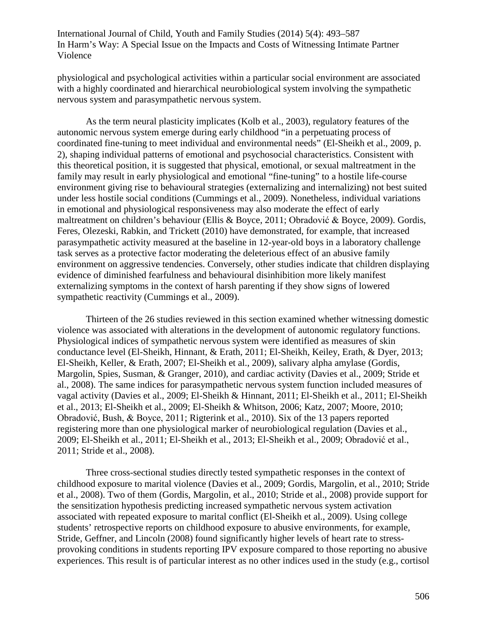physiological and psychological activities within a particular social environment are associated with a highly coordinated and hierarchical neurobiological system involving the sympathetic nervous system and parasympathetic nervous system.

As the term neural plasticity implicates (Kolb et al., 2003), regulatory features of the autonomic nervous system emerge during early childhood "in a perpetuating process of coordinated fine-tuning to meet individual and environmental needs" (El-Sheikh et al., 2009, p. 2), shaping individual patterns of emotional and psychosocial characteristics. Consistent with this theoretical position, it is suggested that physical, emotional, or sexual maltreatment in the family may result in early physiological and emotional "fine-tuning" to a hostile life-course environment giving rise to behavioural strategies (externalizing and internalizing) not best suited under less hostile social conditions (Cummings et al., 2009). Nonetheless, individual variations in emotional and physiological responsiveness may also moderate the effect of early maltreatment on children's behaviour (Ellis & Boyce, 2011; Obradović & Boyce, 2009). Gordis, Feres, Olezeski, Rabkin, and Trickett (2010) have demonstrated, for example, that increased parasympathetic activity measured at the baseline in 12-year-old boys in a laboratory challenge task serves as a protective factor moderating the deleterious effect of an abusive family environment on aggressive tendencies. Conversely, other studies indicate that children displaying evidence of diminished fearfulness and behavioural disinhibition more likely manifest externalizing symptoms in the context of harsh parenting if they show signs of lowered sympathetic reactivity (Cummings et al., 2009).

Thirteen of the 26 studies reviewed in this section examined whether witnessing domestic violence was associated with alterations in the development of autonomic regulatory functions. Physiological indices of sympathetic nervous system were identified as measures of skin conductance level (El-Sheikh, Hinnant, & Erath, 2011; El-Sheikh, Keiley, Erath, & Dyer, 2013; El-Sheikh, Keller, & Erath, 2007; El-Sheikh et al., 2009), salivary alpha amylase (Gordis, Margolin, Spies, Susman, & Granger, 2010), and cardiac activity (Davies et al., 2009; Stride et al., 2008). The same indices for parasympathetic nervous system function included measures of vagal activity (Davies et al., 2009; El-Sheikh & Hinnant, 2011; El-Sheikh et al., 2011; El-Sheikh et al., 2013; El-Sheikh et al., 2009; El-Sheikh & Whitson, 2006; Katz, 2007; Moore, 2010; Obradović, Bush, & Boyce, 2011; Rigterink et al., 2010). Six of the 13 papers reported registering more than one physiological marker of neurobiological regulation (Davies et al., 2009; El-Sheikh et al., 2011; El-Sheikh et al., 2013; El-Sheikh et al., 2009; Obradović et al., 2011; Stride et al., 2008).

Three cross-sectional studies directly tested sympathetic responses in the context of childhood exposure to marital violence (Davies et al., 2009; Gordis, Margolin, et al., 2010; Stride et al., 2008). Two of them (Gordis, Margolin, et al., 2010; Stride et al., 2008) provide support for the sensitization hypothesis predicting increased sympathetic nervous system activation associated with repeated exposure to marital conflict (El-Sheikh et al., 2009). Using college students' retrospective reports on childhood exposure to abusive environments, for example, Stride, Geffner, and Lincoln (2008) found significantly higher levels of heart rate to stressprovoking conditions in students reporting IPV exposure compared to those reporting no abusive experiences. This result is of particular interest as no other indices used in the study (e.g., cortisol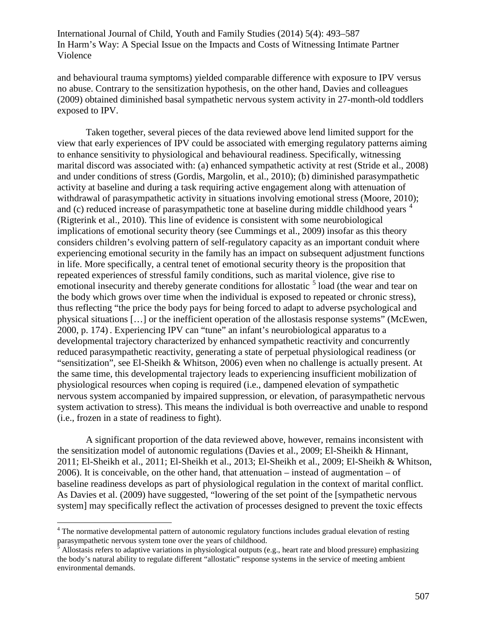and behavioural trauma symptoms) yielded comparable difference with exposure to IPV versus no abuse. Contrary to the sensitization hypothesis, on the other hand, Davies and colleagues (2009) obtained diminished basal sympathetic nervous system activity in 27-month-old toddlers exposed to IPV.

Taken together, several pieces of the data reviewed above lend limited support for the view that early experiences of IPV could be associated with emerging regulatory patterns aiming to enhance sensitivity to physiological and behavioural readiness. Specifically, witnessing marital discord was associated with: (a) enhanced sympathetic activity at rest (Stride et al., 2008) and under conditions of stress (Gordis, Margolin, et al., 2010); (b) diminished parasympathetic activity at baseline and during a task requiring active engagement along with attenuation of withdrawal of parasympathetic activity in situations involving emotional stress (Moore, 2010); and (c) reduced increase of parasympathetic tone at baseline during middle childhood years  $\acute{}$ (Rigterink et al., 2010). This line of evidence is consistent with some neurobiological implications of emotional security theory (see Cummings et al., 2009) insofar as this theory considers children's evolving pattern of self-regulatory capacity as an important conduit where experiencing emotional security in the family has an impact on subsequent adjustment functions in life. More specifically, a central tenet of emotional security theory is the proposition that repeated experiences of stressful family conditions, such as marital violence, give rise to emotional insecurity and thereby generate conditions for allostatic  $5$  load (the wear and tear on the body which grows over time when the individual is exposed to repeated or chronic stress), thus reflecting "the price the body pays for being forced to adapt to adverse psychological and physical situations […] or the inefficient operation of the allostasis response systems" (McEwen, 2000, p. 174) . Experiencing IPV can "tune" an infant's neurobiological apparatus to a developmental trajectory characterized by enhanced sympathetic reactivity and concurrently reduced parasympathetic reactivity, generating a state of perpetual physiological readiness (or "sensitization", see El-Sheikh & Whitson, 2006) even when no challenge is actually present. At the same time, this developmental trajectory leads to experiencing insufficient mobilization of physiological resources when coping is required (i.e., dampened elevation of sympathetic nervous system accompanied by impaired suppression, or elevation, of parasympathetic nervous system activation to stress). This means the individual is both overreactive and unable to respond (i.e., frozen in a state of readiness to fight).

A significant proportion of the data reviewed above, however, remains inconsistent with the sensitization model of autonomic regulations (Davies et al., 2009; El-Sheikh & Hinnant, 2011; El-Sheikh et al., 2011; El-Sheikh et al., 2013; El-Sheikh et al., 2009; El-Sheikh & Whitson, 2006). It is conceivable, on the other hand, that attenuation – instead of augmentation – of baseline readiness develops as part of physiological regulation in the context of marital conflict. As Davies et al. (2009) have suggested, "lowering of the set point of the [sympathetic nervous system] may specifically reflect the activation of processes designed to prevent the toxic effects

<span id="page-14-0"></span><sup>&</sup>lt;sup>4</sup> The normative developmental pattern of autonomic regulatory functions includes gradual elevation of resting parasympathetic nervous system tone over the years of childhood.

<span id="page-14-1"></span>Allostasis refers to adaptive variations in physiological outputs (e.g., heart rate and blood pressure) emphasizing the body's natural ability to regulate different "allostatic" response systems in the service of meeting ambient environmental demands.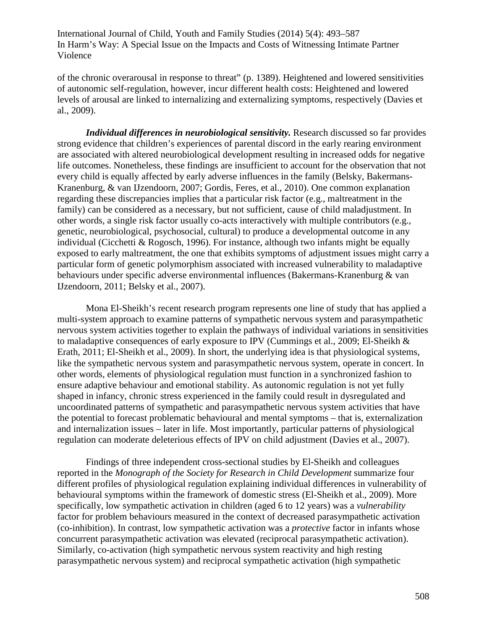of the chronic overarousal in response to threat" (p. 1389). Heightened and lowered sensitivities of autonomic self-regulation, however, incur different health costs: Heightened and lowered levels of arousal are linked to internalizing and externalizing symptoms, respectively (Davies et al., 2009).

*Individual differences in neurobiological sensitivity.* Research discussed so far provides strong evidence that children's experiences of parental discord in the early rearing environment are associated with altered neurobiological development resulting in increased odds for negative life outcomes. Nonetheless, these findings are insufficient to account for the observation that not every child is equally affected by early adverse influences in the family (Belsky, Bakermans-Kranenburg, & van IJzendoorn, 2007; Gordis, Feres, et al., 2010). One common explanation regarding these discrepancies implies that a particular risk factor (e.g., maltreatment in the family) can be considered as a necessary, but not sufficient, cause of child maladjustment. In other words, a single risk factor usually co-acts interactively with multiple contributors (e.g., genetic, neurobiological, psychosocial, cultural) to produce a developmental outcome in any individual (Cicchetti & Rogosch, 1996). For instance, although two infants might be equally exposed to early maltreatment, the one that exhibits symptoms of adjustment issues might carry a particular form of genetic polymorphism associated with increased vulnerability to maladaptive behaviours under specific adverse environmental influences (Bakermans-Kranenburg & van IJzendoorn, 2011; Belsky et al., 2007).

Mona El-Sheikh's recent research program represents one line of study that has applied a multi-system approach to examine patterns of sympathetic nervous system and parasympathetic nervous system activities together to explain the pathways of individual variations in sensitivities to maladaptive consequences of early exposure to IPV (Cummings et al., 2009; El-Sheikh & Erath, 2011; El-Sheikh et al., 2009). In short, the underlying idea is that physiological systems, like the sympathetic nervous system and parasympathetic nervous system, operate in concert. In other words, elements of physiological regulation must function in a synchronized fashion to ensure adaptive behaviour and emotional stability. As autonomic regulation is not yet fully shaped in infancy, chronic stress experienced in the family could result in dysregulated and uncoordinated patterns of sympathetic and parasympathetic nervous system activities that have the potential to forecast problematic behavioural and mental symptoms – that is, externalization and internalization issues – later in life. Most importantly, particular patterns of physiological regulation can moderate deleterious effects of IPV on child adjustment (Davies et al., 2007).

Findings of three independent cross-sectional studies by El-Sheikh and colleagues reported in the *Monograph of the Society for Research in Child Development* summarize four different profiles of physiological regulation explaining individual differences in vulnerability of behavioural symptoms within the framework of domestic stress (El-Sheikh et al., 2009). More specifically, low sympathetic activation in children (aged 6 to 12 years) was a *vulnerability* factor for problem behaviours measured in the context of decreased parasympathetic activation (co-inhibition). In contrast, low sympathetic activation was a *protective* factor in infants whose concurrent parasympathetic activation was elevated (reciprocal parasympathetic activation). Similarly, co-activation (high sympathetic nervous system reactivity and high resting parasympathetic nervous system) and reciprocal sympathetic activation (high sympathetic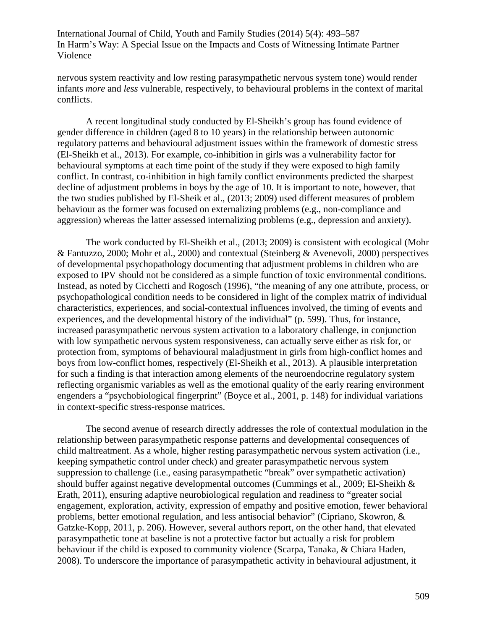nervous system reactivity and low resting parasympathetic nervous system tone) would render infants *more* and *less* vulnerable, respectively, to behavioural problems in the context of marital conflicts.

A recent longitudinal study conducted by El-Sheikh's group has found evidence of gender difference in children (aged 8 to 10 years) in the relationship between autonomic regulatory patterns and behavioural adjustment issues within the framework of domestic stress (El-Sheikh et al., 2013). For example, co-inhibition in girls was a vulnerability factor for behavioural symptoms at each time point of the study if they were exposed to high family conflict. In contrast, co-inhibition in high family conflict environments predicted the sharpest decline of adjustment problems in boys by the age of 10. It is important to note, however, that the two studies published by El-Sheik et al., (2013; 2009) used different measures of problem behaviour as the former was focused on externalizing problems (e.g., non-compliance and aggression) whereas the latter assessed internalizing problems (e.g., depression and anxiety).

The work conducted by El-Sheikh et al., (2013; 2009) is consistent with ecological (Mohr & Fantuzzo, 2000; Mohr et al., 2000) and contextual (Steinberg & Avenevoli, 2000) perspectives of developmental psychopathology documenting that adjustment problems in children who are exposed to IPV should not be considered as a simple function of toxic environmental conditions. Instead, as noted by Cicchetti and Rogosch (1996), "the meaning of any one attribute, process, or psychopathological condition needs to be considered in light of the complex matrix of individual characteristics, experiences, and social-contextual influences involved, the timing of events and experiences, and the developmental history of the individual" (p. 599). Thus, for instance, increased parasympathetic nervous system activation to a laboratory challenge, in conjunction with low sympathetic nervous system responsiveness, can actually serve either as risk for, or protection from, symptoms of behavioural maladjustment in girls from high-conflict homes and boys from low-conflict homes, respectively (El-Sheikh et al., 2013). A plausible interpretation for such a finding is that interaction among elements of the neuroendocrine regulatory system reflecting organismic variables as well as the emotional quality of the early rearing environment engenders a "psychobiological fingerprint" (Boyce et al., 2001, p. 148) for individual variations in context-specific stress-response matrices.

The second avenue of research directly addresses the role of contextual modulation in the relationship between parasympathetic response patterns and developmental consequences of child maltreatment. As a whole, higher resting parasympathetic nervous system activation (i.e., keeping sympathetic control under check) and greater parasympathetic nervous system suppression to challenge (i.e., easing parasympathetic "break" over sympathetic activation) should buffer against negative developmental outcomes (Cummings et al., 2009; El-Sheikh & Erath, 2011), ensuring adaptive neurobiological regulation and readiness to "greater social engagement, exploration, activity, expression of empathy and positive emotion, fewer behavioral problems, better emotional regulation, and less antisocial behavior" (Cipriano, Skowron, & Gatzke-Kopp, 2011, p. 206). However, several authors report, on the other hand, that elevated parasympathetic tone at baseline is not a protective factor but actually a risk for problem behaviour if the child is exposed to community violence (Scarpa, Tanaka, & Chiara Haden, 2008). To underscore the importance of parasympathetic activity in behavioural adjustment, it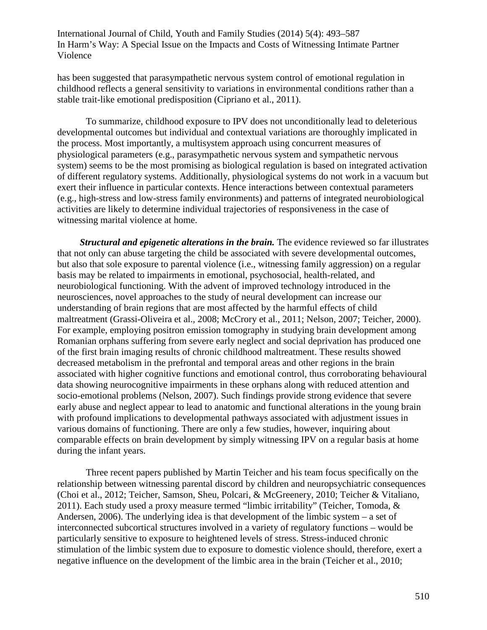has been suggested that parasympathetic nervous system control of emotional regulation in childhood reflects a general sensitivity to variations in environmental conditions rather than a stable trait-like emotional predisposition (Cipriano et al., 2011).

To summarize, childhood exposure to IPV does not unconditionally lead to deleterious developmental outcomes but individual and contextual variations are thoroughly implicated in the process. Most importantly, a multisystem approach using concurrent measures of physiological parameters (e.g., parasympathetic nervous system and sympathetic nervous system) seems to be the most promising as biological regulation is based on integrated activation of different regulatory systems. Additionally, physiological systems do not work in a vacuum but exert their influence in particular contexts. Hence interactions between contextual parameters (e.g., high-stress and low-stress family environments) and patterns of integrated neurobiological activities are likely to determine individual trajectories of responsiveness in the case of witnessing marital violence at home.

*Structural and epigenetic alterations in the brain.* The evidence reviewed so far illustrates that not only can abuse targeting the child be associated with severe developmental outcomes, but also that sole exposure to parental violence (i.e., witnessing family aggression) on a regular basis may be related to impairments in emotional, psychosocial, health-related, and neurobiological functioning. With the advent of improved technology introduced in the neurosciences, novel approaches to the study of neural development can increase our understanding of brain regions that are most affected by the harmful effects of child maltreatment (Grassi-Oliveira et al., 2008; McCrory et al., 2011; Nelson, 2007; Teicher, 2000). For example, employing positron emission tomography in studying brain development among Romanian orphans suffering from severe early neglect and social deprivation has produced one of the first brain imaging results of chronic childhood maltreatment. These results showed decreased metabolism in the prefrontal and temporal areas and other regions in the brain associated with higher cognitive functions and emotional control, thus corroborating behavioural data showing neurocognitive impairments in these orphans along with reduced attention and socio-emotional problems (Nelson, 2007). Such findings provide strong evidence that severe early abuse and neglect appear to lead to anatomic and functional alterations in the young brain with profound implications to developmental pathways associated with adjustment issues in various domains of functioning. There are only a few studies, however, inquiring about comparable effects on brain development by simply witnessing IPV on a regular basis at home during the infant years.

Three recent papers published by Martin Teicher and his team focus specifically on the relationship between witnessing parental discord by children and neuropsychiatric consequences (Choi et al., 2012; Teicher, Samson, Sheu, Polcari, & McGreenery, 2010; Teicher & Vitaliano, 2011). Each study used a proxy measure termed "limbic irritability" (Teicher, Tomoda, & Andersen, 2006). The underlying idea is that development of the limbic system – a set of interconnected subcortical structures involved in a variety of regulatory functions – would be particularly sensitive to exposure to heightened levels of stress. Stress-induced chronic stimulation of the limbic system due to exposure to domestic violence should, therefore, exert a negative influence on the development of the limbic area in the brain (Teicher et al., 2010;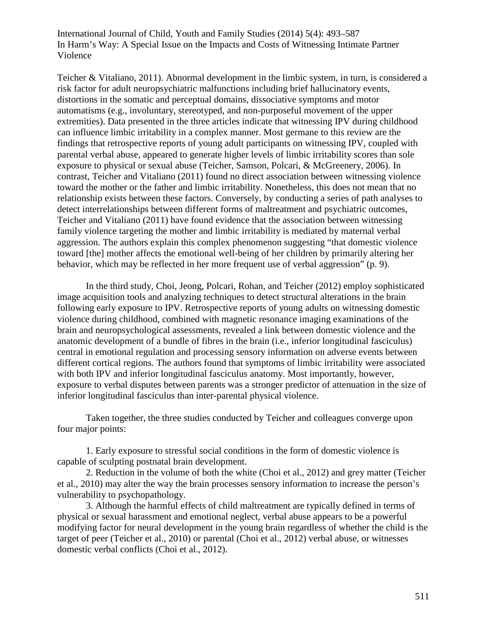Teicher & Vitaliano, 2011). Abnormal development in the limbic system, in turn, is considered a risk factor for adult neuropsychiatric malfunctions including brief hallucinatory events, distortions in the somatic and perceptual domains, dissociative symptoms and motor automatisms (e.g., involuntary, stereotyped, and non-purposeful movement of the upper extremities). Data presented in the three articles indicate that witnessing IPV during childhood can influence limbic irritability in a complex manner. Most germane to this review are the findings that retrospective reports of young adult participants on witnessing IPV, coupled with parental verbal abuse, appeared to generate higher levels of limbic irritability scores than sole exposure to physical or sexual abuse (Teicher, Samson, Polcari, & McGreenery, 2006). In contrast, Teicher and Vitaliano (2011) found no direct association between witnessing violence toward the mother or the father and limbic irritability. Nonetheless, this does not mean that no relationship exists between these factors. Conversely, by conducting a series of path analyses to detect interrelationships between different forms of maltreatment and psychiatric outcomes, Teicher and Vitaliano (2011) have found evidence that the association between witnessing family violence targeting the mother and limbic irritability is mediated by maternal verbal aggression. The authors explain this complex phenomenon suggesting "that domestic violence toward [the] mother affects the emotional well-being of her children by primarily altering her behavior, which may be reflected in her more frequent use of verbal aggression" (p. 9).

In the third study, Choi, Jeong, Polcari, Rohan, and Teicher (2012) employ sophisticated image acquisition tools and analyzing techniques to detect structural alterations in the brain following early exposure to IPV. Retrospective reports of young adults on witnessing domestic violence during childhood, combined with magnetic resonance imaging examinations of the brain and neuropsychological assessments, revealed a link between domestic violence and the anatomic development of a bundle of fibres in the brain (i.e., inferior longitudinal fasciculus) central in emotional regulation and processing sensory information on adverse events between different cortical regions. The authors found that symptoms of limbic irritability were associated with both IPV and inferior longitudinal fasciculus anatomy. Most importantly, however, exposure to verbal disputes between parents was a stronger predictor of attenuation in the size of inferior longitudinal fasciculus than inter-parental physical violence.

Taken together, the three studies conducted by Teicher and colleagues converge upon four major points:

1. Early exposure to stressful social conditions in the form of domestic violence is capable of sculpting postnatal brain development.

2. Reduction in the volume of both the white (Choi et al., 2012) and grey matter (Teicher et al., 2010) may alter the way the brain processes sensory information to increase the person's vulnerability to psychopathology.

3. Although the harmful effects of child maltreatment are typically defined in terms of physical or sexual harassment and emotional neglect, verbal abuse appears to be a powerful modifying factor for neural development in the young brain regardless of whether the child is the target of peer (Teicher et al., 2010) or parental (Choi et al., 2012) verbal abuse, or witnesses domestic verbal conflicts (Choi et al., 2012).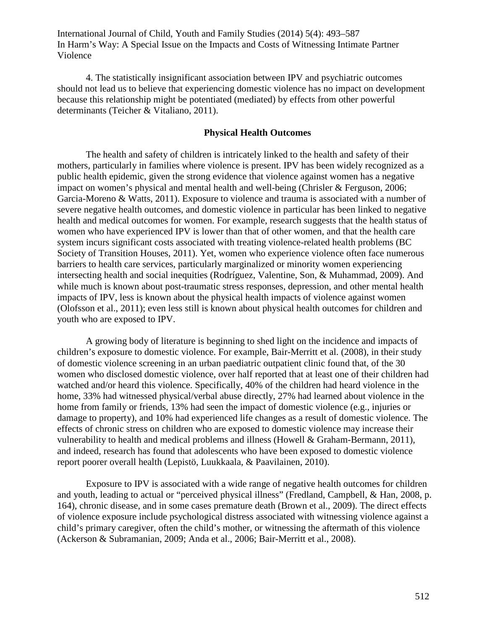4. The statistically insignificant association between IPV and psychiatric outcomes should not lead us to believe that experiencing domestic violence has no impact on development because this relationship might be potentiated (mediated) by effects from other powerful determinants (Teicher & Vitaliano, 2011).

### **Physical Health Outcomes**

The health and safety of children is intricately linked to the health and safety of their mothers, particularly in families where violence is present. IPV has been widely recognized as a public health epidemic, given the strong evidence that violence against women has a negative impact on women's physical and mental health and well-being (Chrisler & Ferguson, 2006; Garcia-Moreno & Watts, 2011). Exposure to violence and trauma is associated with a number of severe negative health outcomes, and domestic violence in particular has been linked to negative health and medical outcomes for women. For example, research suggests that the health status of women who have experienced IPV is lower than that of other women, and that the health care system incurs significant costs associated with treating violence-related health problems (BC Society of Transition Houses, 2011). Yet, women who experience violence often face numerous barriers to health care services, particularly marginalized or minority women experiencing intersecting health and social inequities (Rodríguez, Valentine, Son, & Muhammad, 2009). And while much is known about post-traumatic stress responses, depression, and other mental health impacts of IPV, less is known about the physical health impacts of violence against women (Olofsson et al., 2011); even less still is known about physical health outcomes for children and youth who are exposed to IPV.

A growing body of literature is beginning to shed light on the incidence and impacts of children's exposure to domestic violence. For example, Bair-Merritt et al. (2008), in their study of domestic violence screening in an urban paediatric outpatient clinic found that, of the 30 women who disclosed domestic violence, over half reported that at least one of their children had watched and/or heard this violence. Specifically, 40% of the children had heard violence in the home, 33% had witnessed physical/verbal abuse directly, 27% had learned about violence in the home from family or friends, 13% had seen the impact of domestic violence (e.g., injuries or damage to property), and 10% had experienced life changes as a result of domestic violence. The effects of chronic stress on children who are exposed to domestic violence may increase their vulnerability to health and medical problems and illness (Howell & Graham-Bermann, 2011), and indeed, research has found that adolescents who have been exposed to domestic violence report poorer overall health (Lepistö, Luukkaala, & Paavilainen, 2010).

Exposure to IPV is associated with a wide range of negative health outcomes for children and youth, leading to actual or "perceived physical illness" (Fredland, Campbell, & Han, 2008, p. 164), chronic disease, and in some cases premature death (Brown et al., 2009). The direct effects of violence exposure include psychological distress associated with witnessing violence against a child's primary caregiver, often the child's mother, or witnessing the aftermath of this violence (Ackerson & Subramanian, 2009; Anda et al., 2006; Bair-Merritt et al., 2008).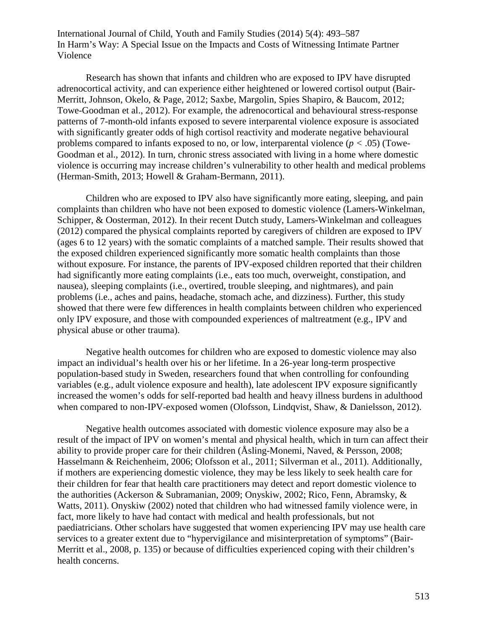Research has shown that infants and children who are exposed to IPV have disrupted adrenocortical activity, and can experience either heightened or lowered cortisol output (Bair-Merritt, Johnson, Okelo, & Page, 2012; Saxbe, Margolin, Spies Shapiro, & Baucom, 2012; Towe-Goodman et al., 2012). For example, the adrenocortical and behavioural stress-response patterns of 7-month-old infants exposed to severe interparental violence exposure is associated with significantly greater odds of high cortisol reactivity and moderate negative behavioural problems compared to infants exposed to no, or low, interparental violence (*p <* .05) (Towe-Goodman et al., 2012). In turn, chronic stress associated with living in a home where domestic violence is occurring may increase children's vulnerability to other health and medical problems (Herman-Smith, 2013; Howell & Graham-Bermann, 2011).

Children who are exposed to IPV also have significantly more eating, sleeping, and pain complaints than children who have not been exposed to domestic violence (Lamers-Winkelman, Schipper, & Oosterman, 2012). In their recent Dutch study, Lamers-Winkelman and colleagues (2012) compared the physical complaints reported by caregivers of children are exposed to IPV (ages 6 to 12 years) with the somatic complaints of a matched sample. Their results showed that the exposed children experienced significantly more somatic health complaints than those without exposure. For instance, the parents of IPV-exposed children reported that their children had significantly more eating complaints (i.e., eats too much, overweight, constipation, and nausea), sleeping complaints (i.e., overtired, trouble sleeping, and nightmares), and pain problems (i.e., aches and pains, headache, stomach ache, and dizziness). Further, this study showed that there were few differences in health complaints between children who experienced only IPV exposure, and those with compounded experiences of maltreatment (e.g., IPV and physical abuse or other trauma).

Negative health outcomes for children who are exposed to domestic violence may also impact an individual's health over his or her lifetime. In a 26-year long-term prospective population-based study in Sweden, researchers found that when controlling for confounding variables (e.g., adult violence exposure and health), late adolescent IPV exposure significantly increased the women's odds for self-reported bad health and heavy illness burdens in adulthood when compared to non-IPV-exposed women (Olofsson, Lindqvist, Shaw, & Danielsson, 2012).

Negative health outcomes associated with domestic violence exposure may also be a result of the impact of IPV on women's mental and physical health, which in turn can affect their ability to provide proper care for their children (Åsling-Monemi, Naved, & Persson, 2008; Hasselmann & Reichenheim, 2006; Olofsson et al., 2011; Silverman et al., 2011). Additionally, if mothers are experiencing domestic violence, they may be less likely to seek health care for their children for fear that health care practitioners may detect and report domestic violence to the authorities (Ackerson & Subramanian, 2009; Onyskiw, 2002; Rico, Fenn, Abramsky, & Watts, 2011). Onyskiw (2002) noted that children who had witnessed family violence were, in fact, more likely to have had contact with medical and health professionals, but not paediatricians. Other scholars have suggested that women experiencing IPV may use health care services to a greater extent due to "hypervigilance and misinterpretation of symptoms" (Bair-Merritt et al., 2008, p. 135) or because of difficulties experienced coping with their children's health concerns.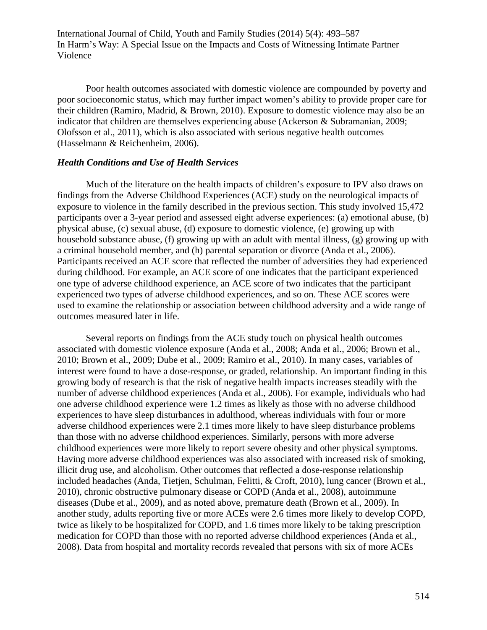Poor health outcomes associated with domestic violence are compounded by poverty and poor socioeconomic status, which may further impact women's ability to provide proper care for their children (Ramiro, Madrid, & Brown, 2010). Exposure to domestic violence may also be an indicator that children are themselves experiencing abuse (Ackerson & Subramanian, 2009; Olofsson et al., 2011), which is also associated with serious negative health outcomes (Hasselmann & Reichenheim, 2006).

### *Health Conditions and Use of Health Services*

Much of the literature on the health impacts of children's exposure to IPV also draws on findings from the Adverse Childhood Experiences (ACE) study on the neurological impacts of exposure to violence in the family described in the previous section. This study involved 15,472 participants over a 3-year period and assessed eight adverse experiences: (a) emotional abuse, (b) physical abuse, (c) sexual abuse, (d) exposure to domestic violence, (e) growing up with household substance abuse, (f) growing up with an adult with mental illness, (g) growing up with a criminal household member, and (h) parental separation or divorce (Anda et al., 2006). Participants received an ACE score that reflected the number of adversities they had experienced during childhood. For example, an ACE score of one indicates that the participant experienced one type of adverse childhood experience, an ACE score of two indicates that the participant experienced two types of adverse childhood experiences, and so on. These ACE scores were used to examine the relationship or association between childhood adversity and a wide range of outcomes measured later in life.

Several reports on findings from the ACE study touch on physical health outcomes associated with domestic violence exposure (Anda et al., 2008; Anda et al., 2006; Brown et al., 2010; Brown et al., 2009; Dube et al., 2009; Ramiro et al., 2010). In many cases, variables of interest were found to have a dose-response, or graded, relationship. An important finding in this growing body of research is that the risk of negative health impacts increases steadily with the number of adverse childhood experiences (Anda et al., 2006). For example, individuals who had one adverse childhood experience were 1.2 times as likely as those with no adverse childhood experiences to have sleep disturbances in adulthood, whereas individuals with four or more adverse childhood experiences were 2.1 times more likely to have sleep disturbance problems than those with no adverse childhood experiences. Similarly, persons with more adverse childhood experiences were more likely to report severe obesity and other physical symptoms. Having more adverse childhood experiences was also associated with increased risk of smoking, illicit drug use, and alcoholism. Other outcomes that reflected a dose-response relationship included headaches (Anda, Tietjen, Schulman, Felitti, & Croft, 2010), lung cancer (Brown et al., 2010), chronic obstructive pulmonary disease or COPD (Anda et al., 2008), autoimmune diseases (Dube et al., 2009), and as noted above, premature death (Brown et al., 2009). In another study, adults reporting five or more ACEs were 2.6 times more likely to develop COPD, twice as likely to be hospitalized for COPD, and 1.6 times more likely to be taking prescription medication for COPD than those with no reported adverse childhood experiences (Anda et al., 2008). Data from hospital and mortality records revealed that persons with six of more ACEs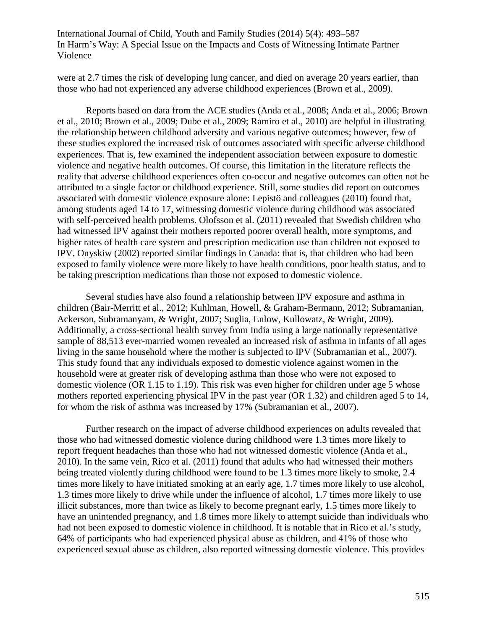were at 2.7 times the risk of developing lung cancer, and died on average 20 years earlier, than those who had not experienced any adverse childhood experiences (Brown et al., 2009).

Reports based on data from the ACE studies (Anda et al., 2008; Anda et al., 2006; Brown et al., 2010; Brown et al., 2009; Dube et al., 2009; Ramiro et al., 2010) are helpful in illustrating the relationship between childhood adversity and various negative outcomes; however, few of these studies explored the increased risk of outcomes associated with specific adverse childhood experiences. That is, few examined the independent association between exposure to domestic violence and negative health outcomes. Of course, this limitation in the literature reflects the reality that adverse childhood experiences often co-occur and negative outcomes can often not be attributed to a single factor or childhood experience. Still, some studies did report on outcomes associated with domestic violence exposure alone: Lepistö and colleagues (2010) found that, among students aged 14 to 17, witnessing domestic violence during childhood was associated with self-perceived health problems. Olofsson et al. (2011) revealed that Swedish children who had witnessed IPV against their mothers reported poorer overall health, more symptoms, and higher rates of health care system and prescription medication use than children not exposed to IPV. Onyskiw (2002) reported similar findings in Canada: that is, that children who had been exposed to family violence were more likely to have health conditions, poor health status, and to be taking prescription medications than those not exposed to domestic violence.

Several studies have also found a relationship between IPV exposure and asthma in children (Bair-Merritt et al., 2012; Kuhlman, Howell, & Graham-Bermann, 2012; Subramanian, Ackerson, Subramanyam, & Wright, 2007; Suglia, Enlow, Kullowatz, & Wright, 2009). Additionally, a cross-sectional health survey from India using a large nationally representative sample of 88,513 ever-married women revealed an increased risk of asthma in infants of all ages living in the same household where the mother is subjected to IPV (Subramanian et al., 2007). This study found that any individuals exposed to domestic violence against women in the household were at greater risk of developing asthma than those who were not exposed to domestic violence (OR 1.15 to 1.19). This risk was even higher for children under age 5 whose mothers reported experiencing physical IPV in the past year (OR 1.32) and children aged 5 to 14, for whom the risk of asthma was increased by 17% (Subramanian et al., 2007).

Further research on the impact of adverse childhood experiences on adults revealed that those who had witnessed domestic violence during childhood were 1.3 times more likely to report frequent headaches than those who had not witnessed domestic violence (Anda et al., 2010). In the same vein, Rico et al. (2011) found that adults who had witnessed their mothers being treated violently during childhood were found to be 1.3 times more likely to smoke, 2.4 times more likely to have initiated smoking at an early age, 1.7 times more likely to use alcohol, 1.3 times more likely to drive while under the influence of alcohol, 1.7 times more likely to use illicit substances, more than twice as likely to become pregnant early, 1.5 times more likely to have an unintended pregnancy, and 1.8 times more likely to attempt suicide than individuals who had not been exposed to domestic violence in childhood. It is notable that in Rico et al.'s study, 64% of participants who had experienced physical abuse as children, and 41% of those who experienced sexual abuse as children, also reported witnessing domestic violence. This provides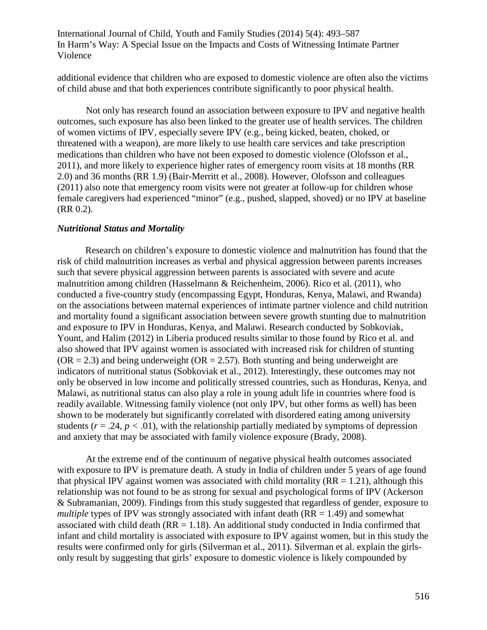additional evidence that children who are exposed to domestic violence are often also the victims of child abuse and that both experiences contribute significantly to poor physical health.

Not only has research found an association between exposure to IPV and negative health outcomes, such exposure has also been linked to the greater use of health services. The children of women victims of IPV, especially severe IPV (e.g., being kicked, beaten, choked, or threatened with a weapon), are more likely to use health care services and take prescription medications than children who have not been exposed to domestic violence (Olofsson et al., 2011), and more likely to experience higher rates of emergency room visits at 18 months (RR 2.0) and 36 months (RR 1.9) (Bair-Merritt et al., 2008). However, Olofsson and colleagues (2011) also note that emergency room visits were not greater at follow-up for children whose female caregivers had experienced "minor" (e.g., pushed, slapped, shoved) or no IPV at baseline (RR 0.2).

### *Nutritional Status and Mortality*

Research on children's exposure to domestic violence and malnutrition has found that the risk of child malnutrition increases as verbal and physical aggression between parents increases such that severe physical aggression between parents is associated with severe and acute malnutrition among children (Hasselmann & Reichenheim, 2006). Rico et al. (2011), who conducted a five-country study (encompassing Egypt, Honduras, Kenya, Malawi, and Rwanda) on the associations between maternal experiences of intimate partner violence and child nutrition and mortality found a significant association between severe growth stunting due to malnutrition and exposure to IPV in Honduras, Kenya, and Malawi. Research conducted by Sobkoviak, Yount, and Halim (2012) in Liberia produced results similar to those found by Rico et al. and also showed that IPV against women is associated with increased risk for children of stunting  $(OR = 2.3)$  and being underweight  $(OR = 2.57)$ . Both stunting and being underweight are indicators of nutritional status (Sobkoviak et al., 2012). Interestingly, these outcomes may not only be observed in low income and politically stressed countries, such as Honduras, Kenya, and Malawi, as nutritional status can also play a role in young adult life in countries where food is readily available. Witnessing family violence (not only IPV, but other forms as well) has been shown to be moderately but significantly correlated with disordered eating among university students ( $r = .24$ ,  $p < .01$ ), with the relationship partially mediated by symptoms of depression and anxiety that may be associated with family violence exposure (Brady, 2008).

At the extreme end of the continuum of negative physical health outcomes associated with exposure to IPV is premature death. A study in India of children under 5 years of age found that physical IPV against women was associated with child mortality  $(RR = 1.21)$ , although this relationship was not found to be as strong for sexual and psychological forms of IPV (Ackerson & Subramanian, 2009). Findings from this study suggested that regardless of gender, exposure to *multiple* types of IPV was strongly associated with infant death  $(RR = 1.49)$  and somewhat associated with child death ( $RR = 1.18$ ). An additional study conducted in India confirmed that infant and child mortality is associated with exposure to IPV against women, but in this study the results were confirmed only for girls (Silverman et al., 2011). Silverman et al. explain the girlsonly result by suggesting that girls' exposure to domestic violence is likely compounded by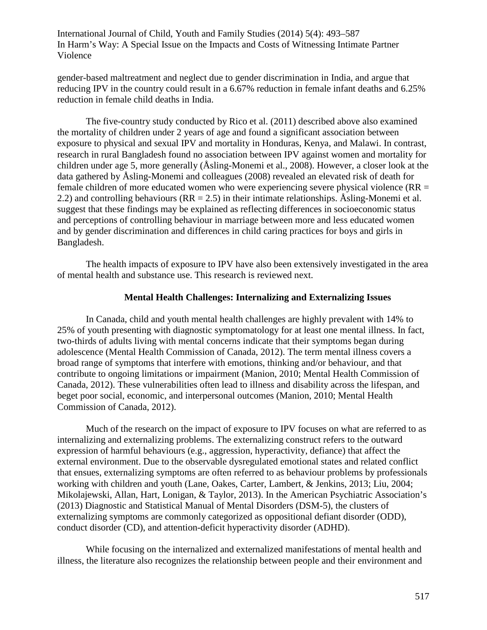gender-based maltreatment and neglect due to gender discrimination in India, and argue that reducing IPV in the country could result in a 6.67% reduction in female infant deaths and 6.25% reduction in female child deaths in India.

The five-country study conducted by Rico et al. (2011) described above also examined the mortality of children under 2 years of age and found a significant association between exposure to physical and sexual IPV and mortality in Honduras, Kenya, and Malawi. In contrast, research in rural Bangladesh found no association between IPV against women and mortality for children under age 5, more generally (Åsling-Monemi et al., 2008). However, a closer look at the data gathered by Åsling-Monemi and colleagues (2008) revealed an elevated risk of death for female children of more educated women who were experiencing severe physical violence ( $RR =$ 2.2) and controlling behaviours ( $RR = 2.5$ ) in their intimate relationships. Asling-Monemi et al. suggest that these findings may be explained as reflecting differences in socioeconomic status and perceptions of controlling behaviour in marriage between more and less educated women and by gender discrimination and differences in child caring practices for boys and girls in Bangladesh.

The health impacts of exposure to IPV have also been extensively investigated in the area of mental health and substance use. This research is reviewed next.

## **Mental Health Challenges: Internalizing and Externalizing Issues**

In Canada, child and youth mental health challenges are highly prevalent with 14% to 25% of youth presenting with diagnostic symptomatology for at least one mental illness. In fact, two-thirds of adults living with mental concerns indicate that their symptoms began during adolescence (Mental Health Commission of Canada, 2012). The term mental illness covers a broad range of symptoms that interfere with emotions, thinking and/or behaviour, and that contribute to ongoing limitations or impairment (Manion, 2010; Mental Health Commission of Canada, 2012). These vulnerabilities often lead to illness and disability across the lifespan, and beget poor social, economic, and interpersonal outcomes (Manion, 2010; Mental Health Commission of Canada, 2012).

Much of the research on the impact of exposure to IPV focuses on what are referred to as internalizing and externalizing problems. The externalizing construct refers to the outward expression of harmful behaviours (e.g., aggression, hyperactivity, defiance) that affect the external environment. Due to the observable dysregulated emotional states and related conflict that ensues, externalizing symptoms are often referred to as behaviour problems by professionals working with children and youth (Lane, Oakes, Carter, Lambert, & Jenkins, 2013; Liu, 2004; Mikolajewski, Allan, Hart, Lonigan, & Taylor, 2013). In the American Psychiatric Association's (2013) Diagnostic and Statistical Manual of Mental Disorders (DSM-5), the clusters of externalizing symptoms are commonly categorized as oppositional defiant disorder (ODD), conduct disorder (CD), and attention-deficit hyperactivity disorder (ADHD).

While focusing on the internalized and externalized manifestations of mental health and illness, the literature also recognizes the relationship between people and their environment and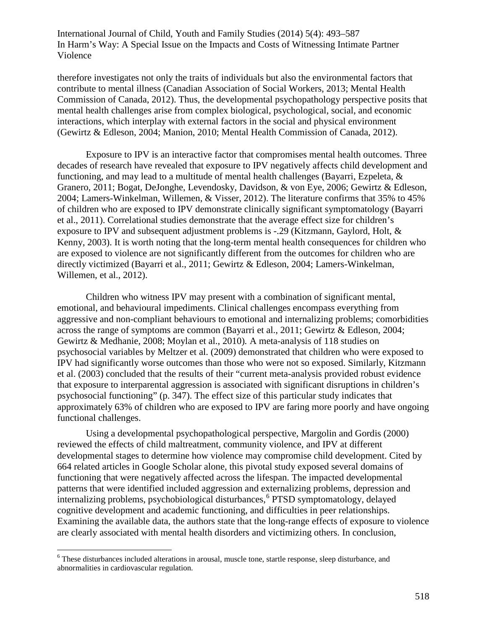therefore investigates not only the traits of individuals but also the environmental factors that contribute to mental illness (Canadian Association of Social Workers, 2013; Mental Health Commission of Canada, 2012). Thus, the developmental psychopathology perspective posits that mental health challenges arise from complex biological, psychological, social, and economic interactions, which interplay with external factors in the social and physical environment (Gewirtz & Edleson, 2004; Manion, 2010; Mental Health Commission of Canada, 2012).

Exposure to IPV is an interactive factor that compromises mental health outcomes. Three decades of research have revealed that exposure to IPV negatively affects child development and functioning, and may lead to a multitude of mental health challenges (Bayarri, Ezpeleta, & Granero, 2011; Bogat, DeJonghe, Levendosky, Davidson, & von Eye, 2006; Gewirtz & Edleson, 2004; Lamers-Winkelman, Willemen, & Visser, 2012). The literature confirms that 35% to 45% of children who are exposed to IPV demonstrate clinically significant symptomatology (Bayarri et al., 2011). Correlational studies demonstrate that the average effect size for children's exposure to IPV and subsequent adjustment problems is -.29 (Kitzmann, Gaylord, Holt, & Kenny, 2003). It is worth noting that the long-term mental health consequences for children who are exposed to violence are not significantly different from the outcomes for children who are directly victimized (Bayarri et al., 2011; Gewirtz & Edleson, 2004; Lamers-Winkelman, Willemen, et al., 2012).

Children who witness IPV may present with a combination of significant mental, emotional, and behavioural impediments. Clinical challenges encompass everything from aggressive and non-compliant behaviours to emotional and internalizing problems; comorbidities across the range of symptoms are common (Bayarri et al., 2011; Gewirtz & Edleson, 2004; Gewirtz & Medhanie, 2008; Moylan et al., 2010)*.* A meta-analysis of 118 studies on psychosocial variables by Meltzer et al. (2009) demonstrated that children who were exposed to IPV had significantly worse outcomes than those who were not so exposed. Similarly, Kitzmann et al. (2003) concluded that the results of their "current meta-analysis provided robust evidence that exposure to interparental aggression is associated with significant disruptions in children's psychosocial functioning" (p. 347). The effect size of this particular study indicates that approximately 63% of children who are exposed to IPV are faring more poorly and have ongoing functional challenges.

Using a developmental psychopathological perspective, Margolin and Gordis (2000) reviewed the effects of child maltreatment, community violence, and IPV at different developmental stages to determine how violence may compromise child development. Cited by 664 related articles in Google Scholar alone, this pivotal study exposed several domains of functioning that were negatively affected across the lifespan. The impacted developmental patterns that were identified included aggression and externalizing problems, depression and internalizing problems, psychobiological disturbances,<sup>[6](#page-25-0)</sup> PTSD symptomatology, delayed cognitive development and academic functioning, and difficulties in peer relationships. Examining the available data, the authors state that the long-range effects of exposure to violence are clearly associated with mental health disorders and victimizing others. In conclusion,

<span id="page-25-0"></span><sup>&</sup>lt;sup>6</sup> These disturbances included alterations in arousal, muscle tone, startle response, sleep disturbance, and abnormalities in cardiovascular regulation.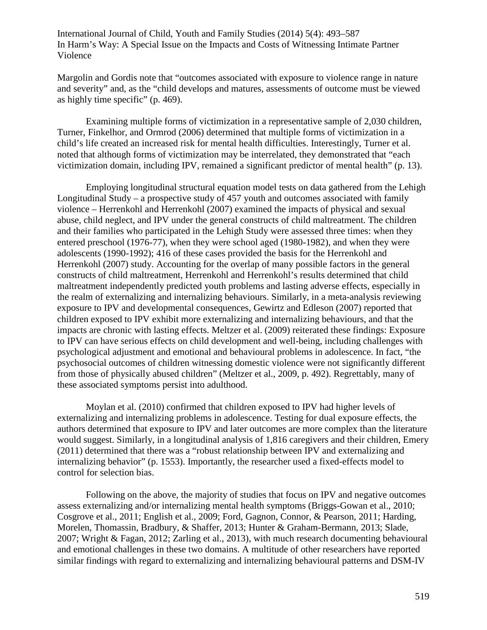Margolin and Gordis note that "outcomes associated with exposure to violence range in nature and severity" and, as the "child develops and matures, assessments of outcome must be viewed as highly time specific" (p. 469).

Examining multiple forms of victimization in a representative sample of 2,030 children, Turner, Finkelhor, and Ormrod (2006) determined that multiple forms of victimization in a child's life created an increased risk for mental health difficulties. Interestingly, Turner et al. noted that although forms of victimization may be interrelated, they demonstrated that "each victimization domain, including IPV, remained a significant predictor of mental health" (p. 13).

Employing longitudinal structural equation model tests on data gathered from the Lehigh Longitudinal Study – a prospective study of 457 youth and outcomes associated with family violence – Herrenkohl and Herrenkohl (2007) examined the impacts of physical and sexual abuse, child neglect, and IPV under the general constructs of child maltreatment. The children and their families who participated in the Lehigh Study were assessed three times: when they entered preschool (1976-77), when they were school aged (1980-1982), and when they were adolescents (1990-1992); 416 of these cases provided the basis for the Herrenkohl and Herrenkohl (2007) study. Accounting for the overlap of many possible factors in the general constructs of child maltreatment, Herrenkohl and Herrenkohl's results determined that child maltreatment independently predicted youth problems and lasting adverse effects, especially in the realm of externalizing and internalizing behaviours. Similarly, in a meta-analysis reviewing exposure to IPV and developmental consequences, Gewirtz and Edleson (2007) reported that children exposed to IPV exhibit more externalizing and internalizing behaviours, and that the impacts are chronic with lasting effects. Meltzer et al. (2009) reiterated these findings: Exposure to IPV can have serious effects on child development and well-being, including challenges with psychological adjustment and emotional and behavioural problems in adolescence. In fact, "the psychosocial outcomes of children witnessing domestic violence were not significantly different from those of physically abused children" (Meltzer et al., 2009, p. 492). Regrettably, many of these associated symptoms persist into adulthood.

Moylan et al. (2010) confirmed that children exposed to IPV had higher levels of externalizing and internalizing problems in adolescence. Testing for dual exposure effects, the authors determined that exposure to IPV and later outcomes are more complex than the literature would suggest. Similarly, in a longitudinal analysis of 1,816 caregivers and their children, Emery (2011) determined that there was a "robust relationship between IPV and externalizing and internalizing behavior" (p. 1553). Importantly, the researcher used a fixed-effects model to control for selection bias.

Following on the above, the majority of studies that focus on IPV and negative outcomes assess externalizing and/or internalizing mental health symptoms (Briggs-Gowan et al., 2010; Cosgrove et al., 2011; English et al., 2009; Ford, Gagnon, Connor, & Pearson, 2011; Harding, Morelen, Thomassin, Bradbury, & Shaffer, 2013; Hunter & Graham-Bermann, 2013; Slade, 2007; Wright & Fagan, 2012; Zarling et al., 2013), with much research documenting behavioural and emotional challenges in these two domains. A multitude of other researchers have reported similar findings with regard to externalizing and internalizing behavioural patterns and DSM-IV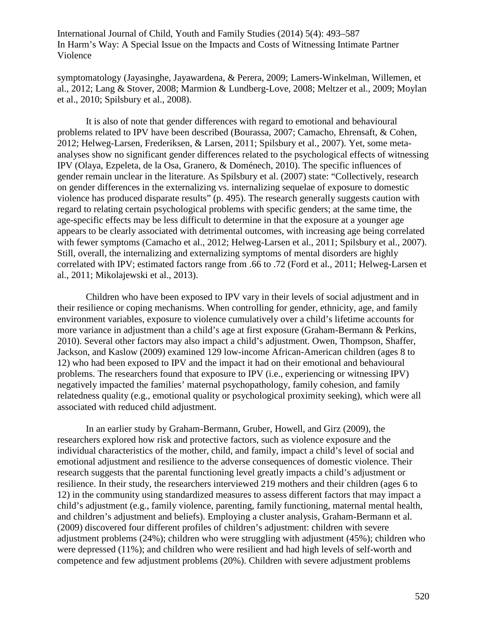symptomatology (Jayasinghe, Jayawardena, & Perera, 2009; Lamers-Winkelman, Willemen, et al., 2012; Lang & Stover, 2008; Marmion & Lundberg-Love, 2008; Meltzer et al., 2009; Moylan et al., 2010; Spilsbury et al., 2008).

It is also of note that gender differences with regard to emotional and behavioural problems related to IPV have been described (Bourassa, 2007; Camacho, Ehrensaft, & Cohen, 2012; Helweg-Larsen, Frederiksen, & Larsen, 2011; Spilsbury et al., 2007). Yet, some metaanalyses show no significant gender differences related to the psychological effects of witnessing IPV (Olaya, Ezpeleta, de la Osa, Granero, & Doménech, 2010). The specific influences of gender remain unclear in the literature. As Spilsbury et al. (2007) state: "Collectively, research on gender differences in the externalizing vs. internalizing sequelae of exposure to domestic violence has produced disparate results" (p. 495). The research generally suggests caution with regard to relating certain psychological problems with specific genders; at the same time, the age-specific effects may be less difficult to determine in that the exposure at a younger age appears to be clearly associated with detrimental outcomes, with increasing age being correlated with fewer symptoms (Camacho et al., 2012; Helweg-Larsen et al., 2011; Spilsbury et al., 2007). Still, overall, the internalizing and externalizing symptoms of mental disorders are highly correlated with IPV; estimated factors range from .66 to .72 (Ford et al., 2011; Helweg-Larsen et al., 2011; Mikolajewski et al., 2013).

Children who have been exposed to IPV vary in their levels of social adjustment and in their resilience or coping mechanisms. When controlling for gender, ethnicity, age, and family environment variables, exposure to violence cumulatively over a child's lifetime accounts for more variance in adjustment than a child's age at first exposure (Graham-Bermann & Perkins, 2010). Several other factors may also impact a child's adjustment. Owen, Thompson, Shaffer, Jackson, and Kaslow (2009) examined 129 low-income African-American children (ages 8 to 12) who had been exposed to IPV and the impact it had on their emotional and behavioural problems. The researchers found that exposure to IPV (i.e., experiencing or witnessing IPV) negatively impacted the families' maternal psychopathology, family cohesion, and family relatedness quality (e.g., emotional quality or psychological proximity seeking), which were all associated with reduced child adjustment.

In an earlier study by Graham-Bermann, Gruber, Howell, and Girz (2009), the researchers explored how risk and protective factors, such as violence exposure and the individual characteristics of the mother, child, and family, impact a child's level of social and emotional adjustment and resilience to the adverse consequences of domestic violence. Their research suggests that the parental functioning level greatly impacts a child's adjustment or resilience. In their study, the researchers interviewed 219 mothers and their children (ages 6 to 12) in the community using standardized measures to assess different factors that may impact a child's adjustment (e.g., family violence, parenting, family functioning, maternal mental health, and children's adjustment and beliefs). Employing a cluster analysis, Graham-Bermann et al. (2009) discovered four different profiles of children's adjustment: children with severe adjustment problems (24%); children who were struggling with adjustment (45%); children who were depressed (11%); and children who were resilient and had high levels of self-worth and competence and few adjustment problems (20%). Children with severe adjustment problems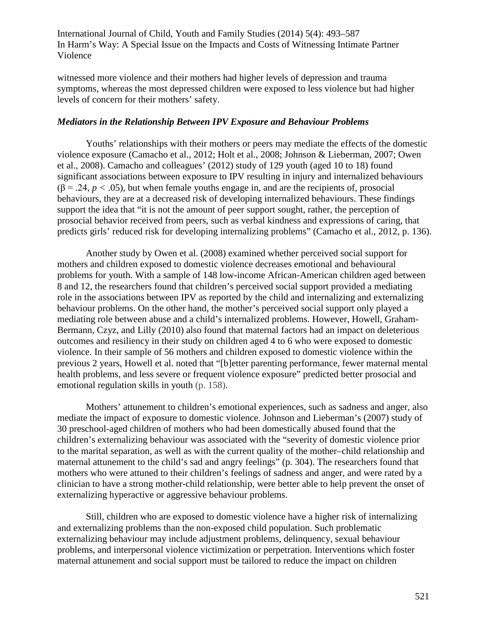witnessed more violence and their mothers had higher levels of depression and trauma symptoms, whereas the most depressed children were exposed to less violence but had higher levels of concern for their mothers' safety.

### *Mediators in the Relationship Between IPV Exposure and Behaviour Problems*

Youths' relationships with their mothers or peers may mediate the effects of the domestic violence exposure (Camacho et al., 2012; Holt et al., 2008; Johnson & Lieberman, 2007; Owen et al., 2008). Camacho and colleagues' (2012) study of 129 youth (aged 10 to 18) found significant associations between exposure to IPV resulting in injury and internalized behaviours  $(\beta = .24, p < .05)$ , but when female youths engage in, and are the recipients of, prosocial behaviours, they are at a decreased risk of developing internalized behaviours. These findings support the idea that "it is not the amount of peer support sought, rather, the perception of prosocial behavior received from peers, such as verbal kindness and expressions of caring, that predicts girls' reduced risk for developing internalizing problems" (Camacho et al., 2012, p. 136).

Another study by Owen et al. (2008) examined whether perceived social support for mothers and children exposed to domestic violence decreases emotional and behavioural problems for youth. With a sample of 148 low-income African-American children aged between 8 and 12, the researchers found that children's perceived social support provided a mediating role in the associations between IPV as reported by the child and internalizing and externalizing behaviour problems. On the other hand, the mother's perceived social support only played a mediating role between abuse and a child's internalized problems. However, Howell, Graham-Bermann, Czyz, and Lilly (2010) also found that maternal factors had an impact on deleterious outcomes and resiliency in their study on children aged 4 to 6 who were exposed to domestic violence. In their sample of 56 mothers and children exposed to domestic violence within the previous 2 years, Howell et al. noted that "[b]etter parenting performance, fewer maternal mental health problems, and less severe or frequent violence exposure" predicted better prosocial and emotional regulation skills in youth (p. 158).

Mothers' attunement to children's emotional experiences, such as sadness and anger, also mediate the impact of exposure to domestic violence. Johnson and Lieberman's (2007) study of 30 preschool-aged children of mothers who had been domestically abused found that the children's externalizing behaviour was associated with the "severity of domestic violence prior to the marital separation, as well as with the current quality of the mother–child relationship and maternal attunement to the child's sad and angry feelings" (p. 304). The researchers found that mothers who were attuned to their children's feelings of sadness and anger, and were rated by a clinician to have a strong mother-child relationship, were better able to help prevent the onset of externalizing hyperactive or aggressive behaviour problems.

Still, children who are exposed to domestic violence have a higher risk of internalizing and externalizing problems than the non-exposed child population. Such problematic externalizing behaviour may include adjustment problems, delinquency, sexual behaviour problems, and interpersonal violence victimization or perpetration. Interventions which foster maternal attunement and social support must be tailored to reduce the impact on children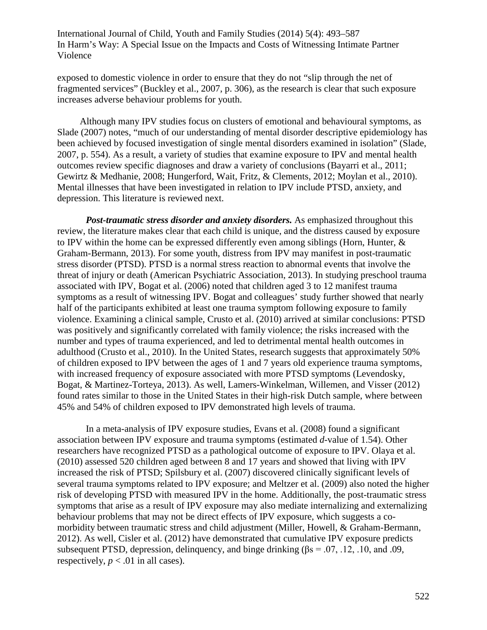exposed to domestic violence in order to ensure that they do not "slip through the net of fragmented services" (Buckley et al., 2007, p. 306), as the research is clear that such exposure increases adverse behaviour problems for youth.

Although many IPV studies focus on clusters of emotional and behavioural symptoms, as Slade (2007) notes, "much of our understanding of mental disorder descriptive epidemiology has been achieved by focused investigation of single mental disorders examined in isolation" (Slade, 2007, p. 554). As a result, a variety of studies that examine exposure to IPV and mental health outcomes review specific diagnoses and draw a variety of conclusions (Bayarri et al., 2011; Gewirtz & Medhanie, 2008; Hungerford, Wait, Fritz, & Clements, 2012; Moylan et al., 2010). Mental illnesses that have been investigated in relation to IPV include PTSD, anxiety, and depression. This literature is reviewed next.

*Post-traumatic stress disorder and anxiety disorders.* As emphasized throughout this review, the literature makes clear that each child is unique, and the distress caused by exposure to IPV within the home can be expressed differently even among siblings (Horn, Hunter,  $\&$ Graham-Bermann, 2013). For some youth, distress from IPV may manifest in post-traumatic stress disorder (PTSD). PTSD is a normal stress reaction to abnormal events that involve the threat of injury or death (American Psychiatric Association, 2013). In studying preschool trauma associated with IPV, Bogat et al. (2006) noted that children aged 3 to 12 manifest trauma symptoms as a result of witnessing IPV. Bogat and colleagues' study further showed that nearly half of the participants exhibited at least one trauma symptom following exposure to family violence. Examining a clinical sample, Crusto et al. (2010) arrived at similar conclusions: PTSD was positively and significantly correlated with family violence; the risks increased with the number and types of trauma experienced, and led to detrimental mental health outcomes in adulthood (Crusto et al., 2010). In the United States, research suggests that approximately 50% of children exposed to IPV between the ages of 1 and 7 years old experience trauma symptoms, with increased frequency of exposure associated with more PTSD symptoms (Levendosky, Bogat, & Martinez-Torteya, 2013). As well, Lamers-Winkelman, Willemen, and Visser (2012) found rates similar to those in the United States in their high-risk Dutch sample, where between 45% and 54% of children exposed to IPV demonstrated high levels of trauma.

In a meta-analysis of IPV exposure studies, Evans et al. (2008) found a significant association between IPV exposure and trauma symptoms (estimated *d*-value of 1.54). Other researchers have recognized PTSD as a pathological outcome of exposure to IPV. Olaya et al. (2010) assessed 520 children aged between 8 and 17 years and showed that living with IPV increased the risk of PTSD; Spilsbury et al. (2007) discovered clinically significant levels of several trauma symptoms related to IPV exposure; and Meltzer et al. (2009) also noted the higher risk of developing PTSD with measured IPV in the home. Additionally, the post-traumatic stress symptoms that arise as a result of IPV exposure may also mediate internalizing and externalizing behaviour problems that may not be direct effects of IPV exposure, which suggests a comorbidity between traumatic stress and child adjustment (Miller, Howell, & Graham-Bermann, 2012). As well, Cisler et al. (2012) have demonstrated that cumulative IPV exposure predicts subsequent PTSD, depression, delinquency, and binge drinking ( $\beta$ s = .07, .12, .10, and .09, respectively,  $p < .01$  in all cases).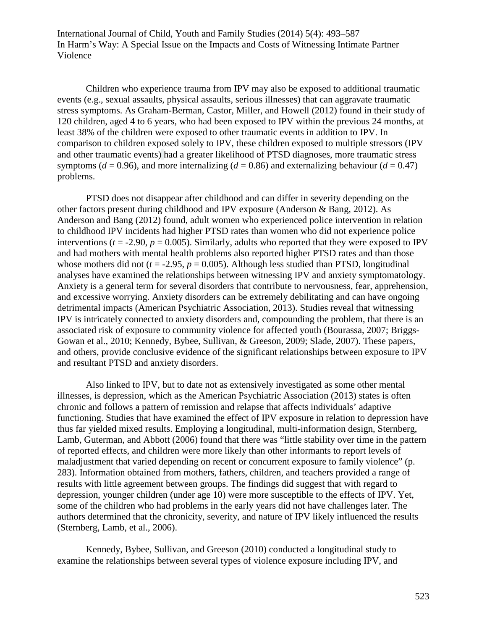Children who experience trauma from IPV may also be exposed to additional traumatic events (e.g., sexual assaults, physical assaults, serious illnesses) that can aggravate traumatic stress symptoms. As Graham-Berman, Castor, Miller, and Howell (2012) found in their study of 120 children, aged 4 to 6 years, who had been exposed to IPV within the previous 24 months, at least 38% of the children were exposed to other traumatic events in addition to IPV. In comparison to children exposed solely to IPV, these children exposed to multiple stressors (IPV and other traumatic events) had a greater likelihood of PTSD diagnoses, more traumatic stress symptoms ( $d = 0.96$ ), and more internalizing ( $d = 0.86$ ) and externalizing behaviour ( $d = 0.47$ ) problems.

PTSD does not disappear after childhood and can differ in severity depending on the other factors present during childhood and IPV exposure (Anderson & Bang, 2012). As Anderson and Bang (2012) found, adult women who experienced police intervention in relation to childhood IPV incidents had higher PTSD rates than women who did not experience police interventions ( $t = -2.90$ ,  $p = 0.005$ ). Similarly, adults who reported that they were exposed to IPV and had mothers with mental health problems also reported higher PTSD rates and than those whose mothers did not  $(t = -2.95, p = 0.005)$ . Although less studied than PTSD, longitudinal analyses have examined the relationships between witnessing IPV and anxiety symptomatology. Anxiety is a general term for several disorders that contribute to nervousness, fear, apprehension, and excessive worrying. Anxiety disorders can be extremely debilitating and can have ongoing detrimental impacts (American Psychiatric Association, 2013). Studies reveal that witnessing IPV is intricately connected to anxiety disorders and, compounding the problem, that there is an associated risk of exposure to community violence for affected youth (Bourassa, 2007; Briggs-Gowan et al., 2010; Kennedy, Bybee, Sullivan, & Greeson, 2009; Slade, 2007). These papers, and others, provide conclusive evidence of the significant relationships between exposure to IPV and resultant PTSD and anxiety disorders.

Also linked to IPV, but to date not as extensively investigated as some other mental illnesses, is depression, which as the American Psychiatric Association (2013) states is often chronic and follows a pattern of remission and relapse that affects individuals' adaptive functioning. Studies that have examined the effect of IPV exposure in relation to depression have thus far yielded mixed results. Employing a longitudinal, multi-information design, Sternberg, Lamb, Guterman, and Abbott (2006) found that there was "little stability over time in the pattern of reported effects, and children were more likely than other informants to report levels of maladjustment that varied depending on recent or concurrent exposure to family violence" (p. 283). Information obtained from mothers, fathers, children, and teachers provided a range of results with little agreement between groups. The findings did suggest that with regard to depression, younger children (under age 10) were more susceptible to the effects of IPV. Yet, some of the children who had problems in the early years did not have challenges later. The authors determined that the chronicity, severity, and nature of IPV likely influenced the results (Sternberg, Lamb, et al., 2006).

Kennedy, Bybee, Sullivan, and Greeson (2010) conducted a longitudinal study to examine the relationships between several types of violence exposure including IPV, and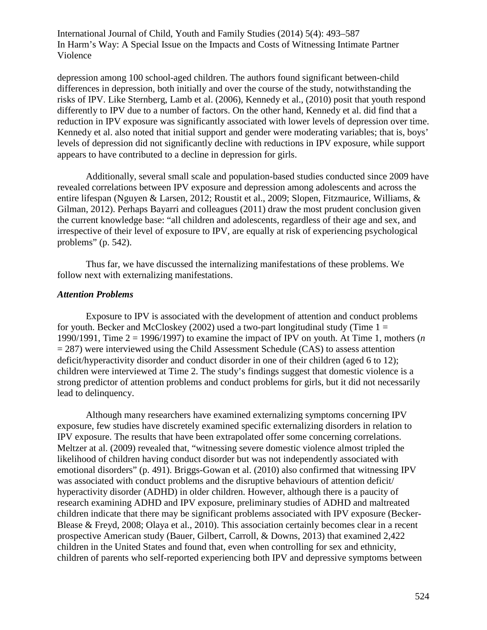depression among 100 school-aged children. The authors found significant between-child differences in depression, both initially and over the course of the study, notwithstanding the risks of IPV. Like Sternberg, Lamb et al. (2006), Kennedy et al., (2010) posit that youth respond differently to IPV due to a number of factors. On the other hand, Kennedy et al. did find that a reduction in IPV exposure was significantly associated with lower levels of depression over time. Kennedy et al. also noted that initial support and gender were moderating variables; that is, boys' levels of depression did not significantly decline with reductions in IPV exposure, while support appears to have contributed to a decline in depression for girls.

Additionally, several small scale and population-based studies conducted since 2009 have revealed correlations between IPV exposure and depression among adolescents and across the entire lifespan (Nguyen & Larsen, 2012; Roustit et al., 2009; Slopen, Fitzmaurice, Williams, & Gilman, 2012). Perhaps Bayarri and colleagues (2011) draw the most prudent conclusion given the current knowledge base: "all children and adolescents, regardless of their age and sex, and irrespective of their level of exposure to IPV, are equally at risk of experiencing psychological problems" (p. 542).

Thus far, we have discussed the internalizing manifestations of these problems. We follow next with externalizing manifestations.

#### *Attention Problems*

Exposure to IPV is associated with the development of attention and conduct problems for youth. Becker and McCloskey (2002) used a two-part longitudinal study (Time  $1 =$ 1990/1991, Time 2 = 1996/1997) to examine the impact of IPV on youth. At Time 1, mothers (*n* = 287) were interviewed using the Child Assessment Schedule (CAS) to assess attention deficit/hyperactivity disorder and conduct disorder in one of their children (aged 6 to 12); children were interviewed at Time 2. The study's findings suggest that domestic violence is a strong predictor of attention problems and conduct problems for girls, but it did not necessarily lead to delinquency.

Although many researchers have examined externalizing symptoms concerning IPV exposure, few studies have discretely examined specific externalizing disorders in relation to IPV exposure. The results that have been extrapolated offer some concerning correlations. Meltzer at al. (2009) revealed that, "witnessing severe domestic violence almost tripled the likelihood of children having conduct disorder but was not independently associated with emotional disorders" (p. 491). Briggs-Gowan et al. (2010) also confirmed that witnessing IPV was associated with conduct problems and the disruptive behaviours of attention deficit/ hyperactivity disorder (ADHD) in older children. However, although there is a paucity of research examining ADHD and IPV exposure, preliminary studies of ADHD and maltreated children indicate that there may be significant problems associated with IPV exposure (Becker-Blease & Freyd, 2008; Olaya et al., 2010). This association certainly becomes clear in a recent prospective American study (Bauer, Gilbert, Carroll, & Downs, 2013) that examined 2,422 children in the United States and found that, even when controlling for sex and ethnicity, children of parents who self-reported experiencing both IPV and depressive symptoms between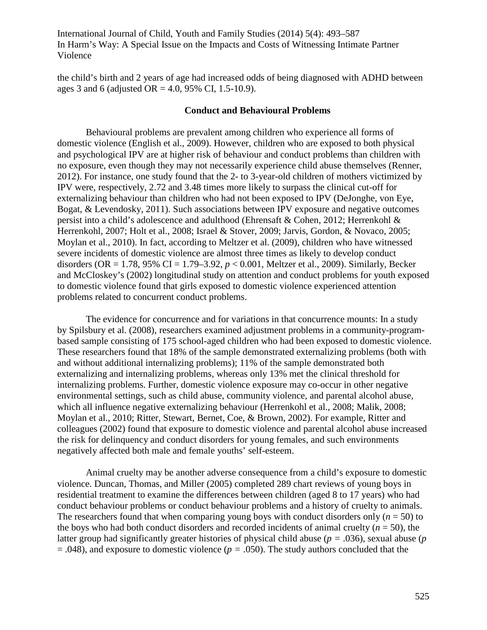the child's birth and 2 years of age had increased odds of being diagnosed with ADHD between ages 3 and 6 (adjusted OR = 4.0, 95% CI, 1.5-10.9).

### **Conduct and Behavioural Problems**

Behavioural problems are prevalent among children who experience all forms of domestic violence (English et al., 2009). However, children who are exposed to both physical and psychological IPV are at higher risk of behaviour and conduct problems than children with no exposure, even though they may not necessarily experience child abuse themselves (Renner, 2012). For instance, one study found that the 2- to 3-year-old children of mothers victimized by IPV were, respectively, 2.72 and 3.48 times more likely to surpass the clinical cut-off for externalizing behaviour than children who had not been exposed to IPV (DeJonghe, von Eye, Bogat, & Levendosky, 2011). Such associations between IPV exposure and negative outcomes persist into a child's adolescence and adulthood (Ehrensaft & Cohen, 2012; Herrenkohl & Herrenkohl, 2007; Holt et al., 2008; Israel & Stover, 2009; Jarvis, Gordon, & Novaco, 2005; Moylan et al., 2010). In fact, according to Meltzer et al. (2009), children who have witnessed severe incidents of domestic violence are almost three times as likely to develop conduct disorders (OR = 1.78, 95% CI = 1.79–3.92, *p* < 0.001, Meltzer et al., 2009). Similarly, Becker and McCloskey's (2002) longitudinal study on attention and conduct problems for youth exposed to domestic violence found that girls exposed to domestic violence experienced attention problems related to concurrent conduct problems.

The evidence for concurrence and for variations in that concurrence mounts: In a study by Spilsbury et al. (2008), researchers examined adjustment problems in a community-programbased sample consisting of 175 school-aged children who had been exposed to domestic violence. These researchers found that 18% of the sample demonstrated externalizing problems (both with and without additional internalizing problems); 11% of the sample demonstrated both externalizing and internalizing problems, whereas only 13% met the clinical threshold for internalizing problems. Further, domestic violence exposure may co-occur in other negative environmental settings, such as child abuse, community violence, and parental alcohol abuse, which all influence negative externalizing behaviour (Herrenkohl et al., 2008; Malik, 2008; Moylan et al., 2010; Ritter, Stewart, Bernet, Coe, & Brown, 2002). For example, Ritter and colleagues (2002) found that exposure to domestic violence and parental alcohol abuse increased the risk for delinquency and conduct disorders for young females, and such environments negatively affected both male and female youths' self-esteem.

Animal cruelty may be another adverse consequence from a child's exposure to domestic violence. Duncan, Thomas, and Miller (2005) completed 289 chart reviews of young boys in residential treatment to examine the differences between children (aged 8 to 17 years) who had conduct behaviour problems or conduct behaviour problems and a history of cruelty to animals. The researchers found that when comparing young boys with conduct disorders only  $(n = 50)$  to the boys who had both conduct disorders and recorded incidents of animal cruelty  $(n = 50)$ , the latter group had significantly greater histories of physical child abuse (*p =* .036), sexual abuse (*p*  = .048), and exposure to domestic violence (*p =* .050). The study authors concluded that the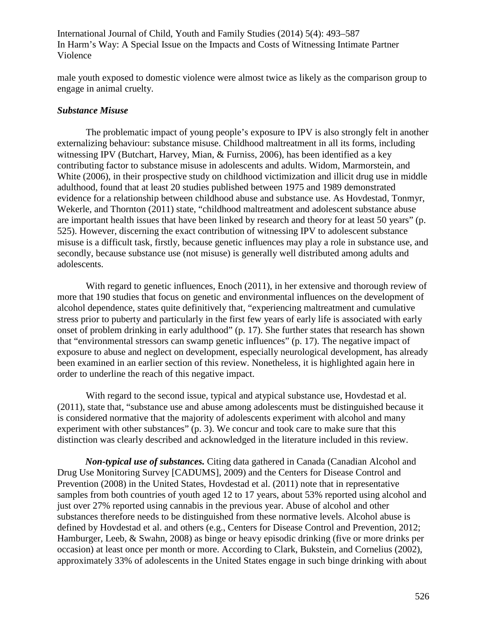male youth exposed to domestic violence were almost twice as likely as the comparison group to engage in animal cruelty.

#### *Substance Misuse*

The problematic impact of young people's exposure to IPV is also strongly felt in another externalizing behaviour: substance misuse. Childhood maltreatment in all its forms, including witnessing IPV (Butchart, Harvey, Mian, & Furniss, 2006), has been identified as a key contributing factor to substance misuse in adolescents and adults. Widom, Marmorstein, and White (2006), in their prospective study on childhood victimization and illicit drug use in middle adulthood, found that at least 20 studies published between 1975 and 1989 demonstrated evidence for a relationship between childhood abuse and substance use. As Hovdestad, Tonmyr, Wekerle, and Thornton (2011) state, "childhood maltreatment and adolescent substance abuse are important health issues that have been linked by research and theory for at least 50 years" (p. 525). However, discerning the exact contribution of witnessing IPV to adolescent substance misuse is a difficult task, firstly, because genetic influences may play a role in substance use, and secondly, because substance use (not misuse) is generally well distributed among adults and adolescents.

With regard to genetic influences, Enoch (2011), in her extensive and thorough review of more that 190 studies that focus on genetic and environmental influences on the development of alcohol dependence, states quite definitively that, "experiencing maltreatment and cumulative stress prior to puberty and particularly in the first few years of early life is associated with early onset of problem drinking in early adulthood" (p. 17). She further states that research has shown that "environmental stressors can swamp genetic influences" (p. 17). The negative impact of exposure to abuse and neglect on development, especially neurological development, has already been examined in an earlier section of this review. Nonetheless, it is highlighted again here in order to underline the reach of this negative impact.

With regard to the second issue, typical and atypical substance use, Hovdestad et al. (2011), state that, "substance use and abuse among adolescents must be distinguished because it is considered normative that the majority of adolescents experiment with alcohol and many experiment with other substances" (p. 3). We concur and took care to make sure that this distinction was clearly described and acknowledged in the literature included in this review.

*Non-typical use of substances.* Citing data gathered in Canada (Canadian Alcohol and Drug Use Monitoring Survey [CADUMS], 2009) and the Centers for Disease Control and Prevention (2008) in the United States, Hovdestad et al. (2011) note that in representative samples from both countries of youth aged 12 to 17 years, about 53% reported using alcohol and just over 27% reported using cannabis in the previous year. Abuse of alcohol and other substances therefore needs to be distinguished from these normative levels. Alcohol abuse is defined by Hovdestad et al. and others (e.g., Centers for Disease Control and Prevention, 2012; Hamburger, Leeb, & Swahn, 2008) as binge or heavy episodic drinking (five or more drinks per occasion) at least once per month or more. According to Clark, Bukstein, and Cornelius (2002), approximately 33% of adolescents in the United States engage in such binge drinking with about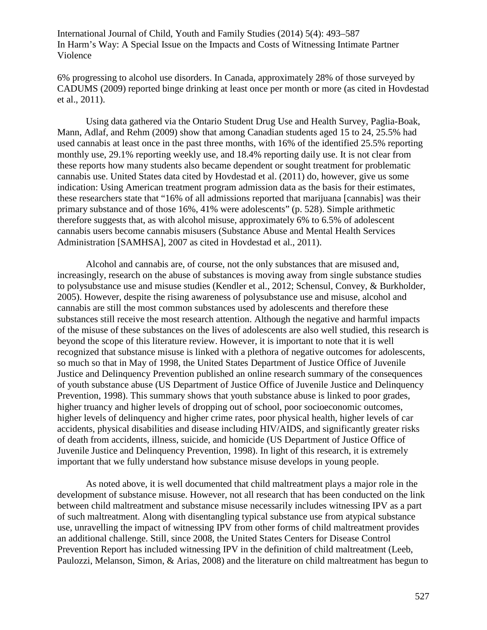6% progressing to alcohol use disorders. In Canada, approximately 28% of those surveyed by CADUMS (2009) reported binge drinking at least once per month or more (as cited in Hovdestad et al., 2011).

Using data gathered via the Ontario Student Drug Use and Health Survey, Paglia-Boak, Mann, Adlaf, and Rehm (2009) show that among Canadian students aged 15 to 24, 25.5% had used cannabis at least once in the past three months, with 16% of the identified 25.5% reporting monthly use, 29.1% reporting weekly use, and 18.4% reporting daily use. It is not clear from these reports how many students also became dependent or sought treatment for problematic cannabis use. United States data cited by Hovdestad et al. (2011) do, however, give us some indication: Using American treatment program admission data as the basis for their estimates, these researchers state that "16% of all admissions reported that marijuana [cannabis] was their primary substance and of those 16%, 41% were adolescents" (p. 528). Simple arithmetic therefore suggests that, as with alcohol misuse, approximately 6% to 6.5% of adolescent cannabis users become cannabis misusers (Substance Abuse and Mental Health Services Administration [SAMHSA], 2007 as cited in Hovdestad et al., 2011).

Alcohol and cannabis are, of course, not the only substances that are misused and, increasingly, research on the abuse of substances is moving away from single substance studies to polysubstance use and misuse studies (Kendler et al., 2012; Schensul, Convey, & Burkholder, 2005). However, despite the rising awareness of polysubstance use and misuse, alcohol and cannabis are still the most common substances used by adolescents and therefore these substances still receive the most research attention. Although the negative and harmful impacts of the misuse of these substances on the lives of adolescents are also well studied, this research is beyond the scope of this literature review. However, it is important to note that it is well recognized that substance misuse is linked with a plethora of negative outcomes for adolescents, so much so that in May of 1998, the United States Department of Justice Office of Juvenile Justice and Delinquency Prevention published an online research summary of the consequences of youth substance abuse (US Department of Justice Office of Juvenile Justice and Delinquency Prevention, 1998). This summary shows that youth substance abuse is linked to poor grades, higher truancy and higher levels of dropping out of school, poor socioeconomic outcomes, higher levels of delinquency and higher crime rates, poor physical health, higher levels of car accidents, physical disabilities and disease including HIV/AIDS, and significantly greater risks of death from accidents, illness, suicide, and homicide (US Department of Justice Office of Juvenile Justice and Delinquency Prevention, 1998). In light of this research, it is extremely important that we fully understand how substance misuse develops in young people.

As noted above, it is well documented that child maltreatment plays a major role in the development of substance misuse. However, not all research that has been conducted on the link between child maltreatment and substance misuse necessarily includes witnessing IPV as a part of such maltreatment. Along with disentangling typical substance use from atypical substance use, unravelling the impact of witnessing IPV from other forms of child maltreatment provides an additional challenge. Still, since 2008, the United States Centers for Disease Control Prevention Report has included witnessing IPV in the definition of child maltreatment (Leeb, Paulozzi, Melanson, Simon, & Arias, 2008) and the literature on child maltreatment has begun to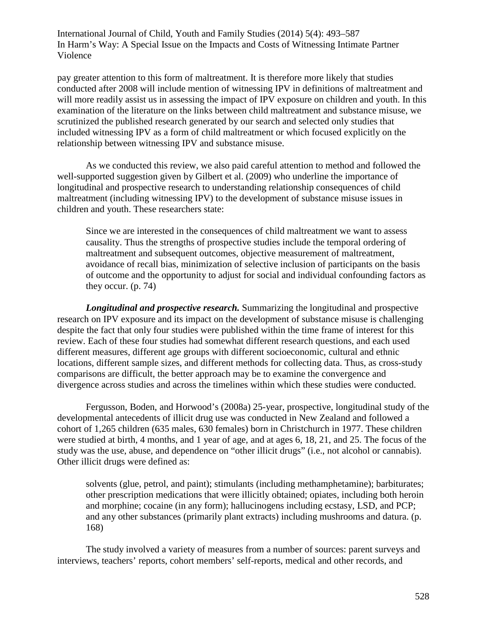pay greater attention to this form of maltreatment. It is therefore more likely that studies conducted after 2008 will include mention of witnessing IPV in definitions of maltreatment and will more readily assist us in assessing the impact of IPV exposure on children and youth. In this examination of the literature on the links between child maltreatment and substance misuse, we scrutinized the published research generated by our search and selected only studies that included witnessing IPV as a form of child maltreatment or which focused explicitly on the relationship between witnessing IPV and substance misuse.

As we conducted this review, we also paid careful attention to method and followed the well-supported suggestion given by Gilbert et al. (2009) who underline the importance of longitudinal and prospective research to understanding relationship consequences of child maltreatment (including witnessing IPV) to the development of substance misuse issues in children and youth. These researchers state:

Since we are interested in the consequences of child maltreatment we want to assess causality. Thus the strengths of prospective studies include the temporal ordering of maltreatment and subsequent outcomes, objective measurement of maltreatment, avoidance of recall bias, minimization of selective inclusion of participants on the basis of outcome and the opportunity to adjust for social and individual confounding factors as they occur. (p. 74)

*Longitudinal and prospective research.* Summarizing the longitudinal and prospective research on IPV exposure and its impact on the development of substance misuse is challenging despite the fact that only four studies were published within the time frame of interest for this review. Each of these four studies had somewhat different research questions, and each used different measures, different age groups with different socioeconomic, cultural and ethnic locations, different sample sizes, and different methods for collecting data. Thus, as cross-study comparisons are difficult, the better approach may be to examine the convergence and divergence across studies and across the timelines within which these studies were conducted.

Fergusson, Boden, and Horwood's (2008a) 25-year, prospective, longitudinal study of the developmental antecedents of illicit drug use was conducted in New Zealand and followed a cohort of 1,265 children (635 males, 630 females) born in Christchurch in 1977. These children were studied at birth, 4 months, and 1 year of age, and at ages 6, 18, 21, and 25. The focus of the study was the use, abuse, and dependence on "other illicit drugs" (i.e., not alcohol or cannabis). Other illicit drugs were defined as:

solvents (glue, petrol, and paint); stimulants (including methamphetamine); barbiturates; other prescription medications that were illicitly obtained; opiates, including both heroin and morphine; cocaine (in any form); hallucinogens including ecstasy, LSD, and PCP; and any other substances (primarily plant extracts) including mushrooms and datura. (p. 168)

The study involved a variety of measures from a number of sources: parent surveys and interviews, teachers' reports, cohort members' self-reports, medical and other records, and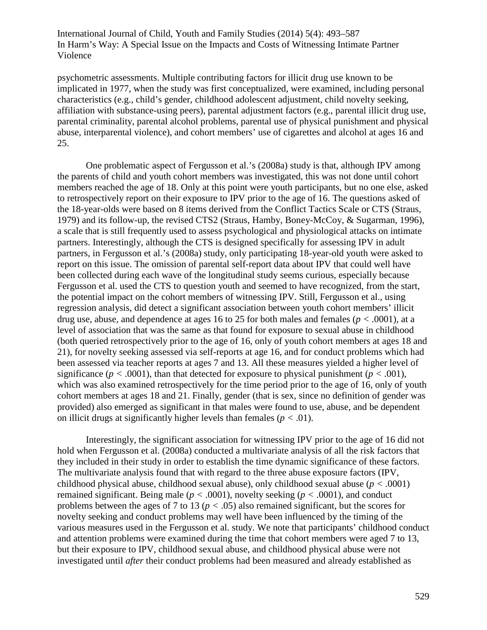psychometric assessments. Multiple contributing factors for illicit drug use known to be implicated in 1977, when the study was first conceptualized, were examined, including personal characteristics (e.g., child's gender, childhood adolescent adjustment, child novelty seeking, affiliation with substance-using peers), parental adjustment factors (e.g., parental illicit drug use, parental criminality, parental alcohol problems, parental use of physical punishment and physical abuse, interparental violence), and cohort members' use of cigarettes and alcohol at ages 16 and 25.

One problematic aspect of Fergusson et al.'s (2008a) study is that, although IPV among the parents of child and youth cohort members was investigated, this was not done until cohort members reached the age of 18. Only at this point were youth participants, but no one else, asked to retrospectively report on their exposure to IPV prior to the age of 16. The questions asked of the 18-year-olds were based on 8 items derived from the Conflict Tactics Scale or CTS (Straus, 1979) and its follow-up, the revised CTS2 (Straus, Hamby, Boney-McCoy, & Sugarman, 1996), a scale that is still frequently used to assess psychological and physiological attacks on intimate partners. Interestingly, although the CTS is designed specifically for assessing IPV in adult partners, in Fergusson et al.'s (2008a) study, only participating 18-year-old youth were asked to report on this issue. The omission of parental self-report data about IPV that could well have been collected during each wave of the longitudinal study seems curious, especially because Fergusson et al. used the CTS to question youth and seemed to have recognized, from the start, the potential impact on the cohort members of witnessing IPV. Still, Fergusson et al., using regression analysis, did detect a significant association between youth cohort members' illicit drug use, abuse, and dependence at ages 16 to 25 for both males and females (*p <* .0001), at a level of association that was the same as that found for exposure to sexual abuse in childhood (both queried retrospectively prior to the age of 16, only of youth cohort members at ages 18 and 21), for novelty seeking assessed via self-reports at age 16, and for conduct problems which had been assessed via teacher reports at ages 7 and 13. All these measures yielded a higher level of significance ( $p < .0001$ ), than that detected for exposure to physical punishment ( $p < .001$ ), which was also examined retrospectively for the time period prior to the age of 16, only of youth cohort members at ages 18 and 21. Finally, gender (that is sex, since no definition of gender was provided) also emerged as significant in that males were found to use, abuse, and be dependent on illicit drugs at significantly higher levels than females (*p <* .01).

Interestingly, the significant association for witnessing IPV prior to the age of 16 did not hold when Fergusson et al. (2008a) conducted a multivariate analysis of all the risk factors that they included in their study in order to establish the time dynamic significance of these factors. The multivariate analysis found that with regard to the three abuse exposure factors (IPV, childhood physical abuse, childhood sexual abuse), only childhood sexual abuse (*p <* .0001) remained significant. Being male (*p <* .0001), novelty seeking (*p <* .0001), and conduct problems between the ages of 7 to 13 (*p <* .05) also remained significant, but the scores for novelty seeking and conduct problems may well have been influenced by the timing of the various measures used in the Fergusson et al. study. We note that participants' childhood conduct and attention problems were examined during the time that cohort members were aged 7 to 13, but their exposure to IPV, childhood sexual abuse, and childhood physical abuse were not investigated until *after* their conduct problems had been measured and already established as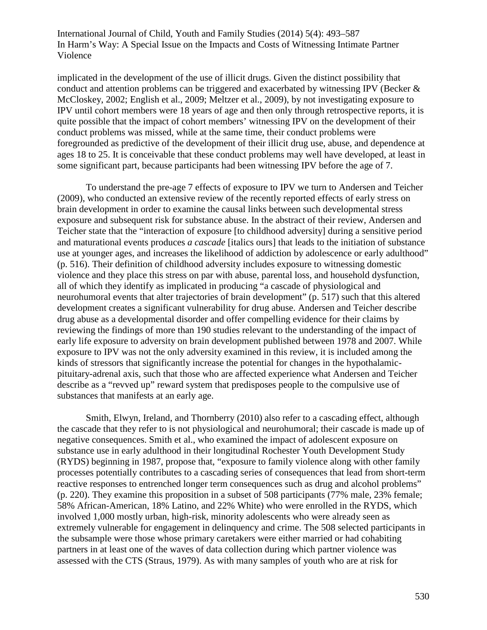implicated in the development of the use of illicit drugs. Given the distinct possibility that conduct and attention problems can be triggered and exacerbated by witnessing IPV (Becker & McCloskey, 2002; English et al., 2009; Meltzer et al., 2009), by not investigating exposure to IPV until cohort members were 18 years of age and then only through retrospective reports, it is quite possible that the impact of cohort members' witnessing IPV on the development of their conduct problems was missed, while at the same time, their conduct problems were foregrounded as predictive of the development of their illicit drug use, abuse, and dependence at ages 18 to 25. It is conceivable that these conduct problems may well have developed, at least in some significant part, because participants had been witnessing IPV before the age of 7.

To understand the pre-age 7 effects of exposure to IPV we turn to Andersen and Teicher (2009), who conducted an extensive review of the recently reported effects of early stress on brain development in order to examine the causal links between such developmental stress exposure and subsequent risk for substance abuse. In the abstract of their review, Andersen and Teicher state that the "interaction of exposure [to childhood adversity] during a sensitive period and maturational events produces *a cascade* [italics ours] that leads to the initiation of substance use at younger ages, and increases the likelihood of addiction by adolescence or early adulthood" (p. 516). Their definition of childhood adversity includes exposure to witnessing domestic violence and they place this stress on par with abuse, parental loss, and household dysfunction, all of which they identify as implicated in producing "a cascade of physiological and neurohumoral events that alter trajectories of brain development" (p. 517) such that this altered development creates a significant vulnerability for drug abuse. Andersen and Teicher describe drug abuse as a developmental disorder and offer compelling evidence for their claims by reviewing the findings of more than 190 studies relevant to the understanding of the impact of early life exposure to adversity on brain development published between 1978 and 2007. While exposure to IPV was not the only adversity examined in this review, it is included among the kinds of stressors that significantly increase the potential for changes in the hypothalamicpituitary-adrenal axis, such that those who are affected experience what Andersen and Teicher describe as a "revved up" reward system that predisposes people to the compulsive use of substances that manifests at an early age.

Smith, Elwyn, Ireland, and Thornberry (2010) also refer to a cascading effect, although the cascade that they refer to is not physiological and neurohumoral; their cascade is made up of negative consequences. Smith et al., who examined the impact of adolescent exposure on substance use in early adulthood in their longitudinal Rochester Youth Development Study (RYDS) beginning in 1987, propose that, "exposure to family violence along with other family processes potentially contributes to a cascading series of consequences that lead from short-term reactive responses to entrenched longer term consequences such as drug and alcohol problems" (p. 220). They examine this proposition in a subset of 508 participants (77% male, 23% female; 58% African-American, 18% Latino, and 22% White) who were enrolled in the RYDS, which involved 1,000 mostly urban, high-risk, minority adolescents who were already seen as extremely vulnerable for engagement in delinquency and crime. The 508 selected participants in the subsample were those whose primary caretakers were either married or had cohabiting partners in at least one of the waves of data collection during which partner violence was assessed with the CTS (Straus, 1979). As with many samples of youth who are at risk for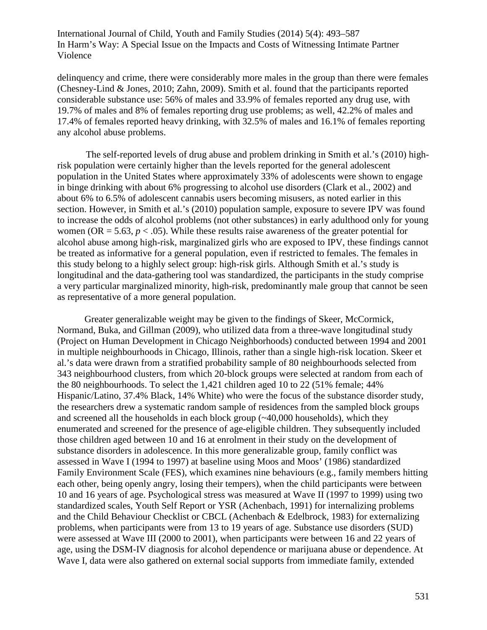delinquency and crime, there were considerably more males in the group than there were females (Chesney-Lind & Jones, 2010; Zahn, 2009). Smith et al. found that the participants reported considerable substance use: 56% of males and 33.9% of females reported any drug use, with 19.7% of males and 8% of females reporting drug use problems; as well, 42.2% of males and 17.4% of females reported heavy drinking, with 32.5% of males and 16.1% of females reporting any alcohol abuse problems.

The self-reported levels of drug abuse and problem drinking in Smith et al.'s (2010) highrisk population were certainly higher than the levels reported for the general adolescent population in the United States where approximately 33% of adolescents were shown to engage in binge drinking with about 6% progressing to alcohol use disorders (Clark et al., 2002) and about 6% to 6.5% of adolescent cannabis users becoming misusers, as noted earlier in this section. However, in Smith et al.'s (2010) population sample, exposure to severe IPV was found to increase the odds of alcohol problems (not other substances) in early adulthood only for young women (OR = 5.63,  $p < .05$ ). While these results raise awareness of the greater potential for alcohol abuse among high-risk, marginalized girls who are exposed to IPV, these findings cannot be treated as informative for a general population, even if restricted to females. The females in this study belong to a highly select group: high-risk girls. Although Smith et al.'s study is longitudinal and the data-gathering tool was standardized, the participants in the study comprise a very particular marginalized minority, high-risk, predominantly male group that cannot be seen as representative of a more general population.

 Greater generalizable weight may be given to the findings of Skeer, McCormick, Normand, Buka, and Gillman (2009), who utilized data from a three-wave longitudinal study (Project on Human Development in Chicago Neighborhoods) conducted between 1994 and 2001 in multiple neighbourhoods in Chicago, Illinois, rather than a single high-risk location. Skeer et al.'s data were drawn from a stratified probability sample of 80 neighbourhoods selected from 343 neighbourhood clusters, from which 20-block groups were selected at random from each of the 80 neighbourhoods. To select the 1,421 children aged 10 to 22 (51% female; 44% Hispanic/Latino, 37.4% Black, 14% White) who were the focus of the substance disorder study, the researchers drew a systematic random sample of residences from the sampled block groups and screened all the households in each block group  $(\sim 40,000$  households), which they enumerated and screened for the presence of age-eligible children. They subsequently included those children aged between 10 and 16 at enrolment in their study on the development of substance disorders in adolescence. In this more generalizable group, family conflict was assessed in Wave I (1994 to 1997) at baseline using Moos and Moos' (1986) standardized Family Environment Scale (FES), which examines nine behaviours (e.g., family members hitting each other, being openly angry, losing their tempers), when the child participants were between 10 and 16 years of age. Psychological stress was measured at Wave II (1997 to 1999) using two standardized scales, Youth Self Report or YSR (Achenbach, 1991) for internalizing problems and the Child Behaviour Checklist or CBCL (Achenbach & Edelbrock, 1983) for externalizing problems, when participants were from 13 to 19 years of age. Substance use disorders (SUD) were assessed at Wave III (2000 to 2001), when participants were between 16 and 22 years of age, using the DSM-IV diagnosis for alcohol dependence or marijuana abuse or dependence. At Wave I, data were also gathered on external social supports from immediate family, extended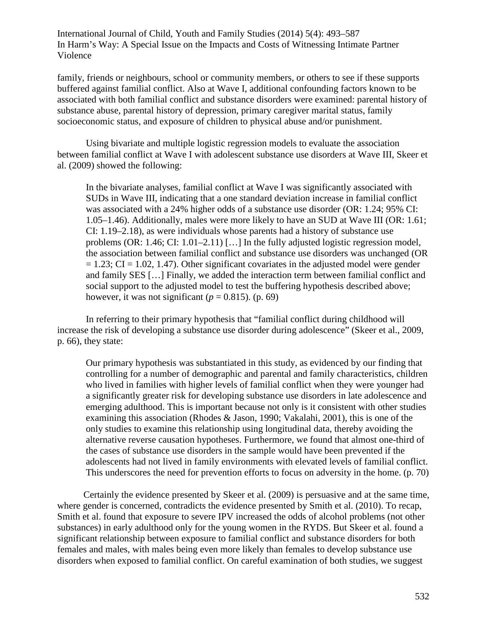family, friends or neighbours, school or community members, or others to see if these supports buffered against familial conflict. Also at Wave I, additional confounding factors known to be associated with both familial conflict and substance disorders were examined: parental history of substance abuse, parental history of depression, primary caregiver marital status, family socioeconomic status, and exposure of children to physical abuse and/or punishment.

Using bivariate and multiple logistic regression models to evaluate the association between familial conflict at Wave I with adolescent substance use disorders at Wave III, Skeer et al. (2009) showed the following:

In the bivariate analyses, familial conflict at Wave I was significantly associated with SUDs in Wave III, indicating that a one standard deviation increase in familial conflict was associated with a 24% higher odds of a substance use disorder (OR: 1.24; 95% CI: 1.05–1.46). Additionally, males were more likely to have an SUD at Wave III (OR: 1.61; CI: 1.19–2.18), as were individuals whose parents had a history of substance use problems (OR: 1.46; CI: 1.01–2.11) […] In the fully adjusted logistic regression model, the association between familial conflict and substance use disorders was unchanged (OR  $= 1.23$ ; CI = 1.02, 1.47). Other significant covariates in the adjusted model were gender and family SES […] Finally, we added the interaction term between familial conflict and social support to the adjusted model to test the buffering hypothesis described above; however, it was not significant ( $p = 0.815$ ). (p. 69)

In referring to their primary hypothesis that "familial conflict during childhood will increase the risk of developing a substance use disorder during adolescence" (Skeer et al., 2009, p. 66), they state:

Our primary hypothesis was substantiated in this study, as evidenced by our finding that controlling for a number of demographic and parental and family characteristics, children who lived in families with higher levels of familial conflict when they were younger had a significantly greater risk for developing substance use disorders in late adolescence and emerging adulthood. This is important because not only is it consistent with other studies examining this association (Rhodes  $&$  Jason, 1990; Vakalahi, 2001), this is one of the only studies to examine this relationship using longitudinal data, thereby avoiding the alternative reverse causation hypotheses. Furthermore, we found that almost one-third of the cases of substance use disorders in the sample would have been prevented if the adolescents had not lived in family environments with elevated levels of familial conflict. This underscores the need for prevention efforts to focus on adversity in the home. (p. 70)

Certainly the evidence presented by Skeer et al. (2009) is persuasive and at the same time, where gender is concerned, contradicts the evidence presented by Smith et al. (2010). To recap, Smith et al. found that exposure to severe IPV increased the odds of alcohol problems (not other substances) in early adulthood only for the young women in the RYDS. But Skeer et al. found a significant relationship between exposure to familial conflict and substance disorders for both females and males, with males being even more likely than females to develop substance use disorders when exposed to familial conflict. On careful examination of both studies, we suggest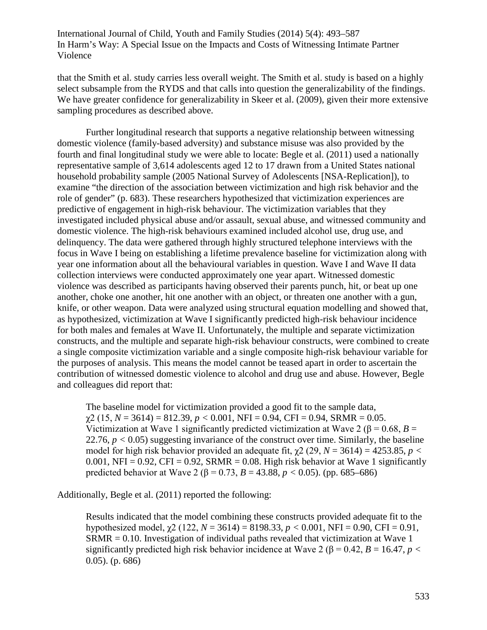that the Smith et al. study carries less overall weight. The Smith et al. study is based on a highly select subsample from the RYDS and that calls into question the generalizability of the findings. We have greater confidence for generalizability in Skeer et al. (2009), given their more extensive sampling procedures as described above.

Further longitudinal research that supports a negative relationship between witnessing domestic violence (family-based adversity) and substance misuse was also provided by the fourth and final longitudinal study we were able to locate: Begle et al. (2011) used a nationally representative sample of 3,614 adolescents aged 12 to 17 drawn from a United States national household probability sample (2005 National Survey of Adolescents [NSA-Replication]), to examine "the direction of the association between victimization and high risk behavior and the role of gender" (p. 683). These researchers hypothesized that victimization experiences are predictive of engagement in high-risk behaviour. The victimization variables that they investigated included physical abuse and/or assault, sexual abuse, and witnessed community and domestic violence. The high-risk behaviours examined included alcohol use, drug use, and delinquency. The data were gathered through highly structured telephone interviews with the focus in Wave I being on establishing a lifetime prevalence baseline for victimization along with year one information about all the behavioural variables in question. Wave I and Wave II data collection interviews were conducted approximately one year apart. Witnessed domestic violence was described as participants having observed their parents punch, hit, or beat up one another, choke one another, hit one another with an object, or threaten one another with a gun, knife, or other weapon. Data were analyzed using structural equation modelling and showed that, as hypothesized, victimization at Wave I significantly predicted high-risk behaviour incidence for both males and females at Wave II. Unfortunately, the multiple and separate victimization constructs, and the multiple and separate high-risk behaviour constructs, were combined to create a single composite victimization variable and a single composite high-risk behaviour variable for the purposes of analysis. This means the model cannot be teased apart in order to ascertain the contribution of witnessed domestic violence to alcohol and drug use and abuse. However, Begle and colleagues did report that:

The baseline model for victimization provided a good fit to the sample data,  $\gamma$ 2 (15, *N* = 3614) = 812.39, *p* < 0.001, NFI = 0.94, CFI = 0.94, SRMR = 0.05. Victimization at Wave 1 significantly predicted victimization at Wave 2 ( $\beta$  = 0.68, *B* = 22.76, *p <* 0.05) suggesting invariance of the construct over time. Similarly, the baseline model for high risk behavior provided an adequate fit,  $\chi$ 2 (29, *N* = 3614) = 4253.85, *p* < 0.001, NFI = 0.92, CFI = 0.92, SRMR = 0.08. High risk behavior at Wave 1 significantly predicted behavior at Wave 2 (β = 0.73, *B* = 43.88, *p <* 0.05). (pp. 685–686)

Additionally, Begle et al. (2011) reported the following:

Results indicated that the model combining these constructs provided adequate fit to the hypothesized model, χ2 (122, *N* = 3614) = 8198.33, *p <* 0.001, NFI = 0.90, CFI = 0.91, SRMR = 0.10. Investigation of individual paths revealed that victimization at Wave 1 significantly predicted high risk behavior incidence at Wave 2 ( $\beta$  = 0.42, *B* = 16.47, *p* < 0.05). (p. 686)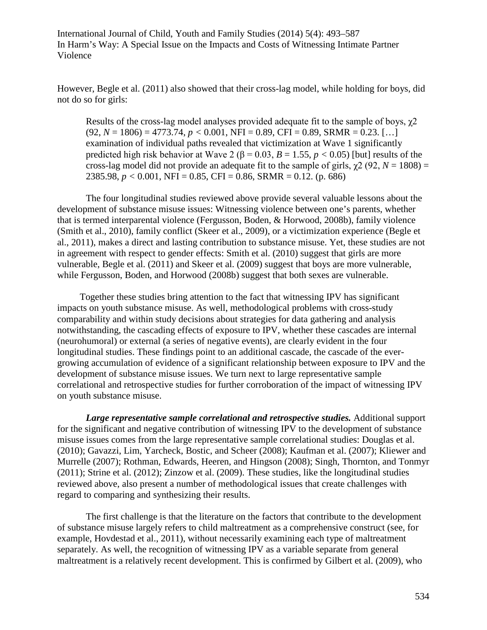However, Begle et al. (2011) also showed that their cross-lag model, while holding for boys, did not do so for girls:

Results of the cross-lag model analyses provided adequate fit to the sample of boys,  $\chi$ 2  $(92, N = 1806) = 4773.74, p < 0.001, NFI = 0.89, CFI = 0.89, SRMR = 0.23, [...]$ examination of individual paths revealed that victimization at Wave 1 significantly predicted high risk behavior at Wave 2 ( $\beta$  = 0.03, *B* = 1.55, *p* < 0.05) [but] results of the cross-lag model did not provide an adequate fit to the sample of girls,  $\chi^2$  (92, *N* = 1808) = 2385.98, *p <* 0.001, NFI = 0.85, CFI = 0.86, SRMR = 0.12. (p. 686)

The four longitudinal studies reviewed above provide several valuable lessons about the development of substance misuse issues: Witnessing violence between one's parents, whether that is termed interparental violence (Fergusson, Boden, & Horwood, 2008b), family violence (Smith et al., 2010), family conflict (Skeer et al., 2009), or a victimization experience (Begle et al., 2011), makes a direct and lasting contribution to substance misuse. Yet, these studies are not in agreement with respect to gender effects: Smith et al. (2010) suggest that girls are more vulnerable, Begle et al. (2011) and Skeer et al. (2009) suggest that boys are more vulnerable, while Fergusson, Boden, and Horwood (2008b) suggest that both sexes are vulnerable.

Together these studies bring attention to the fact that witnessing IPV has significant impacts on youth substance misuse. As well, methodological problems with cross-study comparability and within study decisions about strategies for data gathering and analysis notwithstanding, the cascading effects of exposure to IPV, whether these cascades are internal (neurohumoral) or external (a series of negative events), are clearly evident in the four longitudinal studies. These findings point to an additional cascade, the cascade of the evergrowing accumulation of evidence of a significant relationship between exposure to IPV and the development of substance misuse issues. We turn next to large representative sample correlational and retrospective studies for further corroboration of the impact of witnessing IPV on youth substance misuse.

*Large representative sample correlational and retrospective studies.* Additional support for the significant and negative contribution of witnessing IPV to the development of substance misuse issues comes from the large representative sample correlational studies: Douglas et al. (2010); Gavazzi, Lim, Yarcheck, Bostic, and Scheer (2008); Kaufman et al. (2007); Kliewer and Murrelle (2007); Rothman, Edwards, Heeren, and Hingson (2008); Singh, Thornton, and Tonmyr (2011); Strine et al. (2012); Zinzow et al. (2009). These studies, like the longitudinal studies reviewed above, also present a number of methodological issues that create challenges with regard to comparing and synthesizing their results.

The first challenge is that the literature on the factors that contribute to the development of substance misuse largely refers to child maltreatment as a comprehensive construct (see, for example, Hovdestad et al., 2011), without necessarily examining each type of maltreatment separately. As well, the recognition of witnessing IPV as a variable separate from general maltreatment is a relatively recent development. This is confirmed by Gilbert et al. (2009), who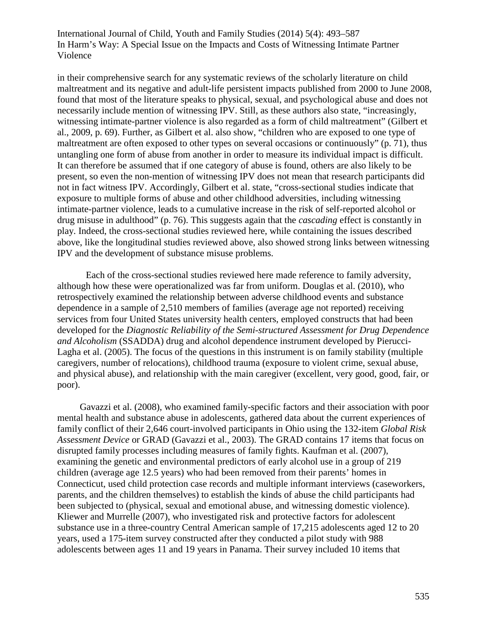in their comprehensive search for any systematic reviews of the scholarly literature on child maltreatment and its negative and adult-life persistent impacts published from 2000 to June 2008, found that most of the literature speaks to physical, sexual, and psychological abuse and does not necessarily include mention of witnessing IPV. Still, as these authors also state, "increasingly, witnessing intimate-partner violence is also regarded as a form of child maltreatment" (Gilbert et al., 2009, p. 69). Further, as Gilbert et al. also show, "children who are exposed to one type of maltreatment are often exposed to other types on several occasions or continuously" (p. 71), thus untangling one form of abuse from another in order to measure its individual impact is difficult. It can therefore be assumed that if one category of abuse is found, others are also likely to be present, so even the non-mention of witnessing IPV does not mean that research participants did not in fact witness IPV. Accordingly, Gilbert et al. state, "cross-sectional studies indicate that exposure to multiple forms of abuse and other childhood adversities, including witnessing intimate-partner violence, leads to a cumulative increase in the risk of self-reported alcohol or drug misuse in adulthood" (p. 76). This suggests again that the *cascading* effect is constantly in play. Indeed, the cross-sectional studies reviewed here, while containing the issues described above, like the longitudinal studies reviewed above, also showed strong links between witnessing IPV and the development of substance misuse problems.

Each of the cross-sectional studies reviewed here made reference to family adversity, although how these were operationalized was far from uniform. Douglas et al. (2010), who retrospectively examined the relationship between adverse childhood events and substance dependence in a sample of 2,510 members of families (average age not reported) receiving services from four United States university health centers, employed constructs that had been developed for the *Diagnostic Reliability of the Semi-structured Assessment for Drug Dependence and Alcoholism* (SSADDA) drug and alcohol dependence instrument developed by Pierucci-Lagha et al. (2005). The focus of the questions in this instrument is on family stability (multiple caregivers, number of relocations), childhood trauma (exposure to violent crime, sexual abuse, and physical abuse), and relationship with the main caregiver (excellent, very good, good, fair, or poor).

Gavazzi et al. (2008), who examined family-specific factors and their association with poor mental health and substance abuse in adolescents, gathered data about the current experiences of family conflict of their 2,646 court-involved participants in Ohio using the 132-item *Global Risk Assessment Device* or GRAD (Gavazzi et al., 2003). The GRAD contains 17 items that focus on disrupted family processes including measures of family fights. Kaufman et al. (2007), examining the genetic and environmental predictors of early alcohol use in a group of 219 children (average age 12.5 years) who had been removed from their parents' homes in Connecticut, used child protection case records and multiple informant interviews (caseworkers, parents, and the children themselves) to establish the kinds of abuse the child participants had been subjected to (physical, sexual and emotional abuse, and witnessing domestic violence). Kliewer and Murrelle (2007), who investigated risk and protective factors for adolescent substance use in a three-country Central American sample of 17,215 adolescents aged 12 to 20 years, used a 175-item survey constructed after they conducted a pilot study with 988 adolescents between ages 11 and 19 years in Panama. Their survey included 10 items that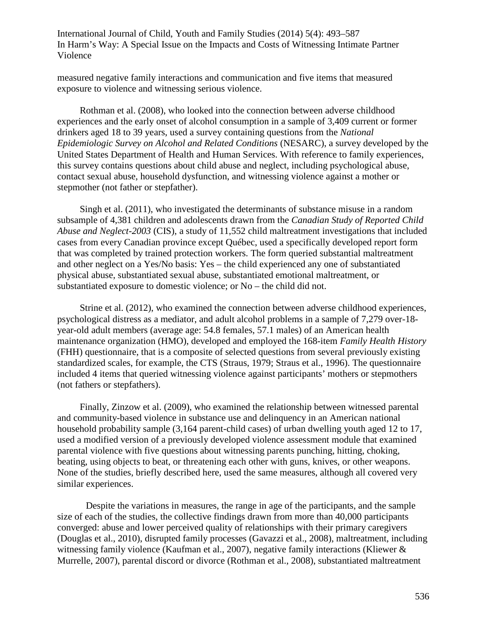measured negative family interactions and communication and five items that measured exposure to violence and witnessing serious violence.

Rothman et al. (2008), who looked into the connection between adverse childhood experiences and the early onset of alcohol consumption in a sample of 3,409 current or former drinkers aged 18 to 39 years, used a survey containing questions from the *National Epidemiologic Survey on Alcohol and Related Conditions* (NESARC), a survey developed by the United States Department of Health and Human Services. With reference to family experiences, this survey contains questions about child abuse and neglect, including psychological abuse, contact sexual abuse, household dysfunction, and witnessing violence against a mother or stepmother (not father or stepfather).

Singh et al. (2011), who investigated the determinants of substance misuse in a random subsample of 4,381 children and adolescents drawn from the *Canadian Study of Reported Child Abuse and Neglect-2003* (CIS), a study of 11,552 child maltreatment investigations that included cases from every Canadian province except Québec, used a specifically developed report form that was completed by trained protection workers. The form queried substantial maltreatment and other neglect on a Yes/No basis: Yes – the child experienced any one of substantiated physical abuse, substantiated sexual abuse, substantiated emotional maltreatment, or substantiated exposure to domestic violence; or No – the child did not.

Strine et al. (2012), who examined the connection between adverse childhood experiences, psychological distress as a mediator, and adult alcohol problems in a sample of 7,279 over-18 year-old adult members (average age: 54.8 females, 57.1 males) of an American health maintenance organization (HMO), developed and employed the 168-item *Family Health History* (FHH) questionnaire, that is a composite of selected questions from several previously existing standardized scales, for example, the CTS (Straus, 1979; Straus et al., 1996). The questionnaire included 4 items that queried witnessing violence against participants' mothers or stepmothers (not fathers or stepfathers).

Finally, Zinzow et al. (2009), who examined the relationship between witnessed parental and community-based violence in substance use and delinquency in an American national household probability sample (3,164 parent-child cases) of urban dwelling youth aged 12 to 17, used a modified version of a previously developed violence assessment module that examined parental violence with five questions about witnessing parents punching, hitting, choking, beating, using objects to beat, or threatening each other with guns, knives, or other weapons. None of the studies, briefly described here, used the same measures, although all covered very similar experiences.

Despite the variations in measures, the range in age of the participants, and the sample size of each of the studies, the collective findings drawn from more than 40,000 participants converged: abuse and lower perceived quality of relationships with their primary caregivers (Douglas et al., 2010), disrupted family processes (Gavazzi et al., 2008), maltreatment, including witnessing family violence (Kaufman et al., 2007), negative family interactions (Kliewer & Murrelle, 2007), parental discord or divorce (Rothman et al., 2008), substantiated maltreatment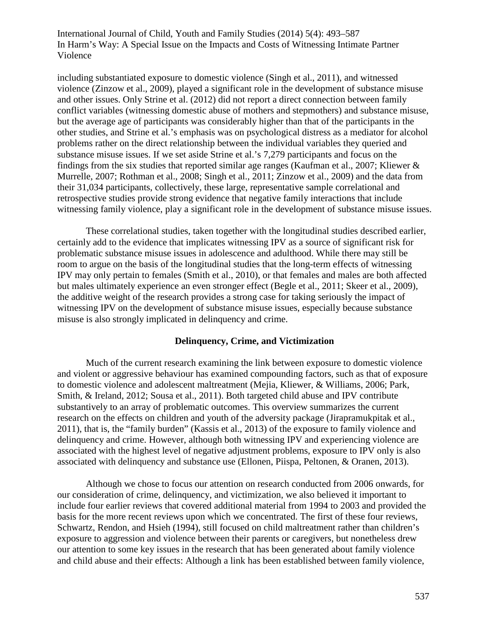including substantiated exposure to domestic violence (Singh et al., 2011), and witnessed violence (Zinzow et al., 2009), played a significant role in the development of substance misuse and other issues. Only Strine et al. (2012) did not report a direct connection between family conflict variables (witnessing domestic abuse of mothers and stepmothers) and substance misuse, but the average age of participants was considerably higher than that of the participants in the other studies, and Strine et al.'s emphasis was on psychological distress as a mediator for alcohol problems rather on the direct relationship between the individual variables they queried and substance misuse issues. If we set aside Strine et al.'s 7,279 participants and focus on the findings from the six studies that reported similar age ranges (Kaufman et al., 2007; Kliewer & Murrelle, 2007; Rothman et al., 2008; Singh et al., 2011; Zinzow et al., 2009) and the data from their 31,034 participants, collectively, these large, representative sample correlational and retrospective studies provide strong evidence that negative family interactions that include witnessing family violence, play a significant role in the development of substance misuse issues.

These correlational studies, taken together with the longitudinal studies described earlier, certainly add to the evidence that implicates witnessing IPV as a source of significant risk for problematic substance misuse issues in adolescence and adulthood. While there may still be room to argue on the basis of the longitudinal studies that the long-term effects of witnessing IPV may only pertain to females (Smith et al., 2010), or that females and males are both affected but males ultimately experience an even stronger effect (Begle et al., 2011; Skeer et al., 2009), the additive weight of the research provides a strong case for taking seriously the impact of witnessing IPV on the development of substance misuse issues, especially because substance misuse is also strongly implicated in delinquency and crime.

# **Delinquency, Crime, and Victimization**

Much of the current research examining the link between exposure to domestic violence and violent or aggressive behaviour has examined compounding factors, such as that of exposure to domestic violence and adolescent maltreatment (Mejia, Kliewer, & Williams, 2006; Park, Smith, & Ireland, 2012; Sousa et al., 2011). Both targeted child abuse and IPV contribute substantively to an array of problematic outcomes. This overview summarizes the current research on the effects on children and youth of the adversity package (Jirapramukpitak et al., 2011), that is, the "family burden" (Kassis et al., 2013) of the exposure to family violence and delinquency and crime. However, although both witnessing IPV and experiencing violence are associated with the highest level of negative adjustment problems, exposure to IPV only is also associated with delinquency and substance use (Ellonen, Piispa, Peltonen, & Oranen, 2013).

Although we chose to focus our attention on research conducted from 2006 onwards, for our consideration of crime, delinquency, and victimization, we also believed it important to include four earlier reviews that covered additional material from 1994 to 2003 and provided the basis for the more recent reviews upon which we concentrated. The first of these four reviews, Schwartz, Rendon, and Hsieh (1994), still focused on child maltreatment rather than children's exposure to aggression and violence between their parents or caregivers, but nonetheless drew our attention to some key issues in the research that has been generated about family violence and child abuse and their effects: Although a link has been established between family violence,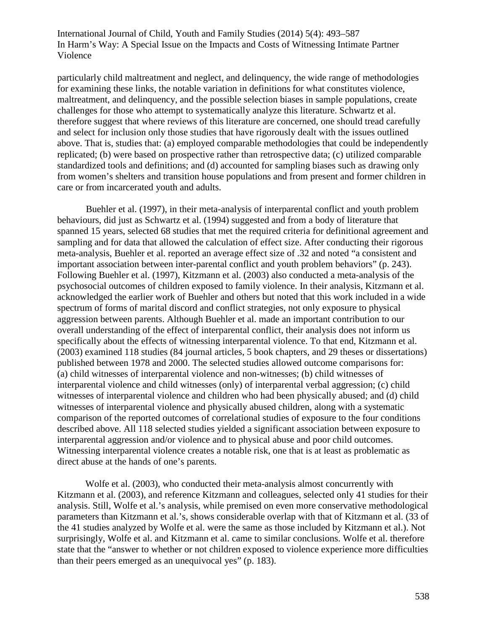particularly child maltreatment and neglect, and delinquency, the wide range of methodologies for examining these links, the notable variation in definitions for what constitutes violence, maltreatment, and delinquency, and the possible selection biases in sample populations, create challenges for those who attempt to systematically analyze this literature. Schwartz et al. therefore suggest that where reviews of this literature are concerned, one should tread carefully and select for inclusion only those studies that have rigorously dealt with the issues outlined above. That is, studies that: (a) employed comparable methodologies that could be independently replicated; (b) were based on prospective rather than retrospective data; (c) utilized comparable standardized tools and definitions; and (d) accounted for sampling biases such as drawing only from women's shelters and transition house populations and from present and former children in care or from incarcerated youth and adults.

Buehler et al. (1997), in their meta-analysis of interparental conflict and youth problem behaviours, did just as Schwartz et al. (1994) suggested and from a body of literature that spanned 15 years, selected 68 studies that met the required criteria for definitional agreement and sampling and for data that allowed the calculation of effect size. After conducting their rigorous meta-analysis, Buehler et al. reported an average effect size of .32 and noted "a consistent and important association between inter-parental conflict and youth problem behaviors" (p. 243). Following Buehler et al. (1997), Kitzmann et al. (2003) also conducted a meta-analysis of the psychosocial outcomes of children exposed to family violence. In their analysis, Kitzmann et al. acknowledged the earlier work of Buehler and others but noted that this work included in a wide spectrum of forms of marital discord and conflict strategies, not only exposure to physical aggression between parents. Although Buehler et al. made an important contribution to our overall understanding of the effect of interparental conflict, their analysis does not inform us specifically about the effects of witnessing interparental violence. To that end, Kitzmann et al. (2003) examined 118 studies (84 journal articles, 5 book chapters, and 29 theses or dissertations) published between 1978 and 2000. The selected studies allowed outcome comparisons for: (a) child witnesses of interparental violence and non-witnesses; (b) child witnesses of interparental violence and child witnesses (only) of interparental verbal aggression; (c) child witnesses of interparental violence and children who had been physically abused; and (d) child witnesses of interparental violence and physically abused children, along with a systematic comparison of the reported outcomes of correlational studies of exposure to the four conditions described above. All 118 selected studies yielded a significant association between exposure to interparental aggression and/or violence and to physical abuse and poor child outcomes. Witnessing interparental violence creates a notable risk, one that is at least as problematic as direct abuse at the hands of one's parents.

Wolfe et al. (2003), who conducted their meta-analysis almost concurrently with Kitzmann et al. (2003), and reference Kitzmann and colleagues, selected only 41 studies for their analysis. Still, Wolfe et al.'s analysis, while premised on even more conservative methodological parameters than Kitzmann et al.'s, shows considerable overlap with that of Kitzmann et al. (33 of the 41 studies analyzed by Wolfe et al. were the same as those included by Kitzmann et al.). Not surprisingly, Wolfe et al. and Kitzmann et al. came to similar conclusions. Wolfe et al. therefore state that the "answer to whether or not children exposed to violence experience more difficulties than their peers emerged as an unequivocal yes" (p. 183).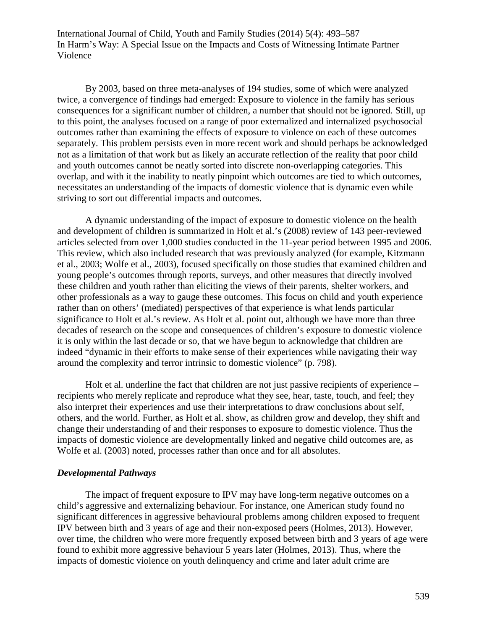By 2003, based on three meta-analyses of 194 studies, some of which were analyzed twice, a convergence of findings had emerged: Exposure to violence in the family has serious consequences for a significant number of children, a number that should not be ignored. Still, up to this point, the analyses focused on a range of poor externalized and internalized psychosocial outcomes rather than examining the effects of exposure to violence on each of these outcomes separately. This problem persists even in more recent work and should perhaps be acknowledged not as a limitation of that work but as likely an accurate reflection of the reality that poor child and youth outcomes cannot be neatly sorted into discrete non-overlapping categories. This overlap, and with it the inability to neatly pinpoint which outcomes are tied to which outcomes, necessitates an understanding of the impacts of domestic violence that is dynamic even while striving to sort out differential impacts and outcomes.

A dynamic understanding of the impact of exposure to domestic violence on the health and development of children is summarized in Holt et al.'s (2008) review of 143 peer-reviewed articles selected from over 1,000 studies conducted in the 11-year period between 1995 and 2006. This review, which also included research that was previously analyzed (for example, Kitzmann et al., 2003; Wolfe et al., 2003), focused specifically on those studies that examined children and young people's outcomes through reports, surveys, and other measures that directly involved these children and youth rather than eliciting the views of their parents, shelter workers, and other professionals as a way to gauge these outcomes. This focus on child and youth experience rather than on others' (mediated) perspectives of that experience is what lends particular significance to Holt et al.'s review. As Holt et al. point out, although we have more than three decades of research on the scope and consequences of children's exposure to domestic violence it is only within the last decade or so, that we have begun to acknowledge that children are indeed "dynamic in their efforts to make sense of their experiences while navigating their way around the complexity and terror intrinsic to domestic violence" (p. 798).

Holt et al. underline the fact that children are not just passive recipients of experience – recipients who merely replicate and reproduce what they see, hear, taste, touch, and feel; they also interpret their experiences and use their interpretations to draw conclusions about self, others, and the world. Further, as Holt et al. show, as children grow and develop, they shift and change their understanding of and their responses to exposure to domestic violence. Thus the impacts of domestic violence are developmentally linked and negative child outcomes are, as Wolfe et al. (2003) noted, processes rather than once and for all absolutes.

### *Developmental Pathways*

The impact of frequent exposure to IPV may have long-term negative outcomes on a child's aggressive and externalizing behaviour. For instance, one American study found no significant differences in aggressive behavioural problems among children exposed to frequent IPV between birth and 3 years of age and their non-exposed peers (Holmes, 2013). However, over time, the children who were more frequently exposed between birth and 3 years of age were found to exhibit more aggressive behaviour 5 years later (Holmes, 2013). Thus, where the impacts of domestic violence on youth delinquency and crime and later adult crime are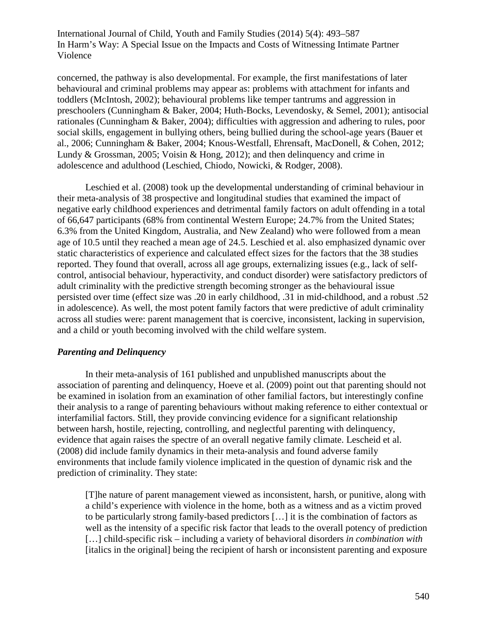concerned, the pathway is also developmental. For example, the first manifestations of later behavioural and criminal problems may appear as: problems with attachment for infants and toddlers (McIntosh, 2002); behavioural problems like temper tantrums and aggression in preschoolers (Cunningham & Baker, 2004; Huth-Bocks, Levendosky, & Semel, 2001); antisocial rationales (Cunningham & Baker, 2004); difficulties with aggression and adhering to rules, poor social skills, engagement in bullying others, being bullied during the school-age years (Bauer et al., 2006; Cunningham & Baker, 2004; Knous-Westfall, Ehrensaft, MacDonell, & Cohen, 2012; Lundy & Grossman, 2005; Voisin & Hong, 2012); and then delinquency and crime in adolescence and adulthood (Leschied, Chiodo, Nowicki, & Rodger, 2008).

Leschied et al. (2008) took up the developmental understanding of criminal behaviour in their meta-analysis of 38 prospective and longitudinal studies that examined the impact of negative early childhood experiences and detrimental family factors on adult offending in a total of 66,647 participants (68% from continental Western Europe; 24.7% from the United States; 6.3% from the United Kingdom, Australia, and New Zealand) who were followed from a mean age of 10.5 until they reached a mean age of 24.5. Leschied et al. also emphasized dynamic over static characteristics of experience and calculated effect sizes for the factors that the 38 studies reported. They found that overall, across all age groups, externalizing issues (e.g., lack of selfcontrol, antisocial behaviour, hyperactivity, and conduct disorder) were satisfactory predictors of adult criminality with the predictive strength becoming stronger as the behavioural issue persisted over time (effect size was .20 in early childhood, .31 in mid-childhood, and a robust .52 in adolescence). As well, the most potent family factors that were predictive of adult criminality across all studies were: parent management that is coercive, inconsistent, lacking in supervision, and a child or youth becoming involved with the child welfare system.

# *Parenting and Delinquency*

In their meta-analysis of 161 published and unpublished manuscripts about the association of parenting and delinquency, Hoeve et al. (2009) point out that parenting should not be examined in isolation from an examination of other familial factors, but interestingly confine their analysis to a range of parenting behaviours without making reference to either contextual or interfamilial factors. Still, they provide convincing evidence for a significant relationship between harsh, hostile, rejecting, controlling, and neglectful parenting with delinquency, evidence that again raises the spectre of an overall negative family climate. Lescheid et al. (2008) did include family dynamics in their meta-analysis and found adverse family environments that include family violence implicated in the question of dynamic risk and the prediction of criminality. They state:

[T]he nature of parent management viewed as inconsistent, harsh, or punitive, along with a child's experience with violence in the home, both as a witness and as a victim proved to be particularly strong family-based predictors […] it is the combination of factors as well as the intensity of a specific risk factor that leads to the overall potency of prediction […] child-specific risk – including a variety of behavioral disorders *in combination with*  [italics in the original] being the recipient of harsh or inconsistent parenting and exposure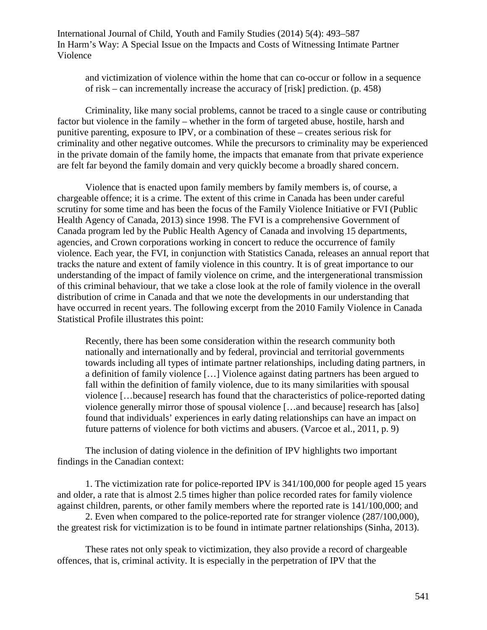and victimization of violence within the home that can co-occur or follow in a sequence of risk – can incrementally increase the accuracy of [risk] prediction. (p. 458)

Criminality, like many social problems, cannot be traced to a single cause or contributing factor but violence in the family – whether in the form of targeted abuse, hostile, harsh and punitive parenting, exposure to IPV, or a combination of these – creates serious risk for criminality and other negative outcomes. While the precursors to criminality may be experienced in the private domain of the family home, the impacts that emanate from that private experience are felt far beyond the family domain and very quickly become a broadly shared concern.

Violence that is enacted upon family members by family members is, of course, a chargeable offence; it is a crime. The extent of this crime in Canada has been under careful scrutiny for some time and has been the focus of the Family Violence Initiative or FVI (Public Health Agency of Canada, 2013) since 1998. The FVI is a comprehensive Government of Canada program led by the Public Health Agency of Canada and involving 15 departments, agencies, and Crown corporations working in concert to reduce the occurrence of family violence. Each year, the FVI, in conjunction with Statistics Canada, releases an annual report that tracks the nature and extent of family violence in this country. It is of great importance to our understanding of the impact of family violence on crime, and the intergenerational transmission of this criminal behaviour, that we take a close look at the role of family violence in the overall distribution of crime in Canada and that we note the developments in our understanding that have occurred in recent years. The following excerpt from the 2010 Family Violence in Canada Statistical Profile illustrates this point:

Recently, there has been some consideration within the research community both nationally and internationally and by federal, provincial and territorial governments towards including all types of intimate partner relationships, including dating partners, in a definition of family violence […] Violence against dating partners has been argued to fall within the definition of family violence, due to its many similarities with spousal violence […because] research has found that the characteristics of police-reported dating violence generally mirror those of spousal violence […and because] research has [also] found that individuals' experiences in early dating relationships can have an impact on future patterns of violence for both victims and abusers. (Varcoe et al., 2011, p. 9)

The inclusion of dating violence in the definition of IPV highlights two important findings in the Canadian context:

1. The victimization rate for police-reported IPV is 341/100,000 for people aged 15 years and older, a rate that is almost 2.5 times higher than police recorded rates for family violence against children, parents, or other family members where the reported rate is 141/100,000; and

2. Even when compared to the police-reported rate for stranger violence (287/100,000), the greatest risk for victimization is to be found in intimate partner relationships (Sinha, 2013).

These rates not only speak to victimization, they also provide a record of chargeable offences, that is, criminal activity. It is especially in the perpetration of IPV that the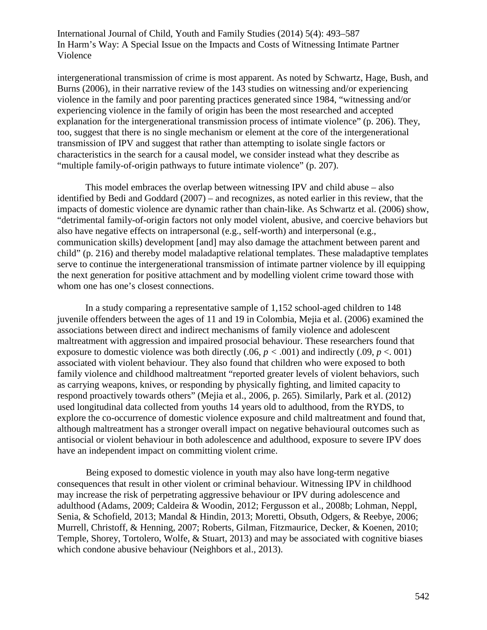intergenerational transmission of crime is most apparent. As noted by Schwartz, Hage, Bush, and Burns (2006), in their narrative review of the 143 studies on witnessing and/or experiencing violence in the family and poor parenting practices generated since 1984, "witnessing and/or experiencing violence in the family of origin has been the most researched and accepted explanation for the intergenerational transmission process of intimate violence" (p. 206). They, too, suggest that there is no single mechanism or element at the core of the intergenerational transmission of IPV and suggest that rather than attempting to isolate single factors or characteristics in the search for a causal model, we consider instead what they describe as "multiple family-of-origin pathways to future intimate violence" (p. 207).

This model embraces the overlap between witnessing IPV and child abuse – also identified by Bedi and Goddard (2007) – and recognizes, as noted earlier in this review, that the impacts of domestic violence are dynamic rather than chain-like. As Schwartz et al. (2006) show, "detrimental family-of-origin factors not only model violent, abusive, and coercive behaviors but also have negative effects on intrapersonal (e.g., self-worth) and interpersonal (e.g., communication skills) development [and] may also damage the attachment between parent and child" (p. 216) and thereby model maladaptive relational templates. These maladaptive templates serve to continue the intergenerational transmission of intimate partner violence by ill equipping the next generation for positive attachment and by modelling violent crime toward those with whom one has one's closest connections.

In a study comparing a representative sample of 1,152 school-aged children to 148 juvenile offenders between the ages of 11 and 19 in Colombia, Mejia et al. (2006) examined the associations between direct and indirect mechanisms of family violence and adolescent maltreatment with aggression and impaired prosocial behaviour. These researchers found that exposure to domestic violence was both directly  $(.06, p < .001)$  and indirectly  $(.09, p < .001)$ associated with violent behaviour. They also found that children who were exposed to both family violence and childhood maltreatment "reported greater levels of violent behaviors, such as carrying weapons, knives, or responding by physically fighting, and limited capacity to respond proactively towards others" (Mejia et al., 2006, p. 265). Similarly, Park et al. (2012) used longitudinal data collected from youths 14 years old to adulthood, from the RYDS, to explore the co-occurrence of domestic violence exposure and child maltreatment and found that, although maltreatment has a stronger overall impact on negative behavioural outcomes such as antisocial or violent behaviour in both adolescence and adulthood, exposure to severe IPV does have an independent impact on committing violent crime.

Being exposed to domestic violence in youth may also have long-term negative consequences that result in other violent or criminal behaviour. Witnessing IPV in childhood may increase the risk of perpetrating aggressive behaviour or IPV during adolescence and adulthood (Adams, 2009; Caldeira & Woodin, 2012; Fergusson et al., 2008b; Lohman, Neppl, Senia, & Schofield, 2013; Mandal & Hindin, 2013; Moretti, Obsuth, Odgers, & Reebye, 2006; Murrell, Christoff, & Henning, 2007; Roberts, Gilman, Fitzmaurice, Decker, & Koenen, 2010; Temple, Shorey, Tortolero, Wolfe, & Stuart, 2013) and may be associated with cognitive biases which condone abusive behaviour (Neighbors et al., 2013).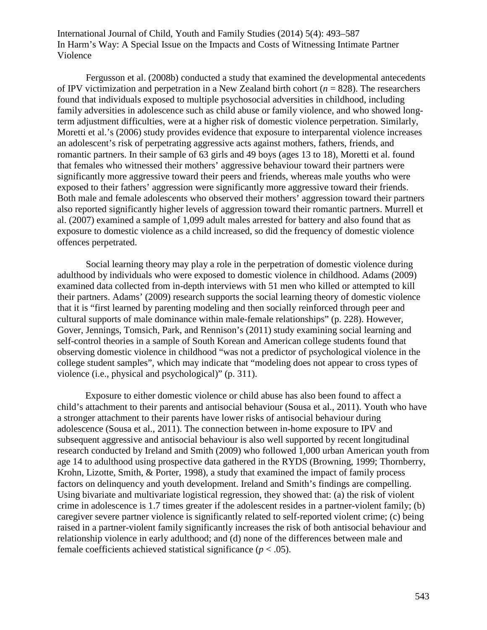Fergusson et al. (2008b) conducted a study that examined the developmental antecedents of IPV victimization and perpetration in a New Zealand birth cohort  $(n = 828)$ . The researchers found that individuals exposed to multiple psychosocial adversities in childhood, including family adversities in adolescence such as child abuse or family violence, and who showed longterm adjustment difficulties, were at a higher risk of domestic violence perpetration. Similarly, Moretti et al.'s (2006) study provides evidence that exposure to interparental violence increases an adolescent's risk of perpetrating aggressive acts against mothers, fathers, friends, and romantic partners. In their sample of 63 girls and 49 boys (ages 13 to 18), Moretti et al. found that females who witnessed their mothers' aggressive behaviour toward their partners were significantly more aggressive toward their peers and friends, whereas male youths who were exposed to their fathers' aggression were significantly more aggressive toward their friends. Both male and female adolescents who observed their mothers' aggression toward their partners also reported significantly higher levels of aggression toward their romantic partners. Murrell et al. (2007) examined a sample of 1,099 adult males arrested for battery and also found that as exposure to domestic violence as a child increased, so did the frequency of domestic violence offences perpetrated.

Social learning theory may play a role in the perpetration of domestic violence during adulthood by individuals who were exposed to domestic violence in childhood. Adams (2009) examined data collected from in-depth interviews with 51 men who killed or attempted to kill their partners. Adams' (2009) research supports the social learning theory of domestic violence that it is "first learned by parenting modeling and then socially reinforced through peer and cultural supports of male dominance within male-female relationships" (p. 228). However, Gover, Jennings, Tomsich, Park, and Rennison's (2011) study examining social learning and self-control theories in a sample of South Korean and American college students found that observing domestic violence in childhood "was not a predictor of psychological violence in the college student samples", which may indicate that "modeling does not appear to cross types of violence (i.e., physical and psychological)" (p. 311).

Exposure to either domestic violence or child abuse has also been found to affect a child's attachment to their parents and antisocial behaviour (Sousa et al., 2011). Youth who have a stronger attachment to their parents have lower risks of antisocial behaviour during adolescence (Sousa et al., 2011). The connection between in-home exposure to IPV and subsequent aggressive and antisocial behaviour is also well supported by recent longitudinal research conducted by Ireland and Smith (2009) who followed 1,000 urban American youth from age 14 to adulthood using prospective data gathered in the RYDS (Browning, 1999; Thornberry, Krohn, Lizotte, Smith, & Porter, 1998), a study that examined the impact of family process factors on delinquency and youth development. Ireland and Smith's findings are compelling. Using bivariate and multivariate logistical regression, they showed that: (a) the risk of violent crime in adolescence is 1.7 times greater if the adolescent resides in a partner-violent family; (b) caregiver severe partner violence is significantly related to self-reported violent crime; (c) being raised in a partner-violent family significantly increases the risk of both antisocial behaviour and relationship violence in early adulthood; and (d) none of the differences between male and female coefficients achieved statistical significance  $(p < .05)$ .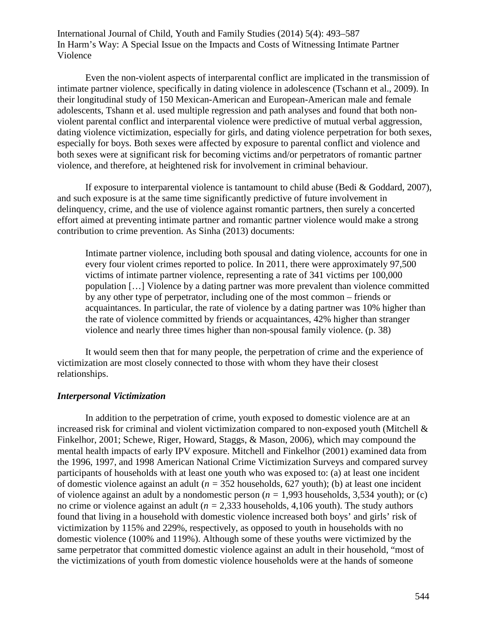Even the non-violent aspects of interparental conflict are implicated in the transmission of intimate partner violence, specifically in dating violence in adolescence (Tschann et al., 2009). In their longitudinal study of 150 Mexican-American and European-American male and female adolescents, Tshann et al. used multiple regression and path analyses and found that both nonviolent parental conflict and interparental violence were predictive of mutual verbal aggression, dating violence victimization, especially for girls, and dating violence perpetration for both sexes, especially for boys. Both sexes were affected by exposure to parental conflict and violence and both sexes were at significant risk for becoming victims and/or perpetrators of romantic partner violence, and therefore, at heightened risk for involvement in criminal behaviour.

If exposure to interparental violence is tantamount to child abuse (Bedi & Goddard, 2007), and such exposure is at the same time significantly predictive of future involvement in delinquency, crime, and the use of violence against romantic partners, then surely a concerted effort aimed at preventing intimate partner and romantic partner violence would make a strong contribution to crime prevention. As Sinha (2013) documents:

Intimate partner violence, including both spousal and dating violence, accounts for one in every four violent crimes reported to police. In 2011, there were approximately 97,500 victims of intimate partner violence, representing a rate of 341 victims per 100,000 population […] Violence by a dating partner was more prevalent than violence committed by any other type of perpetrator, including one of the most common – friends or acquaintances. In particular, the rate of violence by a dating partner was 10% higher than the rate of violence committed by friends or acquaintances, 42% higher than stranger violence and nearly three times higher than non-spousal family violence. (p. 38)

It would seem then that for many people, the perpetration of crime and the experience of victimization are most closely connected to those with whom they have their closest relationships.

#### *Interpersonal Victimization*

In addition to the perpetration of crime, youth exposed to domestic violence are at an increased risk for criminal and violent victimization compared to non-exposed youth (Mitchell & Finkelhor, 2001; Schewe, Riger, Howard, Staggs, & Mason, 2006), which may compound the mental health impacts of early IPV exposure. Mitchell and Finkelhor (2001) examined data from the 1996, 1997, and 1998 American National Crime Victimization Surveys and compared survey participants of households with at least one youth who was exposed to: (a) at least one incident of domestic violence against an adult (*n =* 352 households, 627 youth); (b) at least one incident of violence against an adult by a nondomestic person (*n =* 1,993 households, 3,534 youth); or (c) no crime or violence against an adult (*n =* 2,333 households, 4,106 youth). The study authors found that living in a household with domestic violence increased both boys' and girls' risk of victimization by 115% and 229%, respectively, as opposed to youth in households with no domestic violence (100% and 119%). Although some of these youths were victimized by the same perpetrator that committed domestic violence against an adult in their household, "most of the victimizations of youth from domestic violence households were at the hands of someone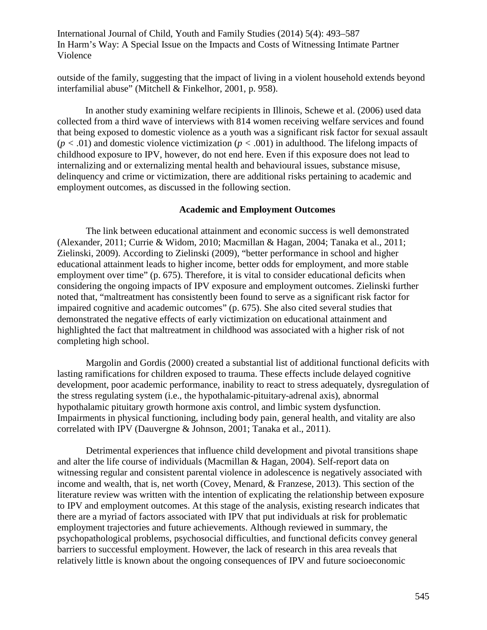outside of the family, suggesting that the impact of living in a violent household extends beyond interfamilial abuse" (Mitchell & Finkelhor, 2001, p. 958).

In another study examining welfare recipients in Illinois, Schewe et al. (2006) used data collected from a third wave of interviews with 814 women receiving welfare services and found that being exposed to domestic violence as a youth was a significant risk factor for sexual assault  $(p < .01)$  and domestic violence victimization  $(p < .001)$  in adulthood. The lifelong impacts of childhood exposure to IPV, however, do not end here. Even if this exposure does not lead to internalizing and or externalizing mental health and behavioural issues, substance misuse, delinquency and crime or victimization, there are additional risks pertaining to academic and employment outcomes, as discussed in the following section.

#### **Academic and Employment Outcomes**

The link between educational attainment and economic success is well demonstrated (Alexander, 2011; Currie & Widom, 2010; Macmillan & Hagan, 2004; Tanaka et al., 2011; Zielinski, 2009). According to Zielinski (2009), "better performance in school and higher educational attainment leads to higher income, better odds for employment, and more stable employment over time" (p. 675). Therefore, it is vital to consider educational deficits when considering the ongoing impacts of IPV exposure and employment outcomes. Zielinski further noted that, "maltreatment has consistently been found to serve as a significant risk factor for impaired cognitive and academic outcomes" (p. 675). She also cited several studies that demonstrated the negative effects of early victimization on educational attainment and highlighted the fact that maltreatment in childhood was associated with a higher risk of not completing high school.

Margolin and Gordis (2000) created a substantial list of additional functional deficits with lasting ramifications for children exposed to trauma. These effects include delayed cognitive development, poor academic performance, inability to react to stress adequately, dysregulation of the stress regulating system (i.e., the hypothalamic-pituitary-adrenal axis), abnormal hypothalamic pituitary growth hormone axis control, and limbic system dysfunction. Impairments in physical functioning, including body pain, general health, and vitality are also correlated with IPV (Dauvergne & Johnson, 2001; Tanaka et al., 2011).

Detrimental experiences that influence child development and pivotal transitions shape and alter the life course of individuals (Macmillan & Hagan, 2004). Self-report data on witnessing regular and consistent parental violence in adolescence is negatively associated with income and wealth, that is, net worth (Covey, Menard, & Franzese, 2013). This section of the literature review was written with the intention of explicating the relationship between exposure to IPV and employment outcomes. At this stage of the analysis, existing research indicates that there are a myriad of factors associated with IPV that put individuals at risk for problematic employment trajectories and future achievements. Although reviewed in summary, the psychopathological problems, psychosocial difficulties, and functional deficits convey general barriers to successful employment. However, the lack of research in this area reveals that relatively little is known about the ongoing consequences of IPV and future socioeconomic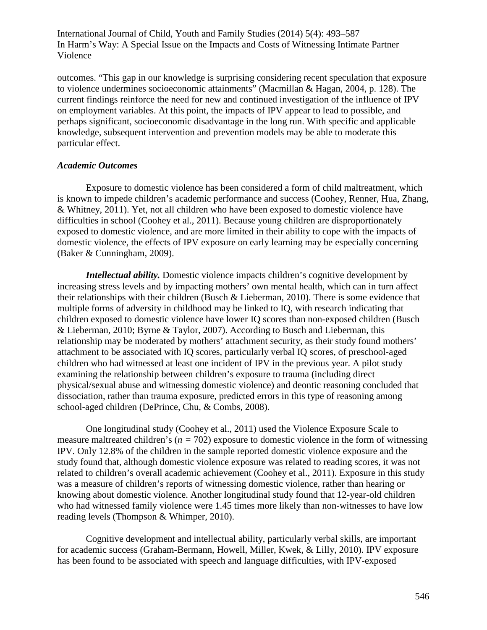outcomes. "This gap in our knowledge is surprising considering recent speculation that exposure to violence undermines socioeconomic attainments" (Macmillan & Hagan, 2004, p. 128). The current findings reinforce the need for new and continued investigation of the influence of IPV on employment variables. At this point, the impacts of IPV appear to lead to possible, and perhaps significant, socioeconomic disadvantage in the long run. With specific and applicable knowledge, subsequent intervention and prevention models may be able to moderate this particular effect.

### *Academic Outcomes*

Exposure to domestic violence has been considered a form of child maltreatment, which is known to impede children's academic performance and success (Coohey, Renner, Hua, Zhang, & Whitney, 2011). Yet, not all children who have been exposed to domestic violence have difficulties in school (Coohey et al., 2011). Because young children are disproportionately exposed to domestic violence, and are more limited in their ability to cope with the impacts of domestic violence, the effects of IPV exposure on early learning may be especially concerning (Baker & Cunningham, 2009).

*Intellectual ability.* Domestic violence impacts children's cognitive development by increasing stress levels and by impacting mothers' own mental health, which can in turn affect their relationships with their children (Busch & Lieberman, 2010). There is some evidence that multiple forms of adversity in childhood may be linked to IQ, with research indicating that children exposed to domestic violence have lower IQ scores than non-exposed children (Busch & Lieberman, 2010; Byrne & Taylor, 2007). According to Busch and Lieberman, this relationship may be moderated by mothers' attachment security, as their study found mothers' attachment to be associated with IQ scores, particularly verbal IQ scores, of preschool-aged children who had witnessed at least one incident of IPV in the previous year. A pilot study examining the relationship between children's exposure to trauma (including direct physical/sexual abuse and witnessing domestic violence) and deontic reasoning concluded that dissociation, rather than trauma exposure, predicted errors in this type of reasoning among school-aged children (DePrince, Chu, & Combs, 2008).

One longitudinal study (Coohey et al., 2011) used the Violence Exposure Scale to measure maltreated children's (*n =* 702) exposure to domestic violence in the form of witnessing IPV. Only 12.8% of the children in the sample reported domestic violence exposure and the study found that, although domestic violence exposure was related to reading scores, it was not related to children's overall academic achievement (Coohey et al., 2011). Exposure in this study was a measure of children's reports of witnessing domestic violence, rather than hearing or knowing about domestic violence. Another longitudinal study found that 12-year-old children who had witnessed family violence were 1.45 times more likely than non-witnesses to have low reading levels (Thompson & Whimper, 2010).

Cognitive development and intellectual ability, particularly verbal skills, are important for academic success (Graham-Bermann, Howell, Miller, Kwek, & Lilly, 2010). IPV exposure has been found to be associated with speech and language difficulties, with IPV-exposed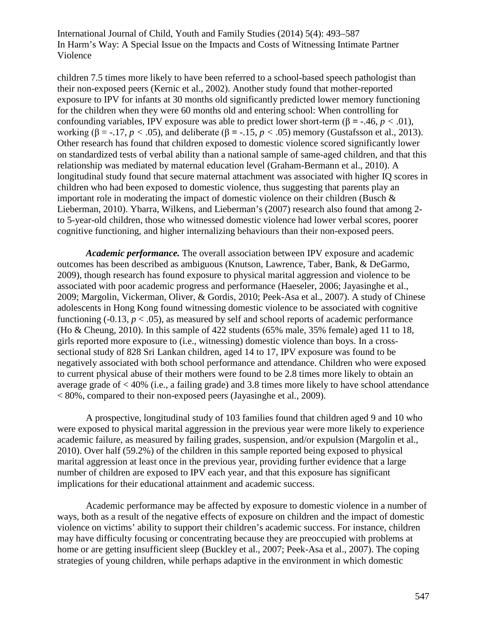children 7.5 times more likely to have been referred to a school-based speech pathologist than their non-exposed peers (Kernic et al., 2002). Another study found that mother-reported exposure to IPV for infants at 30 months old significantly predicted lower memory functioning for the children when they were 60 months old and entering school: When controlling for confounding variables, IPV exposure was able to predict lower short-term (β **=** -.46, *p <* .01), working (β = -.17,  $p < .05$ ), and deliberate (β = -.15,  $p < .05$ ) memory (Gustafsson et al., 2013). Other research has found that children exposed to domestic violence scored significantly lower on standardized tests of verbal ability than a national sample of same-aged children, and that this relationship was mediated by maternal education level (Graham-Bermann et al., 2010). A longitudinal study found that secure maternal attachment was associated with higher IQ scores in children who had been exposed to domestic violence, thus suggesting that parents play an important role in moderating the impact of domestic violence on their children (Busch  $\&$ Lieberman, 2010). Ybarra, Wilkens, and Lieberman's (2007) research also found that among 2 to 5-year-old children, those who witnessed domestic violence had lower verbal scores, poorer cognitive functioning, and higher internalizing behaviours than their non-exposed peers.

*Academic performance.* The overall association between IPV exposure and academic outcomes has been described as ambiguous (Knutson, Lawrence, Taber, Bank, & DeGarmo, 2009), though research has found exposure to physical marital aggression and violence to be associated with poor academic progress and performance (Haeseler, 2006; Jayasinghe et al., 2009; Margolin, Vickerman, Oliver, & Gordis, 2010; Peek-Asa et al., 2007). A study of Chinese adolescents in Hong Kong found witnessing domestic violence to be associated with cognitive functioning  $(-0.13, p < .05)$ , as measured by self and school reports of academic performance (Ho & Cheung, 2010). In this sample of 422 students (65% male, 35% female) aged 11 to 18, girls reported more exposure to (i.e., witnessing) domestic violence than boys. In a crosssectional study of 828 Sri Lankan children, aged 14 to 17, IPV exposure was found to be negatively associated with both school performance and attendance. Children who were exposed to current physical abuse of their mothers were found to be 2.8 times more likely to obtain an average grade of < 40% (i.e., a failing grade) and 3.8 times more likely to have school attendance < 80%, compared to their non-exposed peers (Jayasinghe et al., 2009).

A prospective, longitudinal study of 103 families found that children aged 9 and 10 who were exposed to physical marital aggression in the previous year were more likely to experience academic failure, as measured by failing grades, suspension, and/or expulsion (Margolin et al., 2010). Over half (59.2%) of the children in this sample reported being exposed to physical marital aggression at least once in the previous year, providing further evidence that a large number of children are exposed to IPV each year, and that this exposure has significant implications for their educational attainment and academic success.

Academic performance may be affected by exposure to domestic violence in a number of ways, both as a result of the negative effects of exposure on children and the impact of domestic violence on victims' ability to support their children's academic success. For instance, children may have difficulty focusing or concentrating because they are preoccupied with problems at home or are getting insufficient sleep (Buckley et al., 2007; Peek-Asa et al., 2007). The coping strategies of young children, while perhaps adaptive in the environment in which domestic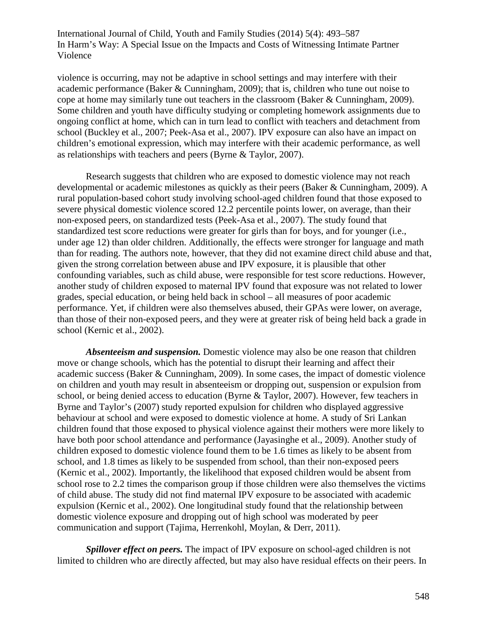violence is occurring, may not be adaptive in school settings and may interfere with their academic performance (Baker & Cunningham, 2009); that is, children who tune out noise to cope at home may similarly tune out teachers in the classroom (Baker & Cunningham, 2009). Some children and youth have difficulty studying or completing homework assignments due to ongoing conflict at home, which can in turn lead to conflict with teachers and detachment from school (Buckley et al., 2007; Peek-Asa et al., 2007). IPV exposure can also have an impact on children's emotional expression, which may interfere with their academic performance, as well as relationships with teachers and peers (Byrne & Taylor, 2007).

Research suggests that children who are exposed to domestic violence may not reach developmental or academic milestones as quickly as their peers (Baker & Cunningham, 2009). A rural population-based cohort study involving school-aged children found that those exposed to severe physical domestic violence scored 12.2 percentile points lower, on average, than their non-exposed peers, on standardized tests (Peek-Asa et al., 2007). The study found that standardized test score reductions were greater for girls than for boys, and for younger (i.e., under age 12) than older children. Additionally, the effects were stronger for language and math than for reading. The authors note, however, that they did not examine direct child abuse and that, given the strong correlation between abuse and IPV exposure, it is plausible that other confounding variables, such as child abuse, were responsible for test score reductions. However, another study of children exposed to maternal IPV found that exposure was not related to lower grades, special education, or being held back in school – all measures of poor academic performance. Yet, if children were also themselves abused, their GPAs were lower, on average, than those of their non-exposed peers, and they were at greater risk of being held back a grade in school (Kernic et al., 2002).

*Absenteeism and suspension.* Domestic violence may also be one reason that children move or change schools, which has the potential to disrupt their learning and affect their academic success (Baker & Cunningham, 2009). In some cases, the impact of domestic violence on children and youth may result in absenteeism or dropping out, suspension or expulsion from school, or being denied access to education (Byrne & Taylor, 2007). However, few teachers in Byrne and Taylor's (2007) study reported expulsion for children who displayed aggressive behaviour at school and were exposed to domestic violence at home. A study of Sri Lankan children found that those exposed to physical violence against their mothers were more likely to have both poor school attendance and performance (Jayasinghe et al., 2009). Another study of children exposed to domestic violence found them to be 1.6 times as likely to be absent from school, and 1.8 times as likely to be suspended from school, than their non-exposed peers (Kernic et al., 2002). Importantly, the likelihood that exposed children would be absent from school rose to 2.2 times the comparison group if those children were also themselves the victims of child abuse. The study did not find maternal IPV exposure to be associated with academic expulsion (Kernic et al., 2002). One longitudinal study found that the relationship between domestic violence exposure and dropping out of high school was moderated by peer communication and support (Tajima, Herrenkohl, Moylan, & Derr, 2011).

*Spillover effect on peers.* The impact of IPV exposure on school-aged children is not limited to children who are directly affected, but may also have residual effects on their peers. In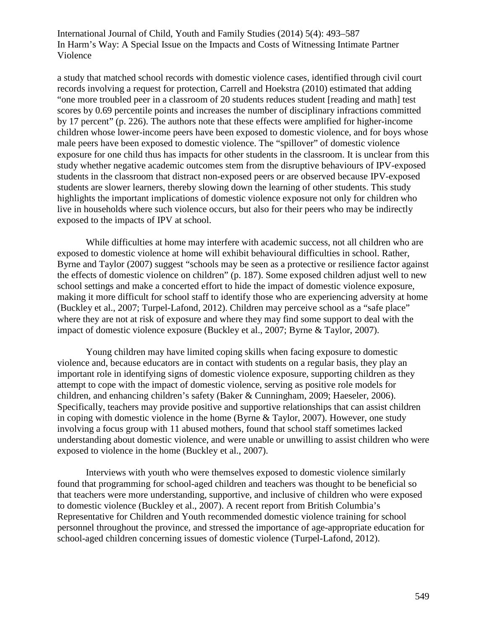a study that matched school records with domestic violence cases, identified through civil court records involving a request for protection, Carrell and Hoekstra (2010) estimated that adding "one more troubled peer in a classroom of 20 students reduces student [reading and math] test scores by 0.69 percentile points and increases the number of disciplinary infractions committed by 17 percent" (p. 226). The authors note that these effects were amplified for higher-income children whose lower-income peers have been exposed to domestic violence, and for boys whose male peers have been exposed to domestic violence. The "spillover" of domestic violence exposure for one child thus has impacts for other students in the classroom. It is unclear from this study whether negative academic outcomes stem from the disruptive behaviours of IPV-exposed students in the classroom that distract non-exposed peers or are observed because IPV-exposed students are slower learners, thereby slowing down the learning of other students. This study highlights the important implications of domestic violence exposure not only for children who live in households where such violence occurs, but also for their peers who may be indirectly exposed to the impacts of IPV at school.

While difficulties at home may interfere with academic success, not all children who are exposed to domestic violence at home will exhibit behavioural difficulties in school. Rather, Byrne and Taylor (2007) suggest "schools may be seen as a protective or resilience factor against the effects of domestic violence on children" (p. 187). Some exposed children adjust well to new school settings and make a concerted effort to hide the impact of domestic violence exposure, making it more difficult for school staff to identify those who are experiencing adversity at home (Buckley et al., 2007; Turpel-Lafond, 2012). Children may perceive school as a "safe place" where they are not at risk of exposure and where they may find some support to deal with the impact of domestic violence exposure (Buckley et al., 2007; Byrne & Taylor, 2007).

Young children may have limited coping skills when facing exposure to domestic violence and, because educators are in contact with students on a regular basis, they play an important role in identifying signs of domestic violence exposure, supporting children as they attempt to cope with the impact of domestic violence, serving as positive role models for children, and enhancing children's safety (Baker & Cunningham, 2009; Haeseler, 2006). Specifically, teachers may provide positive and supportive relationships that can assist children in coping with domestic violence in the home (Byrne & Taylor, 2007). However, one study involving a focus group with 11 abused mothers, found that school staff sometimes lacked understanding about domestic violence, and were unable or unwilling to assist children who were exposed to violence in the home (Buckley et al., 2007).

Interviews with youth who were themselves exposed to domestic violence similarly found that programming for school-aged children and teachers was thought to be beneficial so that teachers were more understanding, supportive, and inclusive of children who were exposed to domestic violence (Buckley et al., 2007). A recent report from British Columbia's Representative for Children and Youth recommended domestic violence training for school personnel throughout the province, and stressed the importance of age-appropriate education for school-aged children concerning issues of domestic violence (Turpel-Lafond, 2012).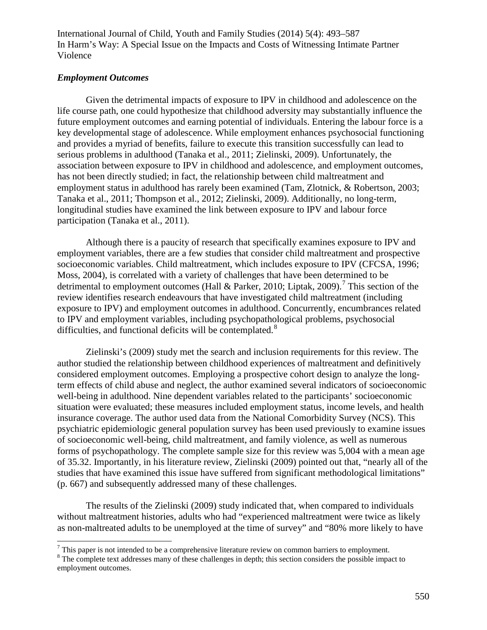# *Employment Outcomes*

Given the detrimental impacts of exposure to IPV in childhood and adolescence on the life course path, one could hypothesize that childhood adversity may substantially influence the future employment outcomes and earning potential of individuals. Entering the labour force is a key developmental stage of adolescence. While employment enhances psychosocial functioning and provides a myriad of benefits, failure to execute this transition successfully can lead to serious problems in adulthood (Tanaka et al., 2011; Zielinski, 2009). Unfortunately, the association between exposure to IPV in childhood and adolescence, and employment outcomes, has not been directly studied; in fact, the relationship between child maltreatment and employment status in adulthood has rarely been examined (Tam, Zlotnick, & Robertson, 2003; Tanaka et al., 2011; Thompson et al., 2012; Zielinski, 2009). Additionally, no long-term, longitudinal studies have examined the link between exposure to IPV and labour force participation (Tanaka et al., 2011).

Although there is a paucity of research that specifically examines exposure to IPV and employment variables, there are a few studies that consider child maltreatment and prospective socioeconomic variables. Child maltreatment, which includes exposure to IPV (CFCSA, 1996; Moss, 2004), is correlated with a variety of challenges that have been determined to be detrimental to employment outcomes (Hall & Parker, 2010; Liptak, 2009).<sup>[7](#page-57-0)</sup> This section of the review identifies research endeavours that have investigated child maltreatment (including exposure to IPV) and employment outcomes in adulthood. Concurrently, encumbrances related to IPV and employment variables, including psychopathological problems, psychosocial difficulties, and functional deficits will be contemplated.<sup>[8](#page-57-1)</sup>

Zielinski's (2009) study met the search and inclusion requirements for this review. The author studied the relationship between childhood experiences of maltreatment and definitively considered employment outcomes. Employing a prospective cohort design to analyze the longterm effects of child abuse and neglect, the author examined several indicators of socioeconomic well-being in adulthood. Nine dependent variables related to the participants' socioeconomic situation were evaluated; these measures included employment status, income levels, and health insurance coverage. The author used data from the National Comorbidity Survey (NCS). This psychiatric epidemiologic general population survey has been used previously to examine issues of socioeconomic well-being, child maltreatment, and family violence, as well as numerous forms of psychopathology. The complete sample size for this review was 5,004 with a mean age of 35.32. Importantly, in his literature review, Zielinski (2009) pointed out that, "nearly all of the studies that have examined this issue have suffered from significant methodological limitations" (p. 667) and subsequently addressed many of these challenges.

The results of the Zielinski (2009) study indicated that, when compared to individuals without maltreatment histories, adults who had "experienced maltreatment were twice as likely as non-maltreated adults to be unemployed at the time of survey" and "80% more likely to have

<span id="page-57-1"></span><span id="page-57-0"></span> $\frac{7}{8}$  This paper is not intended to be a comprehensive literature review on common barriers to employment.  $\frac{8}{8}$  The complete text addresses many of these challenges in depth; this section considers the possible i employment outcomes.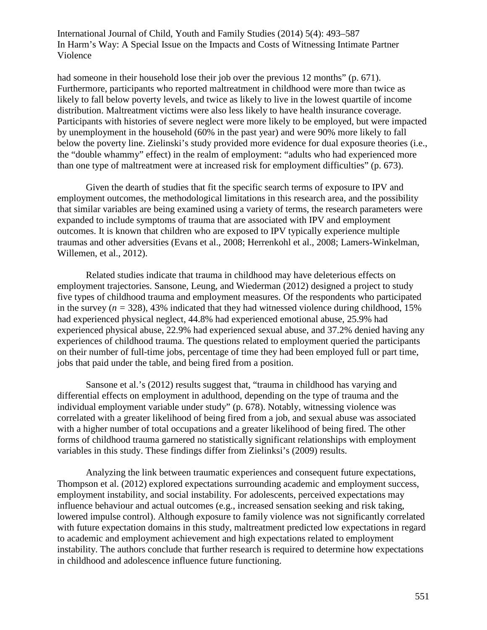had someone in their household lose their job over the previous 12 months" (p. 671). Furthermore, participants who reported maltreatment in childhood were more than twice as likely to fall below poverty levels, and twice as likely to live in the lowest quartile of income distribution. Maltreatment victims were also less likely to have health insurance coverage. Participants with histories of severe neglect were more likely to be employed, but were impacted by unemployment in the household (60% in the past year) and were 90% more likely to fall below the poverty line. Zielinski's study provided more evidence for dual exposure theories (i.e., the "double whammy" effect) in the realm of employment: "adults who had experienced more than one type of maltreatment were at increased risk for employment difficulties" (p. 673).

Given the dearth of studies that fit the specific search terms of exposure to IPV and employment outcomes, the methodological limitations in this research area, and the possibility that similar variables are being examined using a variety of terms, the research parameters were expanded to include symptoms of trauma that are associated with IPV and employment outcomes. It is known that children who are exposed to IPV typically experience multiple traumas and other adversities (Evans et al., 2008; Herrenkohl et al., 2008; Lamers-Winkelman, Willemen, et al., 2012).

Related studies indicate that trauma in childhood may have deleterious effects on employment trajectories. Sansone, Leung, and Wiederman (2012) designed a project to study five types of childhood trauma and employment measures. Of the respondents who participated in the survey ( $n = 328$ ), 43% indicated that they had witnessed violence during childhood, 15% had experienced physical neglect, 44.8% had experienced emotional abuse, 25.9% had experienced physical abuse, 22.9% had experienced sexual abuse, and 37.2% denied having any experiences of childhood trauma. The questions related to employment queried the participants on their number of full-time jobs, percentage of time they had been employed full or part time, jobs that paid under the table, and being fired from a position.

Sansone et al.'s (2012) results suggest that, "trauma in childhood has varying and differential effects on employment in adulthood, depending on the type of trauma and the individual employment variable under study" (p. 678). Notably, witnessing violence was correlated with a greater likelihood of being fired from a job, and sexual abuse was associated with a higher number of total occupations and a greater likelihood of being fired. The other forms of childhood trauma garnered no statistically significant relationships with employment variables in this study. These findings differ from Zielinksi's (2009) results.

Analyzing the link between traumatic experiences and consequent future expectations, Thompson et al. (2012) explored expectations surrounding academic and employment success, employment instability, and social instability. For adolescents, perceived expectations may influence behaviour and actual outcomes (e.g., increased sensation seeking and risk taking, lowered impulse control). Although exposure to family violence was not significantly correlated with future expectation domains in this study, maltreatment predicted low expectations in regard to academic and employment achievement and high expectations related to employment instability. The authors conclude that further research is required to determine how expectations in childhood and adolescence influence future functioning.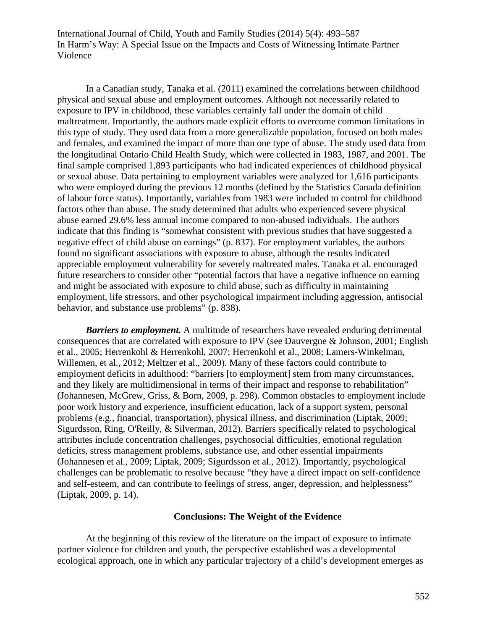In a Canadian study, Tanaka et al. (2011) examined the correlations between childhood physical and sexual abuse and employment outcomes. Although not necessarily related to exposure to IPV in childhood, these variables certainly fall under the domain of child maltreatment. Importantly, the authors made explicit efforts to overcome common limitations in this type of study. They used data from a more generalizable population, focused on both males and females, and examined the impact of more than one type of abuse. The study used data from the longitudinal Ontario Child Health Study, which were collected in 1983, 1987, and 2001. The final sample comprised 1,893 participants who had indicated experiences of childhood physical or sexual abuse. Data pertaining to employment variables were analyzed for 1,616 participants who were employed during the previous 12 months (defined by the Statistics Canada definition of labour force status). Importantly, variables from 1983 were included to control for childhood factors other than abuse. The study determined that adults who experienced severe physical abuse earned 29.6% less annual income compared to non-abused individuals. The authors indicate that this finding is "somewhat consistent with previous studies that have suggested a negative effect of child abuse on earnings" (p. 837). For employment variables, the authors found no significant associations with exposure to abuse, although the results indicated appreciable employment vulnerability for severely maltreated males. Tanaka et al. encouraged future researchers to consider other "potential factors that have a negative influence on earning and might be associated with exposure to child abuse, such as difficulty in maintaining employment, life stressors, and other psychological impairment including aggression, antisocial behavior, and substance use problems" (p. 838).

*Barriers to employment.* A multitude of researchers have revealed enduring detrimental consequences that are correlated with exposure to IPV (see Dauvergne & Johnson, 2001; English et al., 2005; Herrenkohl & Herrenkohl, 2007; Herrenkohl et al., 2008; Lamers-Winkelman, Willemen, et al., 2012; Meltzer et al., 2009). Many of these factors could contribute to employment deficits in adulthood: "barriers [to employment] stem from many circumstances, and they likely are multidimensional in terms of their impact and response to rehabilitation" (Johannesen, McGrew, Griss, & Born, 2009, p. 298). Common obstacles to employment include poor work history and experience, insufficient education, lack of a support system, personal problems (e.g., financial, transportation), physical illness, and discrimination (Liptak, 2009; Sigurdsson, Ring, O'Reilly, & Silverman, 2012). Barriers specifically related to psychological attributes include concentration challenges, psychosocial difficulties, emotional regulation deficits, stress management problems, substance use, and other essential impairments (Johannesen et al., 2009; Liptak, 2009; Sigurdsson et al., 2012). Importantly, psychological challenges can be problematic to resolve because "they have a direct impact on self-confidence and self-esteem, and can contribute to feelings of stress, anger, depression, and helplessness" (Liptak, 2009, p. 14).

### **Conclusions: The Weight of the Evidence**

At the beginning of this review of the literature on the impact of exposure to intimate partner violence for children and youth, the perspective established was a developmental ecological approach, one in which any particular trajectory of a child's development emerges as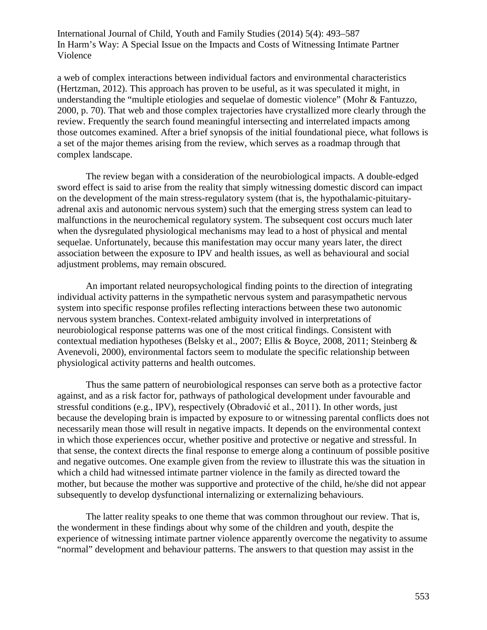a web of complex interactions between individual factors and environmental characteristics (Hertzman, 2012). This approach has proven to be useful, as it was speculated it might, in understanding the "multiple etiologies and sequelae of domestic violence" (Mohr & Fantuzzo, 2000, p. 70). That web and those complex trajectories have crystallized more clearly through the review. Frequently the search found meaningful intersecting and interrelated impacts among those outcomes examined. After a brief synopsis of the initial foundational piece, what follows is a set of the major themes arising from the review, which serves as a roadmap through that complex landscape.

The review began with a consideration of the neurobiological impacts. A double-edged sword effect is said to arise from the reality that simply witnessing domestic discord can impact on the development of the main stress-regulatory system (that is, the hypothalamic-pituitaryadrenal axis and autonomic nervous system) such that the emerging stress system can lead to malfunctions in the neurochemical regulatory system. The subsequent cost occurs much later when the dysregulated physiological mechanisms may lead to a host of physical and mental sequelae. Unfortunately, because this manifestation may occur many years later, the direct association between the exposure to IPV and health issues, as well as behavioural and social adjustment problems, may remain obscured.

An important related neuropsychological finding points to the direction of integrating individual activity patterns in the sympathetic nervous system and parasympathetic nervous system into specific response profiles reflecting interactions between these two autonomic nervous system branches. Context-related ambiguity involved in interpretations of neurobiological response patterns was one of the most critical findings. Consistent with contextual mediation hypotheses (Belsky et al., 2007; Ellis & Boyce, 2008, 2011; Steinberg & Avenevoli, 2000), environmental factors seem to modulate the specific relationship between physiological activity patterns and health outcomes.

Thus the same pattern of neurobiological responses can serve both as a protective factor against, and as a risk factor for, pathways of pathological development under favourable and stressful conditions (e.g., IPV), respectively (Obradović et al., 2011). In other words, just because the developing brain is impacted by exposure to or witnessing parental conflicts does not necessarily mean those will result in negative impacts. It depends on the environmental context in which those experiences occur, whether positive and protective or negative and stressful. In that sense, the context directs the final response to emerge along a continuum of possible positive and negative outcomes. One example given from the review to illustrate this was the situation in which a child had witnessed intimate partner violence in the family as directed toward the mother, but because the mother was supportive and protective of the child, he/she did not appear subsequently to develop dysfunctional internalizing or externalizing behaviours.

The latter reality speaks to one theme that was common throughout our review. That is, the wonderment in these findings about why some of the children and youth, despite the experience of witnessing intimate partner violence apparently overcome the negativity to assume "normal" development and behaviour patterns. The answers to that question may assist in the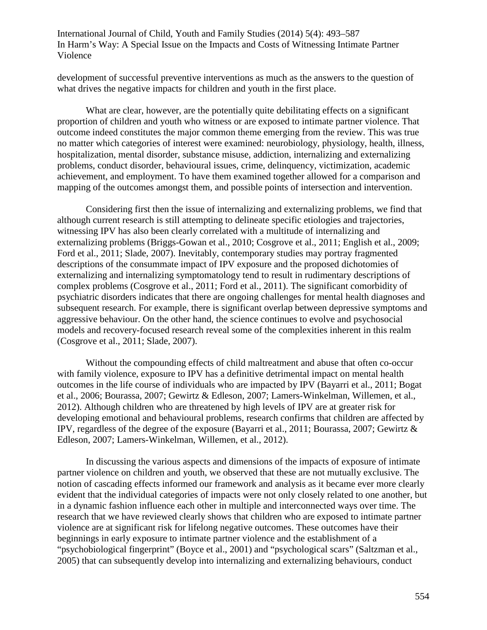development of successful preventive interventions as much as the answers to the question of what drives the negative impacts for children and youth in the first place.

What are clear, however, are the potentially quite debilitating effects on a significant proportion of children and youth who witness or are exposed to intimate partner violence. That outcome indeed constitutes the major common theme emerging from the review. This was true no matter which categories of interest were examined: neurobiology, physiology, health, illness, hospitalization, mental disorder, substance misuse, addiction, internalizing and externalizing problems, conduct disorder, behavioural issues, crime, delinquency, victimization, academic achievement, and employment. To have them examined together allowed for a comparison and mapping of the outcomes amongst them, and possible points of intersection and intervention.

Considering first then the issue of internalizing and externalizing problems, we find that although current research is still attempting to delineate specific etiologies and trajectories, witnessing IPV has also been clearly correlated with a multitude of internalizing and externalizing problems (Briggs-Gowan et al., 2010; Cosgrove et al., 2011; English et al., 2009; Ford et al., 2011; Slade, 2007). Inevitably, contemporary studies may portray fragmented descriptions of the consummate impact of IPV exposure and the proposed dichotomies of externalizing and internalizing symptomatology tend to result in rudimentary descriptions of complex problems (Cosgrove et al., 2011; Ford et al., 2011). The significant comorbidity of psychiatric disorders indicates that there are ongoing challenges for mental health diagnoses and subsequent research. For example, there is significant overlap between depressive symptoms and aggressive behaviour. On the other hand, the science continues to evolve and psychosocial models and recovery-focused research reveal some of the complexities inherent in this realm (Cosgrove et al., 2011; Slade, 2007).

Without the compounding effects of child maltreatment and abuse that often co-occur with family violence, exposure to IPV has a definitive detrimental impact on mental health outcomes in the life course of individuals who are impacted by IPV (Bayarri et al., 2011; Bogat et al., 2006; Bourassa, 2007; Gewirtz & Edleson, 2007; Lamers-Winkelman, Willemen, et al., 2012). Although children who are threatened by high levels of IPV are at greater risk for developing emotional and behavioural problems, research confirms that children are affected by IPV, regardless of the degree of the exposure (Bayarri et al., 2011; Bourassa, 2007; Gewirtz & Edleson, 2007; Lamers-Winkelman, Willemen, et al., 2012).

In discussing the various aspects and dimensions of the impacts of exposure of intimate partner violence on children and youth, we observed that these are not mutually exclusive. The notion of cascading effects informed our framework and analysis as it became ever more clearly evident that the individual categories of impacts were not only closely related to one another, but in a dynamic fashion influence each other in multiple and interconnected ways over time. The research that we have reviewed clearly shows that children who are exposed to intimate partner violence are at significant risk for lifelong negative outcomes. These outcomes have their beginnings in early exposure to intimate partner violence and the establishment of a "psychobiological fingerprint" (Boyce et al., 2001) and "psychological scars" (Saltzman et al., 2005) that can subsequently develop into internalizing and externalizing behaviours, conduct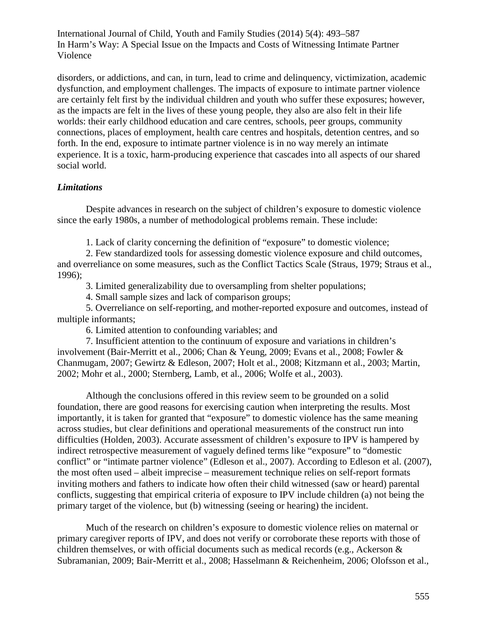disorders, or addictions, and can, in turn, lead to crime and delinquency, victimization, academic dysfunction, and employment challenges. The impacts of exposure to intimate partner violence are certainly felt first by the individual children and youth who suffer these exposures; however, as the impacts are felt in the lives of these young people, they also are also felt in their life worlds: their early childhood education and care centres, schools, peer groups, community connections, places of employment, health care centres and hospitals, detention centres, and so forth. In the end, exposure to intimate partner violence is in no way merely an intimate experience. It is a toxic, harm-producing experience that cascades into all aspects of our shared social world.

# *Limitations*

Despite advances in research on the subject of children's exposure to domestic violence since the early 1980s, a number of methodological problems remain. These include:

1. Lack of clarity concerning the definition of "exposure" to domestic violence;

2. Few standardized tools for assessing domestic violence exposure and child outcomes, and overreliance on some measures, such as the Conflict Tactics Scale (Straus, 1979; Straus et al., 1996);

3. Limited generalizability due to oversampling from shelter populations;

4. Small sample sizes and lack of comparison groups;

5. Overreliance on self-reporting, and mother-reported exposure and outcomes, instead of multiple informants;

6. Limited attention to confounding variables; and

7. Insufficient attention to the continuum of exposure and variations in children's involvement (Bair-Merritt et al., 2006; Chan & Yeung, 2009; Evans et al., 2008; Fowler & Chanmugam, 2007; Gewirtz & Edleson, 2007; Holt et al., 2008; Kitzmann et al., 2003; Martin, 2002; Mohr et al., 2000; Sternberg, Lamb, et al., 2006; Wolfe et al., 2003).

Although the conclusions offered in this review seem to be grounded on a solid foundation, there are good reasons for exercising caution when interpreting the results. Most importantly, it is taken for granted that "exposure" to domestic violence has the same meaning across studies, but clear definitions and operational measurements of the construct run into difficulties (Holden, 2003). Accurate assessment of children's exposure to IPV is hampered by indirect retrospective measurement of vaguely defined terms like "exposure" to "domestic conflict" or "intimate partner violence" (Edleson et al., 2007). According to Edleson et al. (2007), the most often used – albeit imprecise – measurement technique relies on self-report formats inviting mothers and fathers to indicate how often their child witnessed (saw or heard) parental conflicts, suggesting that empirical criteria of exposure to IPV include children (a) not being the primary target of the violence, but (b) witnessing (seeing or hearing) the incident.

Much of the research on children's exposure to domestic violence relies on maternal or primary caregiver reports of IPV, and does not verify or corroborate these reports with those of children themselves, or with official documents such as medical records (e.g., Ackerson & Subramanian, 2009; Bair-Merritt et al., 2008; Hasselmann & Reichenheim, 2006; Olofsson et al.,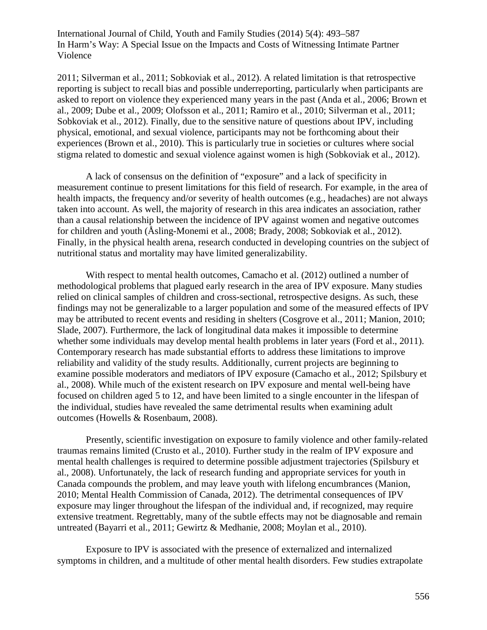2011; Silverman et al., 2011; Sobkoviak et al., 2012). A related limitation is that retrospective reporting is subject to recall bias and possible underreporting, particularly when participants are asked to report on violence they experienced many years in the past (Anda et al., 2006; Brown et al., 2009; Dube et al., 2009; Olofsson et al., 2011; Ramiro et al., 2010; Silverman et al., 2011; Sobkoviak et al., 2012). Finally, due to the sensitive nature of questions about IPV, including physical, emotional, and sexual violence, participants may not be forthcoming about their experiences (Brown et al., 2010). This is particularly true in societies or cultures where social stigma related to domestic and sexual violence against women is high (Sobkoviak et al., 2012).

A lack of consensus on the definition of "exposure" and a lack of specificity in measurement continue to present limitations for this field of research. For example, in the area of health impacts, the frequency and/or severity of health outcomes (e.g., headaches) are not always taken into account. As well, the majority of research in this area indicates an association, rather than a causal relationship between the incidence of IPV against women and negative outcomes for children and youth (Åsling-Monemi et al., 2008; Brady, 2008; Sobkoviak et al., 2012). Finally, in the physical health arena, research conducted in developing countries on the subject of nutritional status and mortality may have limited generalizability.

With respect to mental health outcomes, Camacho et al. (2012) outlined a number of methodological problems that plagued early research in the area of IPV exposure. Many studies relied on clinical samples of children and cross-sectional, retrospective designs. As such, these findings may not be generalizable to a larger population and some of the measured effects of IPV may be attributed to recent events and residing in shelters (Cosgrove et al., 2011; Manion, 2010; Slade, 2007). Furthermore, the lack of longitudinal data makes it impossible to determine whether some individuals may develop mental health problems in later years (Ford et al., 2011). Contemporary research has made substantial efforts to address these limitations to improve reliability and validity of the study results. Additionally, current projects are beginning to examine possible moderators and mediators of IPV exposure (Camacho et al., 2012; Spilsbury et al., 2008). While much of the existent research on IPV exposure and mental well-being have focused on children aged 5 to 12, and have been limited to a single encounter in the lifespan of the individual, studies have revealed the same detrimental results when examining adult outcomes (Howells & Rosenbaum, 2008).

Presently, scientific investigation on exposure to family violence and other family-related traumas remains limited (Crusto et al., 2010). Further study in the realm of IPV exposure and mental health challenges is required to determine possible adjustment trajectories (Spilsbury et al., 2008). Unfortunately, the lack of research funding and appropriate services for youth in Canada compounds the problem, and may leave youth with lifelong encumbrances (Manion, 2010; Mental Health Commission of Canada, 2012). The detrimental consequences of IPV exposure may linger throughout the lifespan of the individual and, if recognized, may require extensive treatment. Regrettably, many of the subtle effects may not be diagnosable and remain untreated (Bayarri et al., 2011; Gewirtz & Medhanie, 2008; Moylan et al., 2010).

Exposure to IPV is associated with the presence of externalized and internalized symptoms in children, and a multitude of other mental health disorders. Few studies extrapolate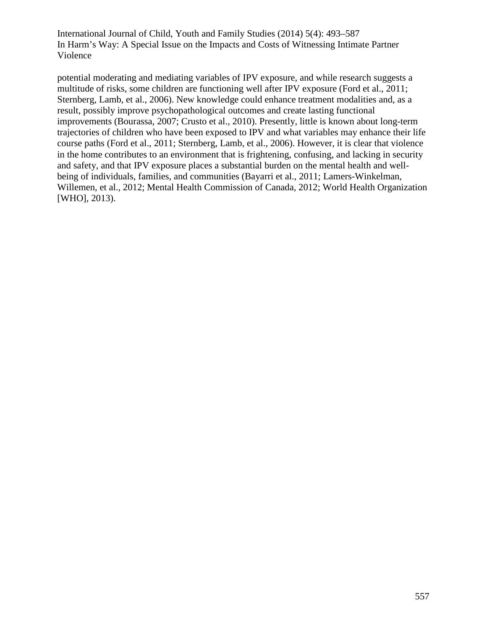potential moderating and mediating variables of IPV exposure, and while research suggests a multitude of risks, some children are functioning well after IPV exposure (Ford et al., 2011; Sternberg, Lamb, et al., 2006). New knowledge could enhance treatment modalities and, as a result, possibly improve psychopathological outcomes and create lasting functional improvements (Bourassa, 2007; Crusto et al., 2010). Presently, little is known about long-term trajectories of children who have been exposed to IPV and what variables may enhance their life course paths (Ford et al., 2011; Sternberg, Lamb, et al., 2006). However, it is clear that violence in the home contributes to an environment that is frightening, confusing, and lacking in security and safety, and that IPV exposure places a substantial burden on the mental health and wellbeing of individuals, families, and communities (Bayarri et al., 2011; Lamers-Winkelman, Willemen, et al., 2012; Mental Health Commission of Canada, 2012; World Health Organization [WHO], 2013).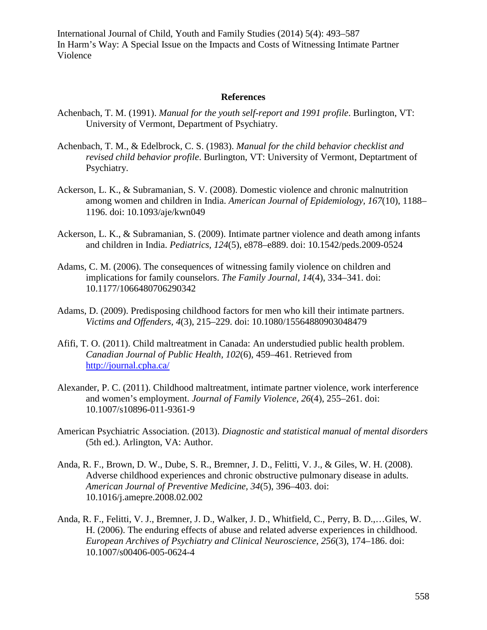#### **References**

- Achenbach, T. M. (1991). *Manual for the youth self-report and 1991 profile*. Burlington, VT: University of Vermont, Department of Psychiatry.
- Achenbach, T. M., & Edelbrock, C. S. (1983). *Manual for the child behavior checklist and revised child behavior profile*. Burlington, VT: University of Vermont, Deptartment of Psychiatry.
- Ackerson, L. K., & Subramanian, S. V. (2008). Domestic violence and chronic malnutrition among women and children in India. *American Journal of Epidemiology, 167*(10), 1188– 1196. doi: 10.1093/aje/kwn049
- Ackerson, L. K., & Subramanian, S. (2009). Intimate partner violence and death among infants and children in India. *Pediatrics, 124*(5), e878–e889. doi: 10.1542/peds.2009-0524
- Adams, C. M. (2006). The consequences of witnessing family violence on children and implications for family counselors. *The Family Journal, 14*(4), 334–341. doi: 10.1177/1066480706290342
- Adams, D. (2009). Predisposing childhood factors for men who kill their intimate partners. *Victims and Offenders, 4*(3), 215–229. doi: 10.1080/15564880903048479
- Afifi, T. O. (2011). Child maltreatment in Canada: An understudied public health problem. *Canadian Journal of Public Health, 102*(6), 459–461. Retrieved from <http://journal.cpha.ca/>
- Alexander, P. C. (2011). Childhood maltreatment, intimate partner violence, work interference and women's employment. *Journal of Family Violence, 26*(4), 255–261. doi: 10.1007/s10896-011-9361-9
- American Psychiatric Association. (2013). *Diagnostic and statistical manual of mental disorders* (5th ed.). Arlington, VA: Author.
- Anda, R. F., Brown, D. W., Dube, S. R., Bremner, J. D., Felitti, V. J., & Giles, W. H. (2008). Adverse childhood experiences and chronic obstructive pulmonary disease in adults. *American Journal of Preventive Medicine, 34*(5), 396–403. doi: 10.1016/j.amepre.2008.02.002
- Anda, R. F., Felitti, V. J., Bremner, J. D., Walker, J. D., Whitfield, C., Perry, B. D.,…Giles, W. H. (2006). The enduring effects of abuse and related adverse experiences in childhood. *European Archives of Psychiatry and Clinical Neuroscience, 256*(3), 174–186. doi: 10.1007/s00406-005-0624-4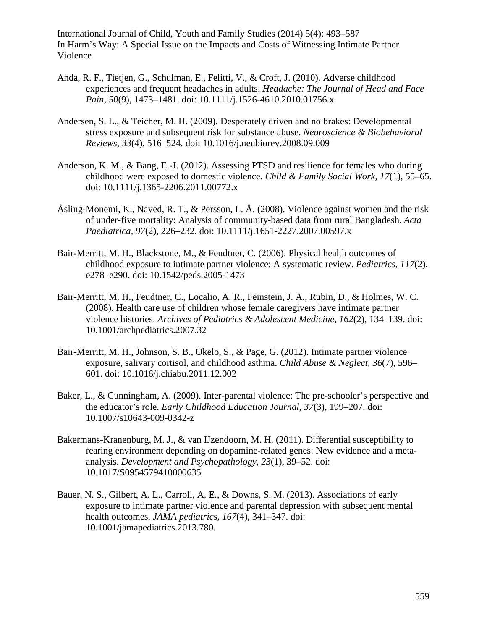- Anda, R. F., Tietjen, G., Schulman, E., Felitti, V., & Croft, J. (2010). Adverse childhood experiences and frequent headaches in adults. *Headache: The Journal of Head and Face Pain, 50*(9), 1473–1481. doi: 10.1111/j.1526-4610.2010.01756.x
- Andersen, S. L., & Teicher, M. H. (2009). Desperately driven and no brakes: Developmental stress exposure and subsequent risk for substance abuse. *Neuroscience & Biobehavioral Reviews, 33*(4), 516–524. doi: 10.1016/j.neubiorev.2008.09.009
- Anderson, K. M., & Bang, E.-J. (2012). Assessing PTSD and resilience for females who during childhood were exposed to domestic violence. *Child & Family Social Work, 17*(1), 55–65. doi: 10.1111/j.1365-2206.2011.00772.x
- Åsling-Monemi, K., Naved, R. T., & Persson, L. Å. (2008). Violence against women and the risk of under-five mortality: Analysis of community-based data from rural Bangladesh. *Acta Paediatrica, 97*(2), 226–232. doi: 10.1111/j.1651-2227.2007.00597.x
- Bair-Merritt, M. H., Blackstone, M., & Feudtner, C. (2006). Physical health outcomes of childhood exposure to intimate partner violence: A systematic review. *Pediatrics, 117*(2), e278–e290. doi: 10.1542/peds.2005-1473
- Bair-Merritt, M. H., Feudtner, C., Localio, A. R., Feinstein, J. A., Rubin, D., & Holmes, W. C. (2008). Health care use of children whose female caregivers have intimate partner violence histories. *Archives of Pediatrics & Adolescent Medicine, 162*(2), 134–139. doi: 10.1001/archpediatrics.2007.32
- Bair-Merritt, M. H., Johnson, S. B., Okelo, S., & Page, G. (2012). Intimate partner violence exposure, salivary cortisol, and childhood asthma. *Child Abuse & Neglect, 36*(7), 596– 601. doi: 10.1016/j.chiabu.2011.12.002
- Baker, L., & Cunningham, A. (2009). Inter-parental violence: The pre-schooler's perspective and the educator's role. *Early Childhood Education Journal, 37*(3), 199–207. doi: 10.1007/s10643-009-0342-z
- Bakermans-Kranenburg, M. J., & van IJzendoorn, M. H. (2011). Differential susceptibility to rearing environment depending on dopamine-related genes: New evidence and a metaanalysis. *Development and Psychopathology, 23*(1), 39–52. doi: 10.1017/S0954579410000635
- Bauer, N. S., Gilbert, A. L., Carroll, A. E., & Downs, S. M. (2013). Associations of early exposure to intimate partner violence and parental depression with subsequent mental health outcomes. *JAMA pediatrics, 167*(4), 341–347. doi: 10.1001/jamapediatrics.2013.780.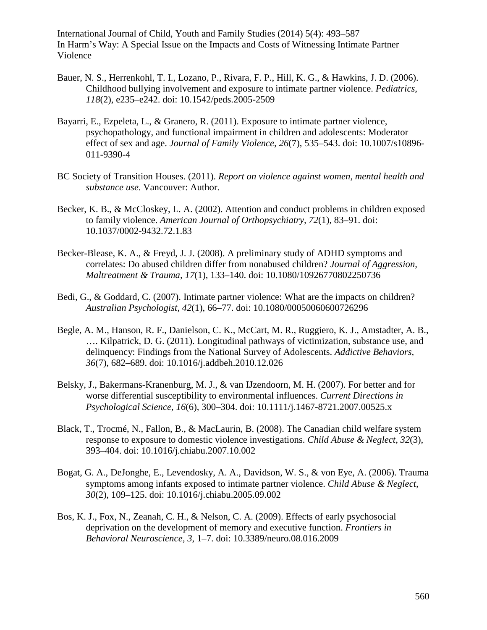- Bauer, N. S., Herrenkohl, T. I., Lozano, P., Rivara, F. P., Hill, K. G., & Hawkins, J. D. (2006). Childhood bullying involvement and exposure to intimate partner violence. *Pediatrics, 118*(2), e235–e242. doi: 10.1542/peds.2005-2509
- Bayarri, E., Ezpeleta, L., & Granero, R. (2011). Exposure to intimate partner violence, psychopathology, and functional impairment in children and adolescents: Moderator effect of sex and age. *Journal of Family Violence, 26*(7), 535–543. doi: 10.1007/s10896- 011-9390-4
- BC Society of Transition Houses. (2011). *Report on violence against women, mental health and substance use*. Vancouver: Author.
- Becker, K. B., & McCloskey, L. A. (2002). Attention and conduct problems in children exposed to family violence. *American Journal of Orthopsychiatry, 72*(1), 83–91. doi: 10.1037/0002-9432.72.1.83
- Becker-Blease, K. A., & Freyd, J. J. (2008). A preliminary study of ADHD symptoms and correlates: Do abused children differ from nonabused children? *Journal of Aggression, Maltreatment & Trauma, 17*(1), 133–140. doi: 10.1080/10926770802250736
- Bedi, G., & Goddard, C. (2007). Intimate partner violence: What are the impacts on children? *Australian Psychologist, 42*(1), 66–77. doi: 10.1080/00050060600726296
- Begle, A. M., Hanson, R. F., Danielson, C. K., McCart, M. R., Ruggiero, K. J., Amstadter, A. B., …. Kilpatrick, D. G. (2011). Longitudinal pathways of victimization, substance use, and delinquency: Findings from the National Survey of Adolescents. *Addictive Behaviors, 36*(7), 682–689. doi: 10.1016/j.addbeh.2010.12.026
- Belsky, J., Bakermans-Kranenburg, M. J., & van IJzendoorn, M. H. (2007). For better and for worse differential susceptibility to environmental influences. *Current Directions in Psychological Science, 16*(6), 300–304. doi: 10.1111/j.1467-8721.2007.00525.x
- Black, T., Trocmé, N., Fallon, B., & MacLaurin, B. (2008). The Canadian child welfare system response to exposure to domestic violence investigations. *Child Abuse & Neglect, 32*(3), 393–404. doi: 10.1016/j.chiabu.2007.10.002
- Bogat, G. A., DeJonghe, E., Levendosky, A. A., Davidson, W. S., & von Eye, A. (2006). Trauma symptoms among infants exposed to intimate partner violence. *Child Abuse & Neglect, 30*(2), 109–125. doi: 10.1016/j.chiabu.2005.09.002
- Bos, K. J., Fox, N., Zeanah, C. H., & Nelson, C. A. (2009). Effects of early psychosocial deprivation on the development of memory and executive function. *Frontiers in Behavioral Neuroscience, 3*, 1–7. doi: 10.3389/neuro.08.016.2009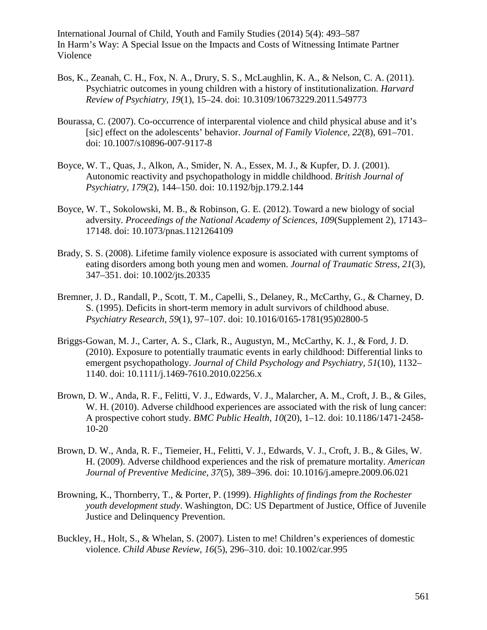- Bos, K., Zeanah, C. H., Fox, N. A., Drury, S. S., McLaughlin, K. A., & Nelson, C. A. (2011). Psychiatric outcomes in young children with a history of institutionalization. *Harvard Review of Psychiatry, 19*(1), 15–24. doi: 10.3109/10673229.2011.549773
- Bourassa, C. (2007). Co-occurrence of interparental violence and child physical abuse and it's [sic] effect on the adolescents' behavior. *Journal of Family Violence, 22*(8), 691–701. doi: 10.1007/s10896-007-9117-8
- Boyce, W. T., Quas, J., Alkon, A., Smider, N. A., Essex, M. J., & Kupfer, D. J. (2001). Autonomic reactivity and psychopathology in middle childhood. *British Journal of Psychiatry, 179*(2), 144–150. doi: 10.1192/bjp.179.2.144
- Boyce, W. T., Sokolowski, M. B., & Robinson, G. E. (2012). Toward a new biology of social adversity. *Proceedings of the National Academy of Sciences, 109*(Supplement 2), 17143– 17148. doi: 10.1073/pnas.1121264109
- Brady, S. S. (2008). Lifetime family violence exposure is associated with current symptoms of eating disorders among both young men and women. *Journal of Traumatic Stress, 21*(3), 347–351. doi: 10.1002/jts.20335
- Bremner, J. D., Randall, P., Scott, T. M., Capelli, S., Delaney, R., McCarthy, G., & Charney, D. S. (1995). Deficits in short-term memory in adult survivors of childhood abuse. *Psychiatry Research, 59*(1), 97–107. doi: 10.1016/0165-1781(95)02800-5
- Briggs-Gowan, M. J., Carter, A. S., Clark, R., Augustyn, M., McCarthy, K. J., & Ford, J. D. (2010). Exposure to potentially traumatic events in early childhood: Differential links to emergent psychopathology. *Journal of Child Psychology and Psychiatry, 51*(10), 1132– 1140. doi: 10.1111/j.1469-7610.2010.02256.x
- Brown, D. W., Anda, R. F., Felitti, V. J., Edwards, V. J., Malarcher, A. M., Croft, J. B., & Giles, W. H. (2010). Adverse childhood experiences are associated with the risk of lung cancer: A prospective cohort study. *BMC Public Health, 10*(20), 1–12. doi: 10.1186/1471-2458- 10-20
- Brown, D. W., Anda, R. F., Tiemeier, H., Felitti, V. J., Edwards, V. J., Croft, J. B., & Giles, W. H. (2009). Adverse childhood experiences and the risk of premature mortality. *American Journal of Preventive Medicine, 37*(5), 389–396. doi: 10.1016/j.amepre.2009.06.021
- Browning, K., Thornberry, T., & Porter, P. (1999). *Highlights of findings from the Rochester youth development study*. Washington, DC: US Department of Justice, Office of Juvenile Justice and Delinquency Prevention.
- Buckley, H., Holt, S., & Whelan, S. (2007). Listen to me! Children's experiences of domestic violence. *Child Abuse Review, 16*(5), 296–310. doi: 10.1002/car.995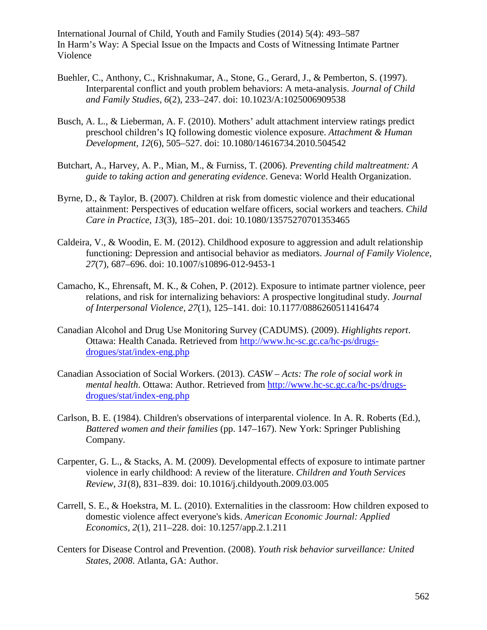- Buehler, C., Anthony, C., Krishnakumar, A., Stone, G., Gerard, J., & Pemberton, S. (1997). Interparental conflict and youth problem behaviors: A meta-analysis. *Journal of Child and Family Studies, 6*(2), 233–247. doi: 10.1023/A:1025006909538
- Busch, A. L., & Lieberman, A. F. (2010). Mothers' adult attachment interview ratings predict preschool children's IQ following domestic violence exposure. *Attachment & Human Development, 12*(6), 505–527. doi: 10.1080/14616734.2010.504542
- Butchart, A., Harvey, A. P., Mian, M., & Furniss, T. (2006). *Preventing child maltreatment: A guide to taking action and generating evidence*. Geneva: World Health Organization.
- Byrne, D., & Taylor, B. (2007). Children at risk from domestic violence and their educational attainment: Perspectives of education welfare officers, social workers and teachers. *Child Care in Practice, 13*(3), 185–201. doi: 10.1080/13575270701353465
- Caldeira, V., & Woodin, E. M. (2012). Childhood exposure to aggression and adult relationship functioning: Depression and antisocial behavior as mediators. *Journal of Family Violence, 27*(7), 687–696. doi: 10.1007/s10896-012-9453-1
- Camacho, K., Ehrensaft, M. K., & Cohen, P. (2012). Exposure to intimate partner violence, peer relations, and risk for internalizing behaviors: A prospective longitudinal study. *Journal of Interpersonal Violence, 27*(1), 125–141. doi: 10.1177/0886260511416474
- Canadian Alcohol and Drug Use Monitoring Survey (CADUMS). (2009). *Highlights report*. Ottawa: Health Canada. Retrieved from [http://www.hc-sc.gc.ca/hc-ps/drugs](http://www.hc-sc.gc.ca/hc-ps/drugs-drogues/stat/index-eng.php)[drogues/stat/index-eng.php](http://www.hc-sc.gc.ca/hc-ps/drugs-drogues/stat/index-eng.php)
- Canadian Association of Social Workers. (2013). *CASW – Acts: The role of social work in mental health*. Ottawa: Author. Retrieved from [http://www.hc-sc.gc.ca/hc-ps/drugs](http://www.hc-sc.gc.ca/hc-ps/drugs-drogues/stat/index-eng.php)[drogues/stat/index-eng.php](http://www.hc-sc.gc.ca/hc-ps/drugs-drogues/stat/index-eng.php)
- Carlson, B. E. (1984). Children's observations of interparental violence. In A. R. Roberts (Ed.), *Battered women and their families* (pp. 147–167). New York: Springer Publishing Company.
- Carpenter, G. L., & Stacks, A. M. (2009). Developmental effects of exposure to intimate partner violence in early childhood: A review of the literature. *Children and Youth Services Review, 31*(8), 831–839. doi: 10.1016/j.childyouth.2009.03.005
- Carrell, S. E., & Hoekstra, M. L. (2010). Externalities in the classroom: How children exposed to domestic violence affect everyone's kids. *American Economic Journal: Applied Economics, 2*(1), 211–228. doi: 10.1257/app.2.1.211
- Centers for Disease Control and Prevention. (2008). *Youth risk behavior surveillance: United States, 2008*. Atlanta, GA: Author.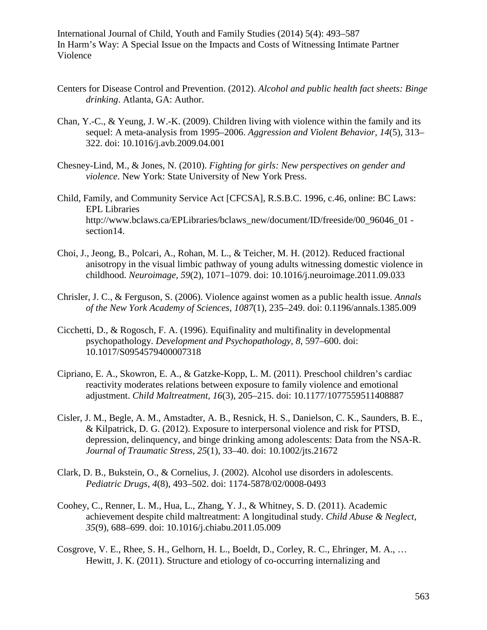- Centers for Disease Control and Prevention. (2012). *Alcohol and public health fact sheets: Binge drinking*. Atlanta, GA: Author.
- Chan, Y.-C., & Yeung, J. W.-K. (2009). Children living with violence within the family and its sequel: A meta-analysis from 1995–2006. *Aggression and Violent Behavior, 14*(5), 313– 322. doi: 10.1016/j.avb.2009.04.001
- Chesney-Lind, M., & Jones, N. (2010). *Fighting for girls: New perspectives on gender and violence*. New York: State University of New York Press.
- Child, Family, and Community Service Act [CFCSA], R.S.B.C. 1996, c.46, online: BC Laws: EPL Libraries http://www.bclaws.ca/EPLibraries/bclaws\_new/document/ID/freeside/00\_96046\_01 section14.
- Choi, J., Jeong, B., Polcari, A., Rohan, M. L., & Teicher, M. H. (2012). Reduced fractional anisotropy in the visual limbic pathway of young adults witnessing domestic violence in childhood. *Neuroimage, 59*(2), 1071–1079. doi: 10.1016/j.neuroimage.2011.09.033
- Chrisler, J. C., & Ferguson, S. (2006). Violence against women as a public health issue. *Annals of the New York Academy of Sciences, 1087*(1), 235–249. doi: 0.1196/annals.1385.009
- Cicchetti, D., & Rogosch, F. A. (1996). Equifinality and multifinality in developmental psychopathology. *Development and Psychopathology, 8*, 597–600. doi: 10.1017/S0954579400007318
- Cipriano, E. A., Skowron, E. A., & Gatzke-Kopp, L. M. (2011). Preschool children's cardiac reactivity moderates relations between exposure to family violence and emotional adjustment. *Child Maltreatment, 16*(3), 205–215. doi: 10.1177/1077559511408887
- Cisler, J. M., Begle, A. M., Amstadter, A. B., Resnick, H. S., Danielson, C. K., Saunders, B. E., & Kilpatrick, D. G. (2012). Exposure to interpersonal violence and risk for PTSD, depression, delinquency, and binge drinking among adolescents: Data from the NSA-R. *Journal of Traumatic Stress, 25*(1), 33–40. doi: 10.1002/jts.21672
- Clark, D. B., Bukstein, O., & Cornelius, J. (2002). Alcohol use disorders in adolescents. *Pediatric Drugs, 4*(8), 493–502. doi: 1174-5878/02/0008-0493
- Coohey, C., Renner, L. M., Hua, L., Zhang, Y. J., & Whitney, S. D. (2011). Academic achievement despite child maltreatment: A longitudinal study. *Child Abuse & Neglect, 35*(9), 688–699. doi: 10.1016/j.chiabu.2011.05.009
- Cosgrove, V. E., Rhee, S. H., Gelhorn, H. L., Boeldt, D., Corley, R. C., Ehringer, M. A., … Hewitt, J. K. (2011). Structure and etiology of co-occurring internalizing and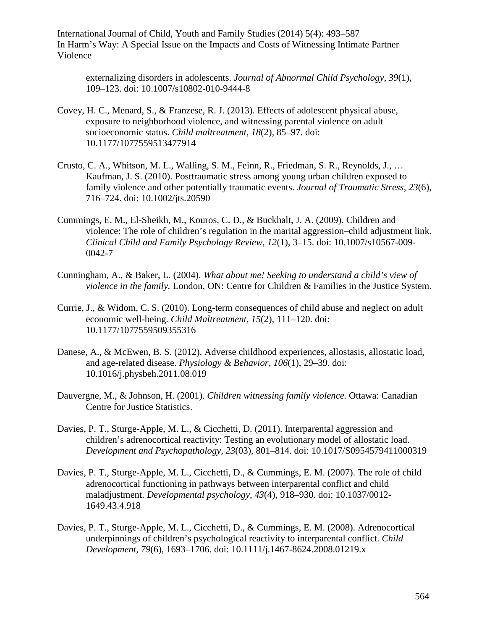externalizing disorders in adolescents. *Journal of Abnormal Child Psychology, 39*(1), 109–123. doi: 10.1007/s10802-010-9444-8

- Covey, H. C., Menard, S., & Franzese, R. J. (2013). Effects of adolescent physical abuse, exposure to neighborhood violence, and witnessing parental violence on adult socioeconomic status. *Child maltreatment, 18*(2), 85–97. doi: 10.1177/1077559513477914
- Crusto, C. A., Whitson, M. L., Walling, S. M., Feinn, R., Friedman, S. R., Reynolds, J., … Kaufman, J. S. (2010). Posttraumatic stress among young urban children exposed to family violence and other potentially traumatic events. *Journal of Traumatic Stress, 23*(6), 716–724. doi: 10.1002/jts.20590
- Cummings, E. M., El-Sheikh, M., Kouros, C. D., & Buckhalt, J. A. (2009). Children and violence: The role of children's regulation in the marital aggression–child adjustment link. *Clinical Child and Family Psychology Review, 12*(1), 3–15. doi: 10.1007/s10567-009- 0042-7
- Cunningham, A., & Baker, L. (2004). *What about me! Seeking to understand a child's view of violence in the family.* London, ON: Centre for Children & Families in the Justice System.
- Currie, J., & Widom, C. S. (2010). Long-term consequences of child abuse and neglect on adult economic well-being. *Child Maltreatment, 15*(2), 111–120. doi: 10.1177/1077559509355316
- Danese, A., & McEwen, B. S. (2012). Adverse childhood experiences, allostasis, allostatic load, and age-related disease. *Physiology & Behavior, 106*(1), 29–39. doi: 10.1016/j.physbeh.2011.08.019
- Dauvergne, M., & Johnson, H. (2001). *Children witnessing family violence.* Ottawa: Canadian Centre for Justice Statistics.
- Davies, P. T., Sturge-Apple, M. L., & Cicchetti, D. (2011). Interparental aggression and children's adrenocortical reactivity: Testing an evolutionary model of allostatic load. *Development and Psychopathology, 23*(03), 801–814. doi: 10.1017/S0954579411000319
- Davies, P. T., Sturge-Apple, M. L., Cicchetti, D., & Cummings, E. M. (2007). The role of child adrenocortical functioning in pathways between interparental conflict and child maladjustment. *Developmental psychology, 43*(4), 918–930. doi: 10.1037/0012- 1649.43.4.918
- Davies, P. T., Sturge-Apple, M. L., Cicchetti, D., & Cummings, E. M. (2008). Adrenocortical underpinnings of children's psychological reactivity to interparental conflict. *Child Development, 79*(6), 1693–1706. doi: 10.1111/j.1467-8624.2008.01219.x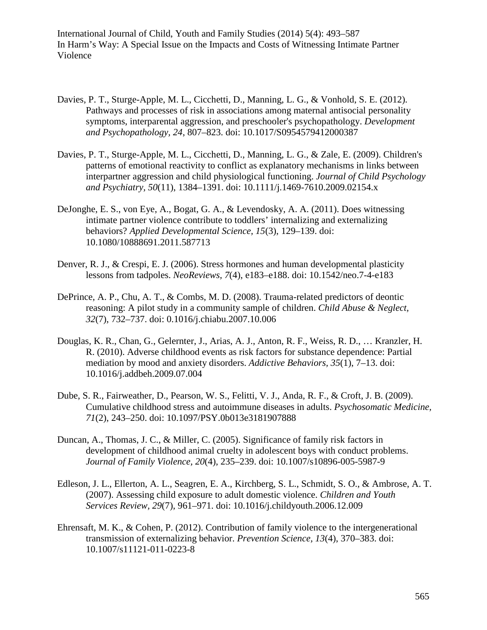- Davies, P. T., Sturge-Apple, M. L., Cicchetti, D., Manning, L. G., & Vonhold, S. E. (2012). Pathways and processes of risk in associations among maternal antisocial personality symptoms, interparental aggression, and preschooler's psychopathology. *Development and Psychopathology, 24*, 807–823. doi: 10.1017/S0954579412000387
- Davies, P. T., Sturge-Apple, M. L., Cicchetti, D., Manning, L. G., & Zale, E. (2009). Children's patterns of emotional reactivity to conflict as explanatory mechanisms in links between interpartner aggression and child physiological functioning. *Journal of Child Psychology and Psychiatry, 50*(11), 1384–1391. doi: 10.1111/j.1469-7610.2009.02154.x
- DeJonghe, E. S., von Eye, A., Bogat, G. A., & Levendosky, A. A. (2011). Does witnessing intimate partner violence contribute to toddlers' internalizing and externalizing behaviors? *Applied Developmental Science, 15*(3), 129–139. doi: 10.1080/10888691.2011.587713
- Denver, R. J., & Crespi, E. J. (2006). Stress hormones and human developmental plasticity lessons from tadpoles. *NeoReviews, 7*(4), e183–e188. doi: 10.1542/neo.7-4-e183
- DePrince, A. P., Chu, A. T., & Combs, M. D. (2008). Trauma-related predictors of deontic reasoning: A pilot study in a community sample of children. *Child Abuse & Neglect, 32*(7), 732–737. doi: 0.1016/j.chiabu.2007.10.006
- Douglas, K. R., Chan, G., Gelernter, J., Arias, A. J., Anton, R. F., Weiss, R. D., … Kranzler, H. R. (2010). Adverse childhood events as risk factors for substance dependence: Partial mediation by mood and anxiety disorders. *Addictive Behaviors, 35*(1), 7–13. doi: 10.1016/j.addbeh.2009.07.004
- Dube, S. R., Fairweather, D., Pearson, W. S., Felitti, V. J., Anda, R. F., & Croft, J. B. (2009). Cumulative childhood stress and autoimmune diseases in adults. *Psychosomatic Medicine, 71*(2), 243–250. doi: 10.1097/PSY.0b013e3181907888
- Duncan, A., Thomas, J. C., & Miller, C. (2005). Significance of family risk factors in development of childhood animal cruelty in adolescent boys with conduct problems. *Journal of Family Violence, 20*(4), 235–239. doi: 10.1007/s10896-005-5987-9
- Edleson, J. L., Ellerton, A. L., Seagren, E. A., Kirchberg, S. L., Schmidt, S. O., & Ambrose, A. T. (2007). Assessing child exposure to adult domestic violence. *Children and Youth Services Review, 29*(7), 961–971. doi: 10.1016/j.childyouth.2006.12.009
- Ehrensaft, M. K., & Cohen, P. (2012). Contribution of family violence to the intergenerational transmission of externalizing behavior. *Prevention Science, 13*(4), 370–383. doi: 10.1007/s11121-011-0223-8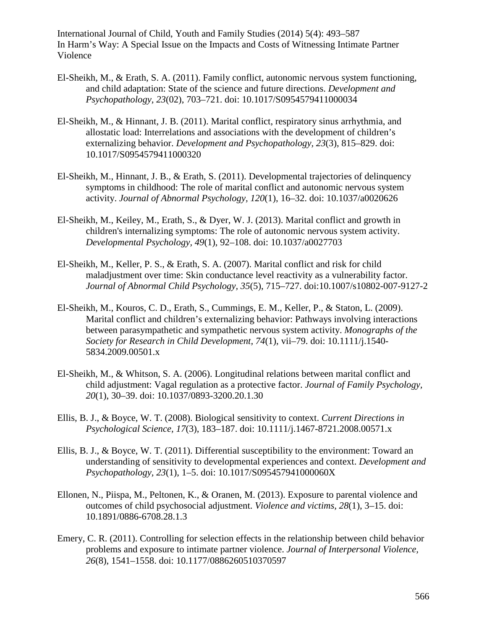- El-Sheikh, M., & Erath, S. A. (2011). Family conflict, autonomic nervous system functioning, and child adaptation: State of the science and future directions. *Development and Psychopathology, 23*(02), 703–721. doi: 10.1017/S0954579411000034
- El-Sheikh, M., & Hinnant, J. B. (2011). Marital conflict, respiratory sinus arrhythmia, and allostatic load: Interrelations and associations with the development of children's externalizing behavior. *Development and Psychopathology, 23*(3), 815–829. doi: 10.1017/S0954579411000320
- El-Sheikh, M., Hinnant, J. B., & Erath, S. (2011). Developmental trajectories of delinquency symptoms in childhood: The role of marital conflict and autonomic nervous system activity. *Journal of Abnormal Psychology, 120*(1), 16–32. doi: 10.1037/a0020626
- El-Sheikh, M., Keiley, M., Erath, S., & Dyer, W. J. (2013). Marital conflict and growth in children's internalizing symptoms: The role of autonomic nervous system activity. *Developmental Psychology, 49*(1), 92–108. doi: 10.1037/a0027703
- El-Sheikh, M., Keller, P. S., & Erath, S. A. (2007). Marital conflict and risk for child maladjustment over time: Skin conductance level reactivity as a vulnerability factor. *Journal of Abnormal Child Psychology, 35*(5), 715–727. doi:10.1007/s10802-007-9127-2
- El-Sheikh, M., Kouros, C. D., Erath, S., Cummings, E. M., Keller, P., & Staton, L. (2009). Marital conflict and children's externalizing behavior: Pathways involving interactions between parasympathetic and sympathetic nervous system activity. *Monographs of the Society for Research in Child Development, 74*(1), vii–79. doi: 10.1111/j.1540- 5834.2009.00501.x
- El-Sheikh, M., & Whitson, S. A. (2006). Longitudinal relations between marital conflict and child adjustment: Vagal regulation as a protective factor. *Journal of Family Psychology, 20*(1), 30–39. doi: 10.1037/0893-3200.20.1.30
- Ellis, B. J., & Boyce, W. T. (2008). Biological sensitivity to context. *Current Directions in Psychological Science, 17*(3), 183–187. doi: 10.1111/j.1467-8721.2008.00571.x
- Ellis, B. J., & Boyce, W. T. (2011). Differential susceptibility to the environment: Toward an understanding of sensitivity to developmental experiences and context. *Development and Psychopathology, 23*(1), 1–5. doi: 10.1017/S095457941000060X
- Ellonen, N., Piispa, M., Peltonen, K., & Oranen, M. (2013). Exposure to parental violence and outcomes of child psychosocial adjustment. *Violence and victims, 28*(1), 3–15. doi: 10.1891/0886-6708.28.1.3
- Emery, C. R. (2011). Controlling for selection effects in the relationship between child behavior problems and exposure to intimate partner violence. *Journal of Interpersonal Violence, 26*(8), 1541–1558. doi: 10.1177/0886260510370597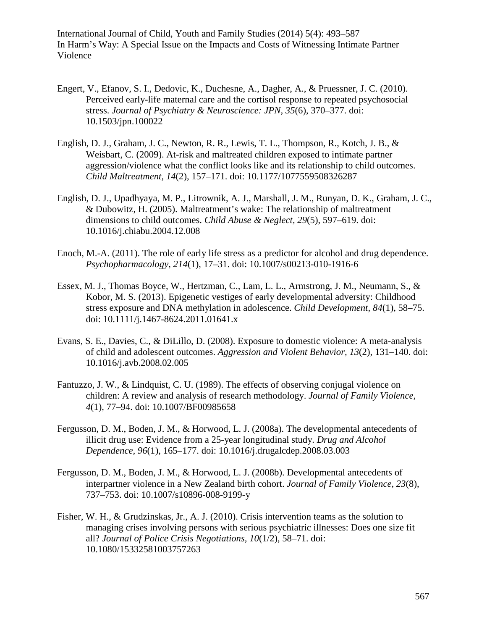- Engert, V., Efanov, S. I., Dedovic, K., Duchesne, A., Dagher, A., & Pruessner, J. C. (2010). Perceived early-life maternal care and the cortisol response to repeated psychosocial stress. *Journal of Psychiatry & Neuroscience: JPN, 35*(6), 370–377. doi: 10.1503/jpn.100022
- English, D. J., Graham, J. C., Newton, R. R., Lewis, T. L., Thompson, R., Kotch, J. B., & Weisbart, C. (2009). At-risk and maltreated children exposed to intimate partner aggression/violence what the conflict looks like and its relationship to child outcomes. *Child Maltreatment, 14*(2), 157–171. doi: 10.1177/1077559508326287
- English, D. J., Upadhyaya, M. P., Litrownik, A. J., Marshall, J. M., Runyan, D. K., Graham, J. C., & Dubowitz, H. (2005). Maltreatment's wake: The relationship of maltreatment dimensions to child outcomes. *Child Abuse & Neglect, 29*(5), 597–619. doi: 10.1016/j.chiabu.2004.12.008
- Enoch, M.-A. (2011). The role of early life stress as a predictor for alcohol and drug dependence. *Psychopharmacology, 214*(1), 17–31. doi: 10.1007/s00213-010-1916-6
- Essex, M. J., Thomas Boyce, W., Hertzman, C., Lam, L. L., Armstrong, J. M., Neumann, S., & Kobor, M. S. (2013). Epigenetic vestiges of early developmental adversity: Childhood stress exposure and DNA methylation in adolescence. *Child Development, 84*(1), 58–75. doi: 10.1111/j.1467-8624.2011.01641.x
- Evans, S. E., Davies, C., & DiLillo, D. (2008). Exposure to domestic violence: A meta-analysis of child and adolescent outcomes. *Aggression and Violent Behavior, 13*(2), 131–140. doi: 10.1016/j.avb.2008.02.005
- Fantuzzo, J. W., & Lindquist, C. U. (1989). The effects of observing conjugal violence on children: A review and analysis of research methodology. *Journal of Family Violence, 4*(1), 77–94. doi: 10.1007/BF00985658
- Fergusson, D. M., Boden, J. M., & Horwood, L. J. (2008a). The developmental antecedents of illicit drug use: Evidence from a 25-year longitudinal study. *Drug and Alcohol Dependence, 96*(1), 165–177. doi: 10.1016/j.drugalcdep.2008.03.003
- Fergusson, D. M., Boden, J. M., & Horwood, L. J. (2008b). Developmental antecedents of interpartner violence in a New Zealand birth cohort. *Journal of Family Violence, 23*(8), 737–753. doi: 10.1007/s10896-008-9199-y
- Fisher, W. H., & Grudzinskas, Jr., A. J. (2010). Crisis intervention teams as the solution to managing crises involving persons with serious psychiatric illnesses: Does one size fit all? *Journal of Police Crisis Negotiations, 10*(1/2), 58–71. doi: 10.1080/15332581003757263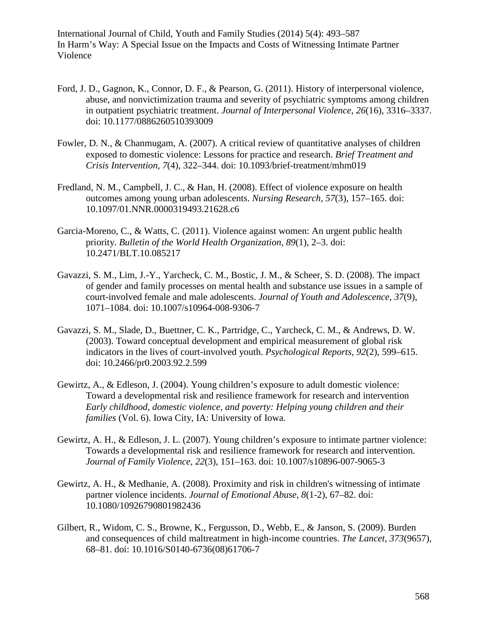- Ford, J. D., Gagnon, K., Connor, D. F., & Pearson, G. (2011). History of interpersonal violence, abuse, and nonvictimization trauma and severity of psychiatric symptoms among children in outpatient psychiatric treatment. *Journal of Interpersonal Violence, 26*(16), 3316–3337. doi: 10.1177/0886260510393009
- Fowler, D. N., & Chanmugam, A. (2007). A critical review of quantitative analyses of children exposed to domestic violence: Lessons for practice and research. *Brief Treatment and Crisis Intervention, 7*(4), 322–344. doi: 10.1093/brief-treatment/mhm019
- Fredland, N. M., Campbell, J. C., & Han, H. (2008). Effect of violence exposure on health outcomes among young urban adolescents. *Nursing Research, 57*(3), 157–165. doi: 10.1097/01.NNR.0000319493.21628.c6
- Garcia-Moreno, C., & Watts, C. (2011). Violence against women: An urgent public health priority. *Bulletin of the World Health Organization, 89*(1), 2–3. doi: 10.2471/BLT.10.085217
- Gavazzi, S. M., Lim, J.-Y., Yarcheck, C. M., Bostic, J. M., & Scheer, S. D. (2008). The impact of gender and family processes on mental health and substance use issues in a sample of court-involved female and male adolescents. *Journal of Youth and Adolescence, 37*(9), 1071–1084. doi: 10.1007/s10964-008-9306-7
- Gavazzi, S. M., Slade, D., Buettner, C. K., Partridge, C., Yarcheck, C. M., & Andrews, D. W. (2003). Toward conceptual development and empirical measurement of global risk indicators in the lives of court-involved youth. *Psychological Reports, 92*(2), 599–615. doi: 10.2466/pr0.2003.92.2.599
- Gewirtz, A., & Edleson, J. (2004). Young children's exposure to adult domestic violence: Toward a developmental risk and resilience framework for research and intervention *Early childhood, domestic violence, and poverty: Helping young children and their families* (Vol. 6). Iowa City, IA: University of Iowa.
- Gewirtz, A. H., & Edleson, J. L. (2007). Young children's exposure to intimate partner violence: Towards a developmental risk and resilience framework for research and intervention. *Journal of Family Violence, 22*(3), 151–163. doi: 10.1007/s10896-007-9065-3
- Gewirtz, A. H., & Medhanie, A. (2008). Proximity and risk in children's witnessing of intimate partner violence incidents. *Journal of Emotional Abuse, 8*(1-2), 67–82. doi: 10.1080/10926790801982436
- Gilbert, R., Widom, C. S., Browne, K., Fergusson, D., Webb, E., & Janson, S. (2009). Burden and consequences of child maltreatment in high-income countries. *The Lancet, 373*(9657), 68–81. doi: 10.1016/S0140-6736(08)61706-7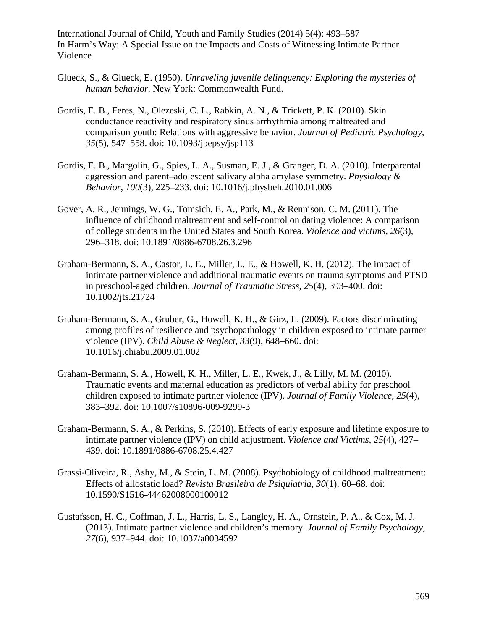- Glueck, S., & Glueck, E. (1950). *Unraveling juvenile delinquency: Exploring the mysteries of human behavior*. New York: Commonwealth Fund.
- Gordis, E. B., Feres, N., Olezeski, C. L., Rabkin, A. N., & Trickett, P. K. (2010). Skin conductance reactivity and respiratory sinus arrhythmia among maltreated and comparison youth: Relations with aggressive behavior. *Journal of Pediatric Psychology, 35*(5), 547–558. doi: 10.1093/jpepsy/jsp113
- Gordis, E. B., Margolin, G., Spies, L. A., Susman, E. J., & Granger, D. A. (2010). Interparental aggression and parent–adolescent salivary alpha amylase symmetry. *Physiology & Behavior, 100*(3), 225–233. doi: 10.1016/j.physbeh.2010.01.006
- Gover, A. R., Jennings, W. G., Tomsich, E. A., Park, M., & Rennison, C. M. (2011). The influence of childhood maltreatment and self-control on dating violence: A comparison of college students in the United States and South Korea. *Violence and victims, 26*(3), 296–318. doi: 10.1891/0886-6708.26.3.296
- Graham-Bermann, S. A., Castor, L. E., Miller, L. E., & Howell, K. H. (2012). The impact of intimate partner violence and additional traumatic events on trauma symptoms and PTSD in preschool-aged children. *Journal of Traumatic Stress, 25*(4), 393–400. doi: 10.1002/jts.21724
- Graham-Bermann, S. A., Gruber, G., Howell, K. H., & Girz, L. (2009). Factors discriminating among profiles of resilience and psychopathology in children exposed to intimate partner violence (IPV). *Child Abuse & Neglect, 33*(9), 648–660. doi: 10.1016/j.chiabu.2009.01.002
- Graham-Bermann, S. A., Howell, K. H., Miller, L. E., Kwek, J., & Lilly, M. M. (2010). Traumatic events and maternal education as predictors of verbal ability for preschool children exposed to intimate partner violence (IPV). *Journal of Family Violence, 25*(4), 383–392. doi: 10.1007/s10896-009-9299-3
- Graham-Bermann, S. A., & Perkins, S. (2010). Effects of early exposure and lifetime exposure to intimate partner violence (IPV) on child adjustment. *Violence and Victims, 25*(4), 427– 439. doi: 10.1891/0886-6708.25.4.427
- Grassi-Oliveira, R., Ashy, M., & Stein, L. M. (2008). Psychobiology of childhood maltreatment: Effects of allostatic load? *Revista Brasileira de Psiquiatria, 30*(1), 60–68. doi: 10.1590/S1516-44462008000100012
- Gustafsson, H. C., Coffman, J. L., Harris, L. S., Langley, H. A., Ornstein, P. A., & Cox, M. J. (2013). Intimate partner violence and children's memory. *Journal of Family Psychology, 27*(6), 937–944. doi: 10.1037/a0034592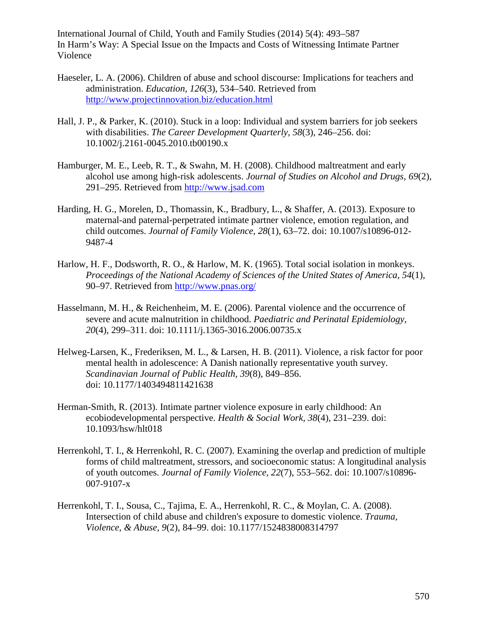- Haeseler, L. A. (2006). Children of abuse and school discourse: Implications for teachers and administration. *Education, 126*(3), 534–540. Retrieved from <http://www.projectinnovation.biz/education.html>
- Hall, J. P., & Parker, K. (2010). Stuck in a loop: Individual and system barriers for job seekers with disabilities. *The Career Development Quarterly, 58*(3), 246–256. doi: 10.1002/j.2161-0045.2010.tb00190.x
- Hamburger, M. E., Leeb, R. T., & Swahn, M. H. (2008). Childhood maltreatment and early alcohol use among high-risk adolescents. *Journal of Studies on Alcohol and Drugs, 69*(2), 291–295. Retrieved from [http://www.jsad.com](http://www.jsad.com/)
- Harding, H. G., Morelen, D., Thomassin, K., Bradbury, L., & Shaffer, A. (2013). Exposure to maternal-and paternal-perpetrated intimate partner violence, emotion regulation, and child outcomes. *Journal of Family Violence, 28*(1), 63–72. doi: 10.1007/s10896-012- 9487-4
- Harlow, H. F., Dodsworth, R. O., & Harlow, M. K. (1965). Total social isolation in monkeys. *Proceedings of the National Academy of Sciences of the United States of America, 54*(1), 90–97. Retrieved from<http://www.pnas.org/>
- Hasselmann, M. H., & Reichenheim, M. E. (2006). Parental violence and the occurrence of severe and acute malnutrition in childhood. *Paediatric and Perinatal Epidemiology, 20*(4), 299–311. doi: 10.1111/j.1365-3016.2006.00735.x
- Helweg-Larsen, K., Frederiksen, M. L., & Larsen, H. B. (2011). Violence, a risk factor for poor mental health in adolescence: A Danish nationally representative youth survey. *Scandinavian Journal of Public Health, 39*(8), 849–856. doi: 10.1177/1403494811421638
- Herman-Smith, R. (2013). Intimate partner violence exposure in early childhood: An ecobiodevelopmental perspective. *Health & Social Work, 38*(4), 231–239. doi: 10.1093/hsw/hlt018
- Herrenkohl, T. I., & Herrenkohl, R. C. (2007). Examining the overlap and prediction of multiple forms of child maltreatment, stressors, and socioeconomic status: A longitudinal analysis of youth outcomes. *Journal of Family Violence, 22*(7), 553–562. doi: 10.1007/s10896- 007-9107-x
- Herrenkohl, T. I., Sousa, C., Tajima, E. A., Herrenkohl, R. C., & Moylan, C. A. (2008). Intersection of child abuse and children's exposure to domestic violence. *Trauma, Violence, & Abuse, 9*(2), 84–99. doi: 10.1177/1524838008314797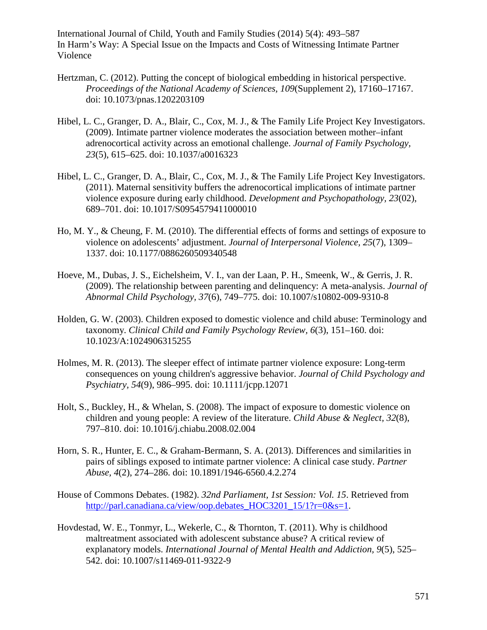- Hertzman, C. (2012). Putting the concept of biological embedding in historical perspective. *Proceedings of the National Academy of Sciences, 109*(Supplement 2), 17160–17167. doi: 10.1073/pnas.1202203109
- Hibel, L. C., Granger, D. A., Blair, C., Cox, M. J., & The Family Life Project Key Investigators. (2009). Intimate partner violence moderates the association between mother–infant adrenocortical activity across an emotional challenge. *Journal of Family Psychology, 23*(5), 615–625. doi: 10.1037/a0016323
- Hibel, L. C., Granger, D. A., Blair, C., Cox, M. J., & The Family Life Project Key Investigators. (2011). Maternal sensitivity buffers the adrenocortical implications of intimate partner violence exposure during early childhood. *Development and Psychopathology, 23*(02), 689–701. doi: 10.1017/S0954579411000010
- Ho, M. Y., & Cheung, F. M. (2010). The differential effects of forms and settings of exposure to violence on adolescents' adjustment. *Journal of Interpersonal Violence, 25*(7), 1309– 1337. doi: 10.1177/0886260509340548
- Hoeve, M., Dubas, J. S., Eichelsheim, V. I., van der Laan, P. H., Smeenk, W., & Gerris, J. R. (2009). The relationship between parenting and delinquency: A meta-analysis. *Journal of Abnormal Child Psychology, 37*(6), 749–775. doi: 10.1007/s10802-009-9310-8
- Holden, G. W. (2003). Children exposed to domestic violence and child abuse: Terminology and taxonomy. *Clinical Child and Family Psychology Review, 6*(3), 151–160. doi: 10.1023/A:1024906315255
- Holmes, M. R. (2013). The sleeper effect of intimate partner violence exposure: Long-term consequences on young children's aggressive behavior. *Journal of Child Psychology and Psychiatry, 54*(9), 986–995. doi: 10.1111/jcpp.12071
- Holt, S., Buckley, H., & Whelan, S. (2008). The impact of exposure to domestic violence on children and young people: A review of the literature. *Child Abuse & Neglect, 32*(8), 797–810. doi: 10.1016/j.chiabu.2008.02.004
- Horn, S. R., Hunter, E. C., & Graham-Bermann, S. A. (2013). Differences and similarities in pairs of siblings exposed to intimate partner violence: A clinical case study. *Partner Abuse, 4*(2), 274–286. doi: 10.1891/1946-6560.4.2.274
- House of Commons Debates. (1982). *32nd Parliament, 1st Session: Vol. 15*. Retrieved from [http://parl.canadiana.ca/view/oop.debates\\_HOC3201\\_15/1?r=0&s=1.](http://parl.canadiana.ca/view/oop.debates_HOC3201_15/1?r=0&s=1)
- Hovdestad, W. E., Tonmyr, L., Wekerle, C., & Thornton, T. (2011). Why is childhood maltreatment associated with adolescent substance abuse? A critical review of explanatory models. *International Journal of Mental Health and Addiction, 9*(5), 525– 542. doi: 10.1007/s11469-011-9322-9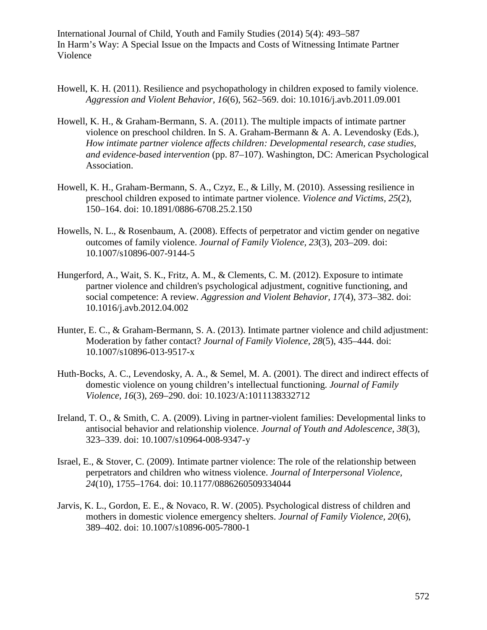- Howell, K. H. (2011). Resilience and psychopathology in children exposed to family violence. *Aggression and Violent Behavior, 16*(6), 562–569. doi: 10.1016/j.avb.2011.09.001
- Howell, K. H., & Graham-Bermann, S. A. (2011). The multiple impacts of intimate partner violence on preschool children. In S. A. Graham-Bermann & A. A. Levendosky (Eds.), *How intimate partner violence affects children: Developmental research, case studies, and evidence-based intervention* (pp. 87–107). Washington, DC: American Psychological Association.
- Howell, K. H., Graham-Bermann, S. A., Czyz, E., & Lilly, M. (2010). Assessing resilience in preschool children exposed to intimate partner violence. *Violence and Victims, 25*(2), 150–164. doi: 10.1891/0886-6708.25.2.150
- Howells, N. L., & Rosenbaum, A. (2008). Effects of perpetrator and victim gender on negative outcomes of family violence. *Journal of Family Violence, 23*(3), 203–209. doi: 10.1007/s10896-007-9144-5
- Hungerford, A., Wait, S. K., Fritz, A. M., & Clements, C. M. (2012). Exposure to intimate partner violence and children's psychological adjustment, cognitive functioning, and social competence: A review. *Aggression and Violent Behavior, 17*(4), 373–382. doi: 10.1016/j.avb.2012.04.002
- Hunter, E. C., & Graham-Bermann, S. A. (2013). Intimate partner violence and child adjustment: Moderation by father contact? *Journal of Family Violence, 28*(5), 435–444. doi: 10.1007/s10896-013-9517-x
- Huth-Bocks, A. C., Levendosky, A. A., & Semel, M. A. (2001). The direct and indirect effects of domestic violence on young children's intellectual functioning. *Journal of Family Violence, 16*(3), 269–290. doi: 10.1023/A:1011138332712
- Ireland, T. O., & Smith, C. A. (2009). Living in partner-violent families: Developmental links to antisocial behavior and relationship violence. *Journal of Youth and Adolescence, 38*(3), 323–339. doi: 10.1007/s10964-008-9347-y
- Israel, E., & Stover, C. (2009). Intimate partner violence: The role of the relationship between perpetrators and children who witness violence. *Journal of Interpersonal Violence, 24*(10), 1755–1764. doi: 10.1177/0886260509334044
- Jarvis, K. L., Gordon, E. E., & Novaco, R. W. (2005). Psychological distress of children and mothers in domestic violence emergency shelters. *Journal of Family Violence, 20*(6), 389–402. doi: 10.1007/s10896-005-7800-1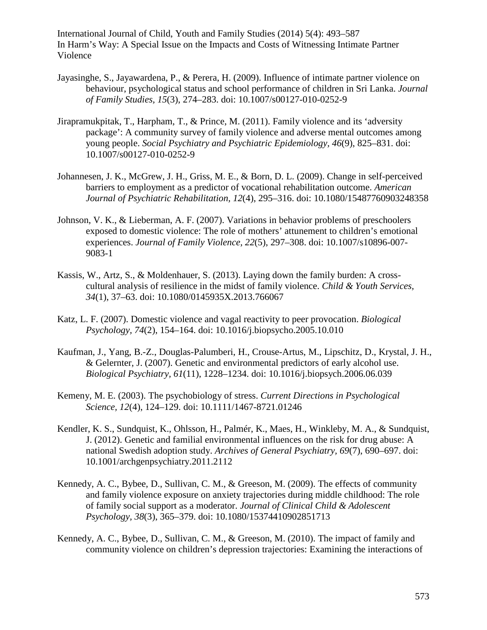- Jayasinghe, S., Jayawardena, P., & Perera, H. (2009). Influence of intimate partner violence on behaviour, psychological status and school performance of children in Sri Lanka. *Journal of Family Studies, 15*(3), 274–283. doi: 10.1007/s00127-010-0252-9
- Jirapramukpitak, T., Harpham, T., & Prince, M. (2011). Family violence and its 'adversity package': A community survey of family violence and adverse mental outcomes among young people. *Social Psychiatry and Psychiatric Epidemiology, 46*(9), 825–831. doi: 10.1007/s00127-010-0252-9
- Johannesen, J. K., McGrew, J. H., Griss, M. E., & Born, D. L. (2009). Change in self-perceived barriers to employment as a predictor of vocational rehabilitation outcome. *American Journal of Psychiatric Rehabilitation, 12*(4), 295–316. doi: 10.1080/15487760903248358
- Johnson, V. K., & Lieberman, A. F. (2007). Variations in behavior problems of preschoolers exposed to domestic violence: The role of mothers' attunement to children's emotional experiences. *Journal of Family Violence, 22*(5), 297–308. doi: 10.1007/s10896-007- 9083-1
- Kassis, W., Artz, S., & Moldenhauer, S. (2013). Laying down the family burden: A crosscultural analysis of resilience in the midst of family violence. *Child & Youth Services, 34*(1), 37–63. doi: 10.1080/0145935X.2013.766067
- Katz, L. F. (2007). Domestic violence and vagal reactivity to peer provocation. *Biological Psychology, 74*(2), 154–164. doi: 10.1016/j.biopsycho.2005.10.010
- Kaufman, J., Yang, B.-Z., Douglas-Palumberi, H., Crouse-Artus, M., Lipschitz, D., Krystal, J. H., & Gelernter, J. (2007). Genetic and environmental predictors of early alcohol use. *Biological Psychiatry, 61*(11), 1228–1234. doi: 10.1016/j.biopsych.2006.06.039
- Kemeny, M. E. (2003). The psychobiology of stress. *Current Directions in Psychological Science, 12*(4), 124–129. doi: 10.1111/1467-8721.01246
- Kendler, K. S., Sundquist, K., Ohlsson, H., Palmér, K., Maes, H., Winkleby, M. A., & Sundquist, J. (2012). Genetic and familial environmental influences on the risk for drug abuse: A national Swedish adoption study. *Archives of General Psychiatry, 69*(7), 690–697. doi: 10.1001/archgenpsychiatry.2011.2112
- Kennedy, A. C., Bybee, D., Sullivan, C. M., & Greeson, M. (2009). The effects of community and family violence exposure on anxiety trajectories during middle childhood: The role of family social support as a moderator. *Journal of Clinical Child & Adolescent Psychology, 38*(3), 365–379. doi: 10.1080/15374410902851713
- Kennedy, A. C., Bybee, D., Sullivan, C. M., & Greeson, M. (2010). The impact of family and community violence on children's depression trajectories: Examining the interactions of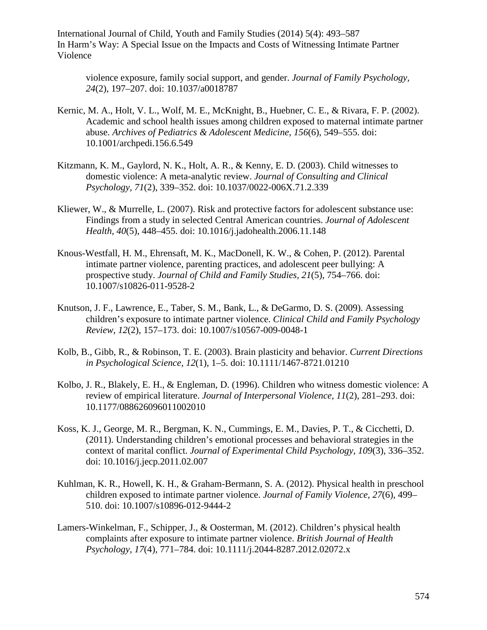violence exposure, family social support, and gender. *Journal of Family Psychology, 24*(2), 197–207. doi: 10.1037/a0018787

- Kernic, M. A., Holt, V. L., Wolf, M. E., McKnight, B., Huebner, C. E., & Rivara, F. P. (2002). Academic and school health issues among children exposed to maternal intimate partner abuse. *Archives of Pediatrics & Adolescent Medicine, 156*(6), 549–555. doi: 10.1001/archpedi.156.6.549
- Kitzmann, K. M., Gaylord, N. K., Holt, A. R., & Kenny, E. D. (2003). Child witnesses to domestic violence: A meta-analytic review. *Journal of Consulting and Clinical Psychology, 71*(2), 339–352. doi: 10.1037/0022-006X.71.2.339
- Kliewer, W., & Murrelle, L. (2007). Risk and protective factors for adolescent substance use: Findings from a study in selected Central American countries. *Journal of Adolescent Health, 40*(5), 448–455. doi: 10.1016/j.jadohealth.2006.11.148
- Knous-Westfall, H. M., Ehrensaft, M. K., MacDonell, K. W., & Cohen, P. (2012). Parental intimate partner violence, parenting practices, and adolescent peer bullying: A prospective study. *Journal of Child and Family Studies, 21*(5), 754–766. doi: 10.1007/s10826-011-9528-2
- Knutson, J. F., Lawrence, E., Taber, S. M., Bank, L., & DeGarmo, D. S. (2009). Assessing children's exposure to intimate partner violence. *Clinical Child and Family Psychology Review, 12*(2), 157–173. doi: 10.1007/s10567-009-0048-1
- Kolb, B., Gibb, R., & Robinson, T. E. (2003). Brain plasticity and behavior. *Current Directions in Psychological Science, 12*(1), 1–5. doi: 10.1111/1467-8721.01210
- Kolbo, J. R., Blakely, E. H., & Engleman, D. (1996). Children who witness domestic violence: A review of empirical literature. *Journal of Interpersonal Violence, 11*(2), 281–293. doi: 10.1177/088626096011002010
- Koss, K. J., George, M. R., Bergman, K. N., Cummings, E. M., Davies, P. T., & Cicchetti, D. (2011). Understanding children's emotional processes and behavioral strategies in the context of marital conflict. *Journal of Experimental Child Psychology, 109*(3), 336–352. doi: 10.1016/j.jecp.2011.02.007
- Kuhlman, K. R., Howell, K. H., & Graham-Bermann, S. A. (2012). Physical health in preschool children exposed to intimate partner violence. *Journal of Family Violence, 27*(6), 499– 510. doi: 10.1007/s10896-012-9444-2
- Lamers-Winkelman, F., Schipper, J., & Oosterman, M. (2012). Children's physical health complaints after exposure to intimate partner violence. *British Journal of Health Psychology, 17*(4), 771–784. doi: 10.1111/j.2044-8287.2012.02072.x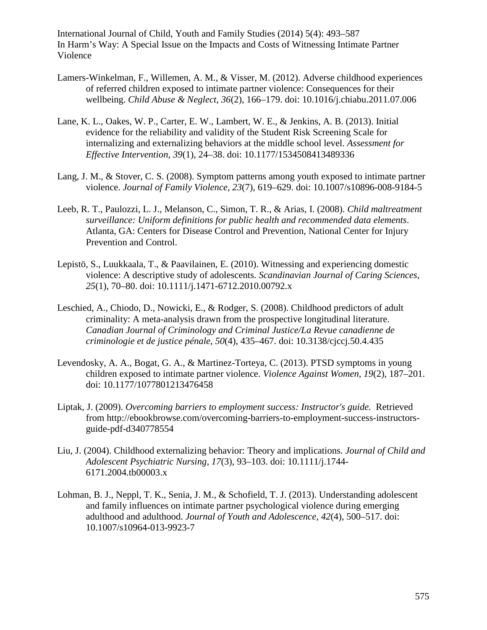- Lamers-Winkelman, F., Willemen, A. M., & Visser, M. (2012). Adverse childhood experiences of referred children exposed to intimate partner violence: Consequences for their wellbeing. *Child Abuse & Neglect, 36*(2), 166–179. doi: 10.1016/j.chiabu.2011.07.006
- Lane, K. L., Oakes, W. P., Carter, E. W., Lambert, W. E., & Jenkins, A. B. (2013). Initial evidence for the reliability and validity of the Student Risk Screening Scale for internalizing and externalizing behaviors at the middle school level. *Assessment for Effective Intervention, 39*(1), 24–38. doi: 10.1177/1534508413489336
- Lang, J. M., & Stover, C. S. (2008). Symptom patterns among youth exposed to intimate partner violence. *Journal of Family Violence, 23*(7), 619–629. doi: 10.1007/s10896-008-9184-5
- Leeb, R. T., Paulozzi, L. J., Melanson, C., Simon, T. R., & Arias, I. (2008). *Child maltreatment surveillance: Uniform definitions for public health and recommended data elements*. Atlanta, GA: Centers for Disease Control and Prevention, National Center for Injury Prevention and Control.
- Lepistö, S., Luukkaala, T., & Paavilainen, E. (2010). Witnessing and experiencing domestic violence: A descriptive study of adolescents. *Scandinavian Journal of Caring Sciences, 25*(1), 70–80. doi: 10.1111/j.1471-6712.2010.00792.x
- Leschied, A., Chiodo, D., Nowicki, E., & Rodger, S. (2008). Childhood predictors of adult criminality: A meta-analysis drawn from the prospective longitudinal literature. *Canadian Journal of Criminology and Criminal Justice/La Revue canadienne de criminologie et de justice pénale, 50*(4), 435–467. doi: 10.3138/cjccj.50.4.435
- Levendosky, A. A., Bogat, G. A., & Martinez-Torteya, C. (2013). PTSD symptoms in young children exposed to intimate partner violence. *Violence Against Women, 19*(2), 187–201. doi: 10.1177/1077801213476458
- Liptak, J. (2009). *Overcoming barriers to employment success: Instructor's guide.* Retrieved from http://ebookbrowse.com/overcoming-barriers-to-employment-success-instructorsguide-pdf-d340778554
- Liu, J. (2004). Childhood externalizing behavior: Theory and implications. *Journal of Child and Adolescent Psychiatric Nursing, 17*(3), 93–103. doi: 10.1111/j.1744- 6171.2004.tb00003.x
- Lohman, B. J., Neppl, T. K., Senia, J. M., & Schofield, T. J. (2013). Understanding adolescent and family influences on intimate partner psychological violence during emerging adulthood and adulthood. *Journal of Youth and Adolescence, 42*(4), 500–517. doi: 10.1007/s10964-013-9923-7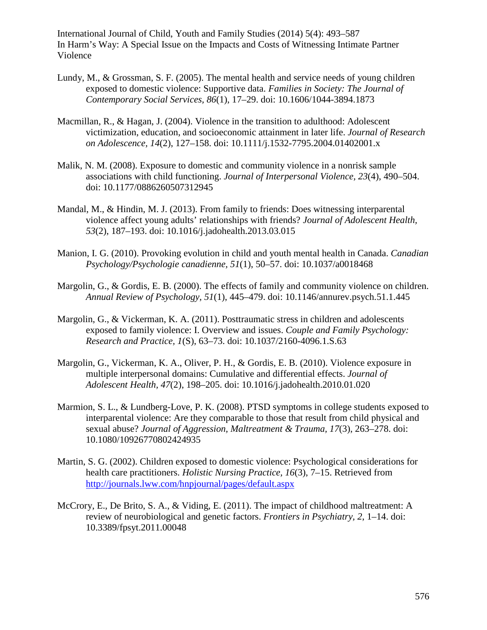- Lundy, M., & Grossman, S. F. (2005). The mental health and service needs of young children exposed to domestic violence: Supportive data. *Families in Society: The Journal of Contemporary Social Services, 86*(1), 17–29. doi: 10.1606/1044-3894.1873
- Macmillan, R., & Hagan, J. (2004). Violence in the transition to adulthood: Adolescent victimization, education, and socioeconomic attainment in later life. *Journal of Research on Adolescence, 14*(2), 127–158. doi: 10.1111/j.1532-7795.2004.01402001.x
- Malik, N. M. (2008). Exposure to domestic and community violence in a nonrisk sample associations with child functioning. *Journal of Interpersonal Violence, 23*(4), 490–504. doi: 10.1177/0886260507312945
- Mandal, M., & Hindin, M. J. (2013). From family to friends: Does witnessing interparental violence affect young adults' relationships with friends? *Journal of Adolescent Health, 53*(2), 187–193. doi: 10.1016/j.jadohealth.2013.03.015
- Manion, I. G. (2010). Provoking evolution in child and youth mental health in Canada. *Canadian Psychology/Psychologie canadienne, 51*(1), 50–57. doi: 10.1037/a0018468
- Margolin, G., & Gordis, E. B. (2000). The effects of family and community violence on children. *Annual Review of Psychology, 51*(1), 445–479. doi: 10.1146/annurev.psych.51.1.445
- Margolin, G., & Vickerman, K. A. (2011). Posttraumatic stress in children and adolescents exposed to family violence: I. Overview and issues. *Couple and Family Psychology: Research and Practice, 1*(S), 63–73. doi: 10.1037/2160-4096.1.S.63
- Margolin, G., Vickerman, K. A., Oliver, P. H., & Gordis, E. B. (2010). Violence exposure in multiple interpersonal domains: Cumulative and differential effects. *Journal of Adolescent Health, 47*(2), 198–205. doi: 10.1016/j.jadohealth.2010.01.020
- Marmion, S. L., & Lundberg-Love, P. K. (2008). PTSD symptoms in college students exposed to interparental violence: Are they comparable to those that result from child physical and sexual abuse? *Journal of Aggression, Maltreatment & Trauma, 17*(3), 263–278. doi: 10.1080/10926770802424935
- Martin, S. G. (2002). Children exposed to domestic violence: Psychological considerations for health care practitioners. *Holistic Nursing Practice, 16*(3), 7–15. Retrieved from <http://journals.lww.com/hnpjournal/pages/default.aspx>
- McCrory, E., De Brito, S. A., & Viding, E. (2011). The impact of childhood maltreatment: A review of neurobiological and genetic factors. *Frontiers in Psychiatry, 2*, 1–14. doi: 10.3389/fpsyt.2011.00048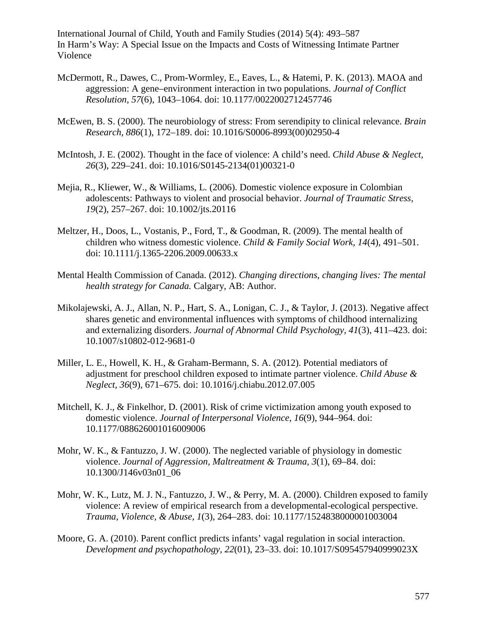- McDermott, R., Dawes, C., Prom-Wormley, E., Eaves, L., & Hatemi, P. K. (2013). MAOA and aggression: A gene–environment interaction in two populations. *Journal of Conflict Resolution, 57*(6), 1043–1064. doi: 10.1177/0022002712457746
- McEwen, B. S. (2000). The neurobiology of stress: From serendipity to clinical relevance. *Brain Research, 886*(1), 172–189. doi: 10.1016/S0006-8993(00)02950-4
- McIntosh, J. E. (2002). Thought in the face of violence: A child's need. *Child Abuse & Neglect, 26*(3), 229–241. doi: 10.1016/S0145-2134(01)00321-0
- Mejia, R., Kliewer, W., & Williams, L. (2006). Domestic violence exposure in Colombian adolescents: Pathways to violent and prosocial behavior. *Journal of Traumatic Stress, 19*(2), 257–267. doi: 10.1002/jts.20116
- Meltzer, H., Doos, L., Vostanis, P., Ford, T., & Goodman, R. (2009). The mental health of children who witness domestic violence. *Child & Family Social Work, 14*(4), 491–501. doi: 10.1111/j.1365-2206.2009.00633.x
- Mental Health Commission of Canada. (2012). *Changing directions, changing lives: The mental health strategy for Canada.* Calgary, AB: Author.
- Mikolajewski, A. J., Allan, N. P., Hart, S. A., Lonigan, C. J., & Taylor, J. (2013). Negative affect shares genetic and environmental influences with symptoms of childhood internalizing and externalizing disorders. *Journal of Abnormal Child Psychology, 41*(3), 411–423. doi: 10.1007/s10802-012-9681-0
- Miller, L. E., Howell, K. H., & Graham-Bermann, S. A. (2012). Potential mediators of adjustment for preschool children exposed to intimate partner violence. *Child Abuse & Neglect, 36*(9), 671–675. doi: 10.1016/j.chiabu.2012.07.005
- Mitchell, K. J., & Finkelhor, D. (2001). Risk of crime victimization among youth exposed to domestic violence. *Journal of Interpersonal Violence, 16*(9), 944–964. doi: 10.1177/088626001016009006
- Mohr, W. K., & Fantuzzo, J. W. (2000). The neglected variable of physiology in domestic violence. *Journal of Aggression, Maltreatment & Trauma, 3*(1), 69–84. doi: 10.1300/J146v03n01\_06
- Mohr, W. K., Lutz, M. J. N., Fantuzzo, J. W., & Perry, M. A. (2000). Children exposed to family violence: A review of empirical research from a developmental-ecological perspective. *Trauma, Violence, & Abuse, 1*(3), 264–283. doi: 10.1177/1524838000001003004
- Moore, G. A. (2010). Parent conflict predicts infants' vagal regulation in social interaction. *Development and psychopathology, 22*(01), 23–33. doi: 10.1017/S095457940999023X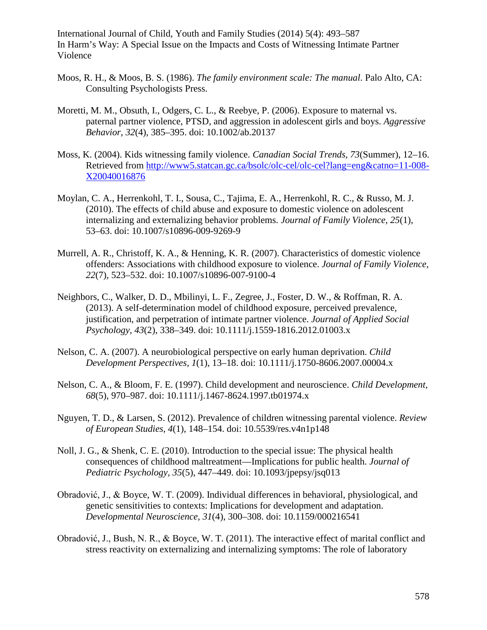- Moos, R. H., & Moos, B. S. (1986). *The family environment scale: The manual*. Palo Alto, CA: Consulting Psychologists Press.
- Moretti, M. M., Obsuth, I., Odgers, C. L., & Reebye, P. (2006). Exposure to maternal vs. paternal partner violence, PTSD, and aggression in adolescent girls and boys. *Aggressive Behavior, 32*(4), 385–395. doi: 10.1002/ab.20137
- Moss, K. (2004). Kids witnessing family violence. *Canadian Social Trends, 73*(Summer), 12–16. Retrieved from [http://www5.statcan.gc.ca/bsolc/olc-cel/olc-cel?lang=eng&catno=11-008-](http://www5.statcan.gc.ca/bsolc/olc-cel/olc-cel?lang=eng&catno=11-008-X20040016876) [X20040016876](http://www5.statcan.gc.ca/bsolc/olc-cel/olc-cel?lang=eng&catno=11-008-X20040016876)
- Moylan, C. A., Herrenkohl, T. I., Sousa, C., Tajima, E. A., Herrenkohl, R. C., & Russo, M. J. (2010). The effects of child abuse and exposure to domestic violence on adolescent internalizing and externalizing behavior problems. *Journal of Family Violence, 25*(1), 53–63. doi: 10.1007/s10896-009-9269-9
- Murrell, A. R., Christoff, K. A., & Henning, K. R. (2007). Characteristics of domestic violence offenders: Associations with childhood exposure to violence. *Journal of Family Violence, 22*(7), 523–532. doi: 10.1007/s10896-007-9100-4
- Neighbors, C., Walker, D. D., Mbilinyi, L. F., Zegree, J., Foster, D. W., & Roffman, R. A. (2013). A self-determination model of childhood exposure, perceived prevalence, justification, and perpetration of intimate partner violence. *Journal of Applied Social Psychology, 43*(2), 338–349. doi: 10.1111/j.1559-1816.2012.01003.x
- Nelson, C. A. (2007). A neurobiological perspective on early human deprivation. *Child Development Perspectives, 1*(1), 13–18. doi: 10.1111/j.1750-8606.2007.00004.x
- Nelson, C. A., & Bloom, F. E. (1997). Child development and neuroscience. *Child Development, 68*(5), 970–987. doi: 10.1111/j.1467-8624.1997.tb01974.x
- Nguyen, T. D., & Larsen, S. (2012). Prevalence of children witnessing parental violence. *Review of European Studies, 4*(1), 148–154. doi: 10.5539/res.v4n1p148
- Noll, J. G., & Shenk, C. E. (2010). Introduction to the special issue: The physical health consequences of childhood maltreatment—Implications for public health. *Journal of Pediatric Psychology, 35*(5), 447–449. doi: 10.1093/jpepsy/jsq013
- Obradović, J., & Boyce, W. T. (2009). Individual differences in behavioral, physiological, and genetic sensitivities to contexts: Implications for development and adaptation. *Developmental Neuroscience, 31*(4), 300–308. doi: 10.1159/000216541
- Obradović, J., Bush, N. R., & Boyce, W. T. (2011). The interactive effect of marital conflict and stress reactivity on externalizing and internalizing symptoms: The role of laboratory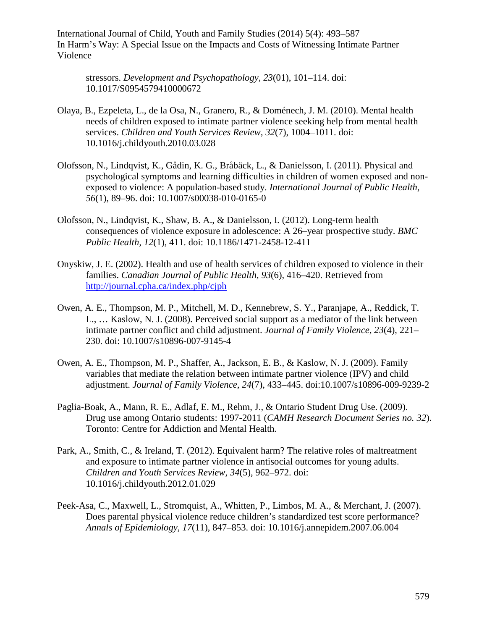stressors. *Development and Psychopathology, 23*(01), 101–114. doi: 10.1017/S0954579410000672

- Olaya, B., Ezpeleta, L., de la Osa, N., Granero, R., & Doménech, J. M. (2010). Mental health needs of children exposed to intimate partner violence seeking help from mental health services. *Children and Youth Services Review, 32*(7), 1004–1011. doi: 10.1016/j.childyouth.2010.03.028
- Olofsson, N., Lindqvist, K., Gådin, K. G., Bråbäck, L., & Danielsson, I. (2011). Physical and psychological symptoms and learning difficulties in children of women exposed and nonexposed to violence: A population-based study. *International Journal of Public Health, 56*(1), 89–96. doi: 10.1007/s00038-010-0165-0
- Olofsson, N., Lindqvist, K., Shaw, B. A., & Danielsson, I. (2012). Long-term health consequences of violence exposure in adolescence: A 26–year prospective study. *BMC Public Health, 12*(1), 411. doi: 10.1186/1471-2458-12-411
- Onyskiw, J. E. (2002). Health and use of health services of children exposed to violence in their families. *Canadian Journal of Public Health, 93*(6), 416–420. Retrieved from <http://journal.cpha.ca/index.php/cjph>
- Owen, A. E., Thompson, M. P., Mitchell, M. D., Kennebrew, S. Y., Paranjape, A., Reddick, T. L., … Kaslow, N. J. (2008). Perceived social support as a mediator of the link between intimate partner conflict and child adjustment. *Journal of Family Violence, 23*(4), 221– 230. doi: 10.1007/s10896-007-9145-4
- Owen, A. E., Thompson, M. P., Shaffer, A., Jackson, E. B., & Kaslow, N. J. (2009). Family variables that mediate the relation between intimate partner violence (IPV) and child adjustment. *Journal of Family Violence, 24*(7), 433–445. doi:10.1007/s10896-009-9239-2
- Paglia-Boak, A., Mann, R. E., Adlaf, E. M., Rehm, J., & Ontario Student Drug Use. (2009). Drug use among Ontario students: 1997-2011 (*CAMH Research Document Series no. 32*). Toronto: Centre for Addiction and Mental Health.
- Park, A., Smith, C., & Ireland, T. (2012). Equivalent harm? The relative roles of maltreatment and exposure to intimate partner violence in antisocial outcomes for young adults. *Children and Youth Services Review, 34*(5), 962–972. doi: 10.1016/j.childyouth.2012.01.029
- Peek-Asa, C., Maxwell, L., Stromquist, A., Whitten, P., Limbos, M. A., & Merchant, J. (2007). Does parental physical violence reduce children's standardized test score performance? *Annals of Epidemiology, 17*(11), 847–853. doi: 10.1016/j.annepidem.2007.06.004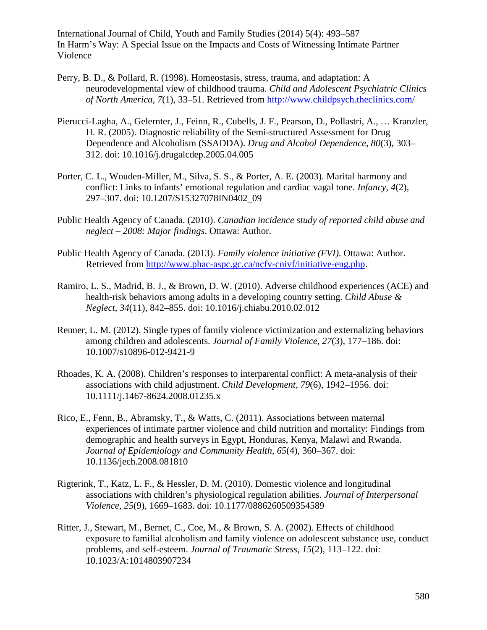- Perry, B. D., & Pollard, R. (1998). Homeostasis, stress, trauma, and adaptation: A neurodevelopmental view of childhood trauma. *Child and Adolescent Psychiatric Clinics of North America, 7*(1), 33–51. Retrieved from<http://www.childpsych.theclinics.com/>
- Pierucci-Lagha, A., Gelernter, J., Feinn, R., Cubells, J. F., Pearson, D., Pollastri, A., … Kranzler, H. R. (2005). Diagnostic reliability of the Semi-structured Assessment for Drug Dependence and Alcoholism (SSADDA). *Drug and Alcohol Dependence, 80*(3), 303– 312. doi: 10.1016/j.drugalcdep.2005.04.005
- Porter, C. L., Wouden-Miller, M., Silva, S. S., & Porter, A. E. (2003). Marital harmony and conflict: Links to infants' emotional regulation and cardiac vagal tone. *Infancy, 4*(2), 297–307. doi: 10.1207/S15327078IN0402\_09
- Public Health Agency of Canada. (2010). *Canadian incidence study of reported child abuse and neglect – 2008: Major findings*. Ottawa: Author.
- Public Health Agency of Canada. (2013). *Family violence initiative (FVI)*. Ottawa: Author. Retrieved from [http://www.phac-aspc.gc.ca/ncfv-cnivf/initiative-eng.php.](http://www.phac-aspc.gc.ca/ncfv-cnivf/initiative-eng.php)
- Ramiro, L. S., Madrid, B. J., & Brown, D. W. (2010). Adverse childhood experiences (ACE) and health-risk behaviors among adults in a developing country setting. *Child Abuse & Neglect, 34*(11), 842–855. doi: 10.1016/j.chiabu.2010.02.012
- Renner, L. M. (2012). Single types of family violence victimization and externalizing behaviors among children and adolescents. *Journal of Family Violence, 27*(3), 177–186. doi: 10.1007/s10896-012-9421-9
- Rhoades, K. A. (2008). Children's responses to interparental conflict: A meta-analysis of their associations with child adjustment. *Child Development, 79*(6), 1942–1956. doi: 10.1111/j.1467-8624.2008.01235.x
- Rico, E., Fenn, B., Abramsky, T., & Watts, C. (2011). Associations between maternal experiences of intimate partner violence and child nutrition and mortality: Findings from demographic and health surveys in Egypt, Honduras, Kenya, Malawi and Rwanda. *Journal of Epidemiology and Community Health, 65*(4), 360–367. doi: 10.1136/jech.2008.081810
- Rigterink, T., Katz, L. F., & Hessler, D. M. (2010). Domestic violence and longitudinal associations with children's physiological regulation abilities. *Journal of Interpersonal Violence, 25*(9), 1669–1683. doi: 10.1177/0886260509354589
- Ritter, J., Stewart, M., Bernet, C., Coe, M., & Brown, S. A. (2002). Effects of childhood exposure to familial alcoholism and family violence on adolescent substance use, conduct problems, and self-esteem. *Journal of Traumatic Stress, 15*(2), 113–122. doi: 10.1023/A:1014803907234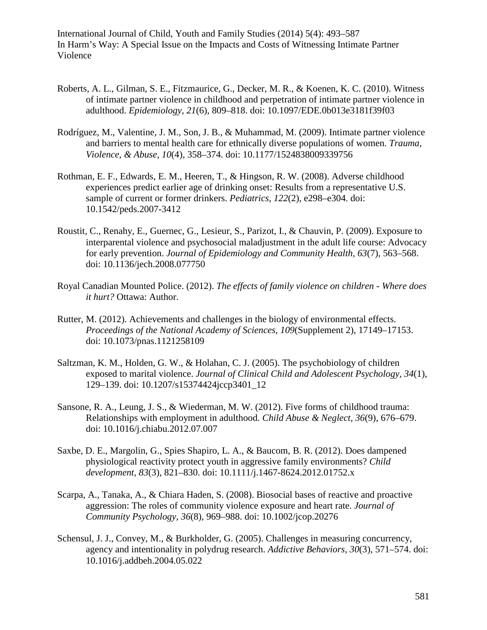- Roberts, A. L., Gilman, S. E., Fitzmaurice, G., Decker, M. R., & Koenen, K. C. (2010). Witness of intimate partner violence in childhood and perpetration of intimate partner violence in adulthood. *Epidemiology, 21*(6), 809–818. doi: 10.1097/EDE.0b013e3181f39f03
- Rodríguez, M., Valentine, J. M., Son, J. B., & Muhammad, M. (2009). Intimate partner violence and barriers to mental health care for ethnically diverse populations of women. *Trauma, Violence, & Abuse, 10*(4), 358–374. doi: 10.1177/1524838009339756
- Rothman, E. F., Edwards, E. M., Heeren, T., & Hingson, R. W. (2008). Adverse childhood experiences predict earlier age of drinking onset: Results from a representative U.S. sample of current or former drinkers. *Pediatrics, 122*(2), e298–e304. doi: 10.1542/peds.2007-3412
- Roustit, C., Renahy, E., Guernec, G., Lesieur, S., Parizot, I., & Chauvin, P. (2009). Exposure to interparental violence and psychosocial maladjustment in the adult life course: Advocacy for early prevention. *Journal of Epidemiology and Community Health, 63*(7), 563–568. doi: 10.1136/jech.2008.077750
- Royal Canadian Mounted Police. (2012). *The effects of family violence on children - Where does it hurt?* Ottawa: Author.
- Rutter, M. (2012). Achievements and challenges in the biology of environmental effects. *Proceedings of the National Academy of Sciences, 109*(Supplement 2), 17149–17153. doi: 10.1073/pnas.1121258109
- Saltzman, K. M., Holden, G. W., & Holahan, C. J. (2005). The psychobiology of children exposed to marital violence. *Journal of Clinical Child and Adolescent Psychology, 34*(1), 129–139. doi: 10.1207/s15374424jccp3401\_12
- Sansone, R. A., Leung, J. S., & Wiederman, M. W. (2012). Five forms of childhood trauma: Relationships with employment in adulthood. *Child Abuse & Neglect, 36*(9), 676–679. doi: 10.1016/j.chiabu.2012.07.007
- Saxbe, D. E., Margolin, G., Spies Shapiro, L. A., & Baucom, B. R. (2012). Does dampened physiological reactivity protect youth in aggressive family environments? *Child development, 83*(3), 821–830. doi: 10.1111/j.1467-8624.2012.01752.x
- Scarpa, A., Tanaka, A., & Chiara Haden, S. (2008). Biosocial bases of reactive and proactive aggression: The roles of community violence exposure and heart rate. *Journal of Community Psychology, 36*(8), 969–988. doi: 10.1002/jcop.20276
- Schensul, J. J., Convey, M., & Burkholder, G. (2005). Challenges in measuring concurrency, agency and intentionality in polydrug research. *Addictive Behaviors, 30*(3), 571–574. doi: 10.1016/j.addbeh.2004.05.022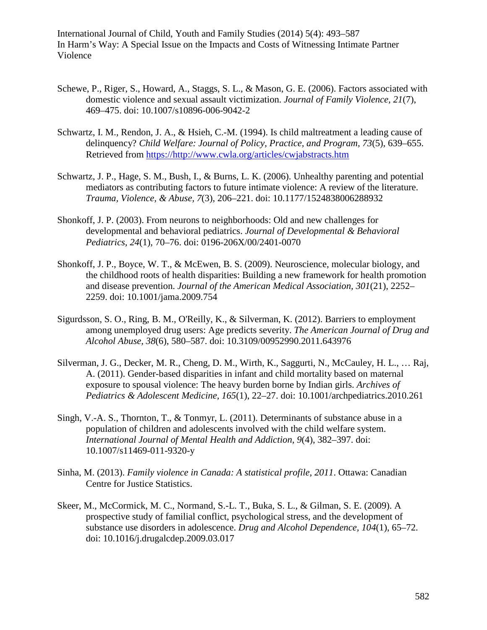- Schewe, P., Riger, S., Howard, A., Staggs, S. L., & Mason, G. E. (2006). Factors associated with domestic violence and sexual assault victimization. *Journal of Family Violence, 21*(7), 469–475. doi: 10.1007/s10896-006-9042-2
- Schwartz, I. M., Rendon, J. A., & Hsieh, C.-M. (1994). Is child maltreatment a leading cause of delinquency? *Child Welfare: Journal of Policy, Practice, and Program, 73*(5), 639–655. Retrieved from [https://http://www.cwla.org/articles/cwjabstracts.htm](https://http/www.cwla.org/articles/cwjabstracts.htm)
- Schwartz, J. P., Hage, S. M., Bush, I., & Burns, L. K. (2006). Unhealthy parenting and potential mediators as contributing factors to future intimate violence: A review of the literature. *Trauma, Violence, & Abuse, 7*(3), 206–221. doi: 10.1177/1524838006288932
- Shonkoff, J. P. (2003). From neurons to neighborhoods: Old and new challenges for developmental and behavioral pediatrics. *Journal of Developmental & Behavioral Pediatrics, 24*(1), 70–76. doi: 0196-206X/00/2401-0070
- Shonkoff, J. P., Boyce, W. T., & McEwen, B. S. (2009). Neuroscience, molecular biology, and the childhood roots of health disparities: Building a new framework for health promotion and disease prevention. *Journal of the American Medical Association, 301*(21), 2252– 2259. doi: 10.1001/jama.2009.754
- Sigurdsson, S. O., Ring, B. M., O'Reilly, K., & Silverman, K. (2012). Barriers to employment among unemployed drug users: Age predicts severity. *The American Journal of Drug and Alcohol Abuse, 38*(6), 580–587. doi: 10.3109/00952990.2011.643976
- Silverman, J. G., Decker, M. R., Cheng, D. M., Wirth, K., Saggurti, N., McCauley, H. L., … Raj, A. (2011). Gender-based disparities in infant and child mortality based on maternal exposure to spousal violence: The heavy burden borne by Indian girls. *Archives of Pediatrics & Adolescent Medicine, 165*(1), 22–27. doi: 10.1001/archpediatrics.2010.261
- Singh, V.-A. S., Thornton, T., & Tonmyr, L. (2011). Determinants of substance abuse in a population of children and adolescents involved with the child welfare system. *International Journal of Mental Health and Addiction, 9*(4), 382–397. doi: 10.1007/s11469-011-9320-y
- Sinha, M. (2013). *Family violence in Canada: A statistical profile, 2011*. Ottawa: Canadian Centre for Justice Statistics.
- Skeer, M., McCormick, M. C., Normand, S.-L. T., Buka, S. L., & Gilman, S. E. (2009). A prospective study of familial conflict, psychological stress, and the development of substance use disorders in adolescence. *Drug and Alcohol Dependence, 104*(1), 65–72. doi: 10.1016/j.drugalcdep.2009.03.017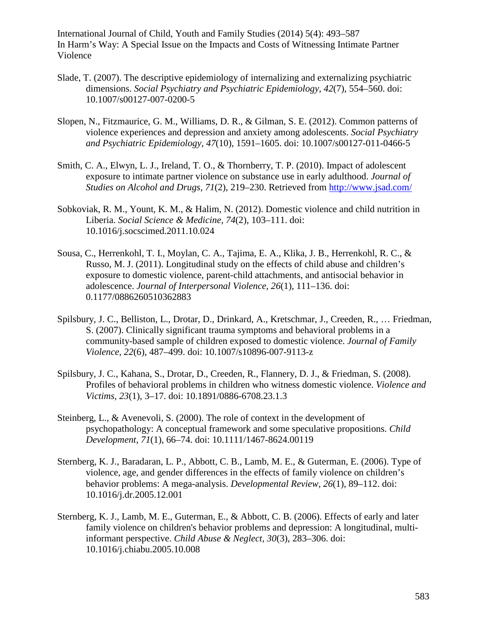- Slade, T. (2007). The descriptive epidemiology of internalizing and externalizing psychiatric dimensions. *Social Psychiatry and Psychiatric Epidemiology, 42*(7), 554–560. doi: 10.1007/s00127-007-0200-5
- Slopen, N., Fitzmaurice, G. M., Williams, D. R., & Gilman, S. E. (2012). Common patterns of violence experiences and depression and anxiety among adolescents. *Social Psychiatry and Psychiatric Epidemiology, 47*(10), 1591–1605. doi: 10.1007/s00127-011-0466-5
- Smith, C. A., Elwyn, L. J., Ireland, T. O., & Thornberry, T. P. (2010). Impact of adolescent exposure to intimate partner violence on substance use in early adulthood. *Journal of Studies on Alcohol and Drugs, 71*(2), 219–230. Retrieved from<http://www.jsad.com/>
- Sobkoviak, R. M., Yount, K. M., & Halim, N. (2012). Domestic violence and child nutrition in Liberia. *Social Science & Medicine, 74*(2), 103–111. doi: 10.1016/j.socscimed.2011.10.024
- Sousa, C., Herrenkohl, T. I., Moylan, C. A., Tajima, E. A., Klika, J. B., Herrenkohl, R. C., & Russo, M. J. (2011). Longitudinal study on the effects of child abuse and children's exposure to domestic violence, parent-child attachments, and antisocial behavior in adolescence. *Journal of Interpersonal Violence, 26*(1), 111–136. doi: 0.1177/0886260510362883
- Spilsbury, J. C., Belliston, L., Drotar, D., Drinkard, A., Kretschmar, J., Creeden, R., … Friedman, S. (2007). Clinically significant trauma symptoms and behavioral problems in a community-based sample of children exposed to domestic violence. *Journal of Family Violence, 22*(6), 487–499. doi: 10.1007/s10896-007-9113-z
- Spilsbury, J. C., Kahana, S., Drotar, D., Creeden, R., Flannery, D. J., & Friedman, S. (2008). Profiles of behavioral problems in children who witness domestic violence. *Violence and Victims, 23*(1), 3–17. doi: 10.1891/0886-6708.23.1.3
- Steinberg, L., & Avenevoli, S. (2000). The role of context in the development of psychopathology: A conceptual framework and some speculative propositions. *Child Development, 71*(1), 66–74. doi: 10.1111/1467-8624.00119
- Sternberg, K. J., Baradaran, L. P., Abbott, C. B., Lamb, M. E., & Guterman, E. (2006). Type of violence, age, and gender differences in the effects of family violence on children's behavior problems: A mega-analysis. *Developmental Review, 26*(1), 89–112. doi: 10.1016/j.dr.2005.12.001
- Sternberg, K. J., Lamb, M. E., Guterman, E., & Abbott, C. B. (2006). Effects of early and later family violence on children's behavior problems and depression: A longitudinal, multiinformant perspective. *Child Abuse & Neglect, 30*(3), 283–306. doi: 10.1016/j.chiabu.2005.10.008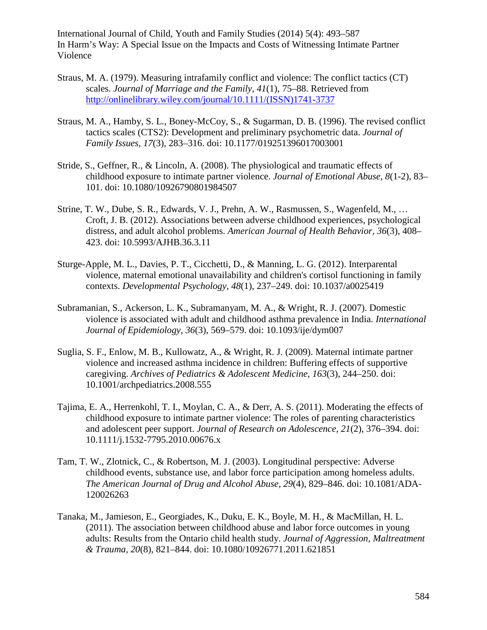- Straus, M. A. (1979). Measuring intrafamily conflict and violence: The conflict tactics (CT) scales. *Journal of Marriage and the Family, 41*(1), 75–88. Retrieved from [http://onlinelibrary.wiley.com/journal/10.1111/\(ISSN\)1741-3737](http://onlinelibrary.wiley.com/journal/10.1111/(ISSN)1741-3737)
- Straus, M. A., Hamby, S. L., Boney-McCoy, S., & Sugarman, D. B. (1996). The revised conflict tactics scales (CTS2): Development and preliminary psychometric data. *Journal of Family Issues, 17*(3), 283–316. doi: 10.1177/019251396017003001
- Stride, S., Geffner, R., & Lincoln, A. (2008). The physiological and traumatic effects of childhood exposure to intimate partner violence. *Journal of Emotional Abuse, 8*(1-2), 83– 101. doi: 10.1080/10926790801984507
- Strine, T. W., Dube, S. R., Edwards, V. J., Prehn, A. W., Rasmussen, S., Wagenfeld, M., … Croft, J. B. (2012). Associations between adverse childhood experiences, psychological distress, and adult alcohol problems. *American Journal of Health Behavior, 36*(3), 408– 423. doi: 10.5993/AJHB.36.3.11
- Sturge-Apple, M. L., Davies, P. T., Cicchetti, D., & Manning, L. G. (2012). Interparental violence, maternal emotional unavailability and children's cortisol functioning in family contexts. *Developmental Psychology, 48*(1), 237–249. doi: 10.1037/a0025419
- Subramanian, S., Ackerson, L. K., Subramanyam, M. A., & Wright, R. J. (2007). Domestic violence is associated with adult and childhood asthma prevalence in India. *International Journal of Epidemiology, 36*(3), 569–579. doi: 10.1093/ije/dym007
- Suglia, S. F., Enlow, M. B., Kullowatz, A., & Wright, R. J. (2009). Maternal intimate partner violence and increased asthma incidence in children: Buffering effects of supportive caregiving. *Archives of Pediatrics & Adolescent Medicine, 163*(3), 244–250. doi: 10.1001/archpediatrics.2008.555
- Tajima, E. A., Herrenkohl, T. I., Moylan, C. A., & Derr, A. S. (2011). Moderating the effects of childhood exposure to intimate partner violence: The roles of parenting characteristics and adolescent peer support. *Journal of Research on Adolescence, 21*(2), 376–394. doi: 10.1111/j.1532-7795.2010.00676.x
- Tam, T. W., Zlotnick, C., & Robertson, M. J. (2003). Longitudinal perspective: Adverse childhood events, substance use, and labor force participation among homeless adults. *The American Journal of Drug and Alcohol Abuse, 29*(4), 829–846. doi: 10.1081/ADA-120026263
- Tanaka, M., Jamieson, E., Georgiades, K., Duku, E. K., Boyle, M. H., & MacMillan, H. L. (2011). The association between childhood abuse and labor force outcomes in young adults: Results from the Ontario child health study. *Journal of Aggression, Maltreatment & Trauma, 20*(8), 821–844. doi: 10.1080/10926771.2011.621851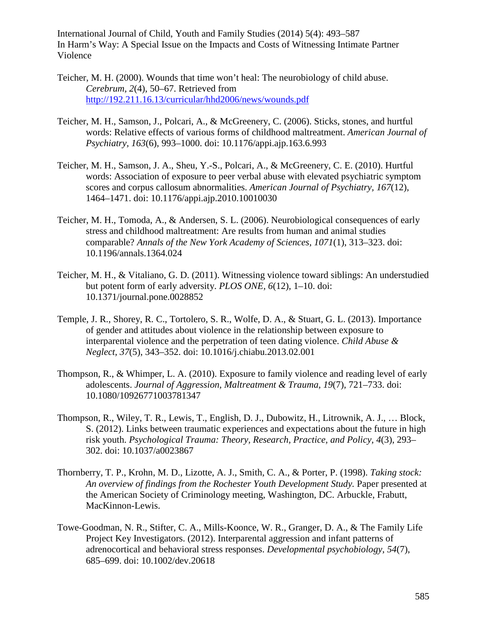- Teicher, M. H. (2000). Wounds that time won't heal: The neurobiology of child abuse. *Cerebrum, 2*(4), 50–67. Retrieved from <http://192.211.16.13/curricular/hhd2006/news/wounds.pdf>
- Teicher, M. H., Samson, J., Polcari, A., & McGreenery, C. (2006). Sticks, stones, and hurtful words: Relative effects of various forms of childhood maltreatment. *American Journal of Psychiatry, 163*(6), 993–1000. doi: 10.1176/appi.ajp.163.6.993
- Teicher, M. H., Samson, J. A., Sheu, Y.-S., Polcari, A., & McGreenery, C. E. (2010). Hurtful words: Association of exposure to peer verbal abuse with elevated psychiatric symptom scores and corpus callosum abnormalities. *American Journal of Psychiatry, 167*(12), 1464–1471. doi: 10.1176/appi.ajp.2010.10010030
- Teicher, M. H., Tomoda, A., & Andersen, S. L. (2006). Neurobiological consequences of early stress and childhood maltreatment: Are results from human and animal studies comparable? *Annals of the New York Academy of Sciences, 1071*(1), 313–323. doi: 10.1196/annals.1364.024
- Teicher, M. H., & Vitaliano, G. D. (2011). Witnessing violence toward siblings: An understudied but potent form of early adversity. *PLOS ONE, 6*(12), 1–10. doi: 10.1371/journal.pone.0028852
- Temple, J. R., Shorey, R. C., Tortolero, S. R., Wolfe, D. A., & Stuart, G. L. (2013). Importance of gender and attitudes about violence in the relationship between exposure to interparental violence and the perpetration of teen dating violence. *Child Abuse & Neglect, 37*(5), 343–352. doi: 10.1016/j.chiabu.2013.02.001
- Thompson, R., & Whimper, L. A. (2010). Exposure to family violence and reading level of early adolescents. *Journal of Aggression, Maltreatment & Trauma, 19*(7), 721–733. doi: 10.1080/10926771003781347
- Thompson, R., Wiley, T. R., Lewis, T., English, D. J., Dubowitz, H., Litrownik, A. J., … Block, S. (2012). Links between traumatic experiences and expectations about the future in high risk youth. *Psychological Trauma: Theory, Research, Practice, and Policy, 4*(3), 293– 302. doi: 10.1037/a0023867
- Thornberry, T. P., Krohn, M. D., Lizotte, A. J., Smith, C. A., & Porter, P. (1998). *Taking stock: An overview of findings from the Rochester Youth Development Study.* Paper presented at the American Society of Criminology meeting, Washington, DC. Arbuckle, Frabutt, MacKinnon-Lewis.
- Towe-Goodman, N. R., Stifter, C. A., Mills-Koonce, W. R., Granger, D. A., & The Family Life Project Key Investigators. (2012). Interparental aggression and infant patterns of adrenocortical and behavioral stress responses. *Developmental psychobiology, 54*(7), 685–699. doi: 10.1002/dev.20618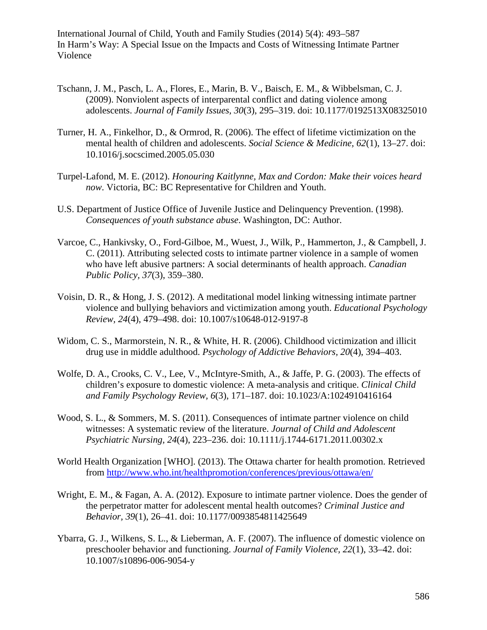- Tschann, J. M., Pasch, L. A., Flores, E., Marin, B. V., Baisch, E. M., & Wibbelsman, C. J. (2009). Nonviolent aspects of interparental conflict and dating violence among adolescents. *Journal of Family Issues, 30*(3), 295–319. doi: 10.1177/0192513X08325010
- Turner, H. A., Finkelhor, D., & Ormrod, R. (2006). The effect of lifetime victimization on the mental health of children and adolescents. *Social Science & Medicine, 62*(1), 13–27. doi: 10.1016/j.socscimed.2005.05.030
- Turpel-Lafond, M. E. (2012). *Honouring Kaitlynne, Max and Cordon: Make their voices heard now*. Victoria, BC: BC Representative for Children and Youth.
- U.S. Department of Justice Office of Juvenile Justice and Delinquency Prevention. (1998). *Consequences of youth substance abuse*. Washington, DC: Author.
- Varcoe, C., Hankivsky, O., Ford-Gilboe, M., Wuest, J., Wilk, P., Hammerton, J., & Campbell, J. C. (2011). Attributing selected costs to intimate partner violence in a sample of women who have left abusive partners: A social determinants of health approach. *Canadian Public Policy, 37*(3), 359–380.
- Voisin, D. R., & Hong, J. S. (2012). A meditational model linking witnessing intimate partner violence and bullying behaviors and victimization among youth. *Educational Psychology Review, 24*(4), 479–498. doi: 10.1007/s10648-012-9197-8
- Widom, C. S., Marmorstein, N. R., & White, H. R. (2006). Childhood victimization and illicit drug use in middle adulthood. *Psychology of Addictive Behaviors, 20*(4), 394–403.
- Wolfe, D. A., Crooks, C. V., Lee, V., McIntyre-Smith, A., & Jaffe, P. G. (2003). The effects of children's exposure to domestic violence: A meta-analysis and critique. *Clinical Child and Family Psychology Review, 6*(3), 171–187. doi: 10.1023/A:1024910416164
- Wood, S. L., & Sommers, M. S. (2011). Consequences of intimate partner violence on child witnesses: A systematic review of the literature. *Journal of Child and Adolescent Psychiatric Nursing, 24*(4), 223–236. doi: 10.1111/j.1744-6171.2011.00302.x
- World Health Organization [WHO]. (2013). The Ottawa charter for health promotion. Retrieved from<http://www.who.int/healthpromotion/conferences/previous/ottawa/en/>
- Wright, E. M., & Fagan, A. A. (2012). Exposure to intimate partner violence. Does the gender of the perpetrator matter for adolescent mental health outcomes? *Criminal Justice and Behavior, 39*(1), 26–41. doi: 10.1177/0093854811425649
- Ybarra, G. J., Wilkens, S. L., & Lieberman, A. F. (2007). The influence of domestic violence on preschooler behavior and functioning. *Journal of Family Violence, 22*(1), 33–42. doi: 10.1007/s10896-006-9054-y